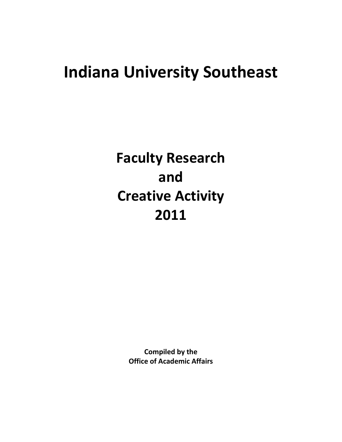# **Indiana University Southeast**

**Faculty Research and Creative Activity 2011**

> **Compiled by the Office of Academic Affairs**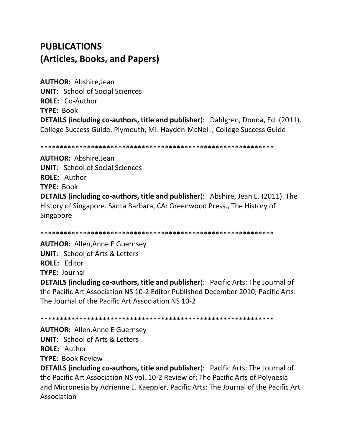## **PUBLICATIONS** (Articles, Books, and Papers)

**AUTHOR: Abshire, Jean UNIT:** School of Social Sciences **ROLE: Co-Author TYPE: Book DETAILS (including co-authors, title and publisher):** Dahlgren, Donna, Ed. (2011). College Success Guide. Plymouth, MI: Hayden-McNeil., College Success Guide

**AUTHOR: Abshire, Jean UNIT:** School of Social Sciences ROLE: Author **TYPE: Book DETAILS (including co-authors, title and publisher):** Abshire, Jean E. (2011). The History of Singapore. Santa Barbara, CA: Greenwood Press., The History of Singapore

**AUTHOR: Allen, Anne E Guernsey UNIT: School of Arts & Letters ROLE: Editor TYPE: Journal DETAILS (including co-authors, title and publisher):** Pacific Arts: The Journal of the Pacific Art Association NS 10-2 Editor Published December 2010, Pacific Arts:

The Journal of the Pacific Art Association NS 10-2

**AUTHOR: Allen, Anne E Guernsey UNIT:** School of Arts & Letters **ROLE: Author** 

**TYPE: Book Review** 

**DETAILS (including co-authors, title and publisher):** Pacific Arts: The Journal of the Pacific Art Association NS vol. 10-2 Review of: The Pacific Arts of Polynesia and Micronesia by Adrienne L. Kaeppler, Pacific Arts: The Journal of the Pacific Art Association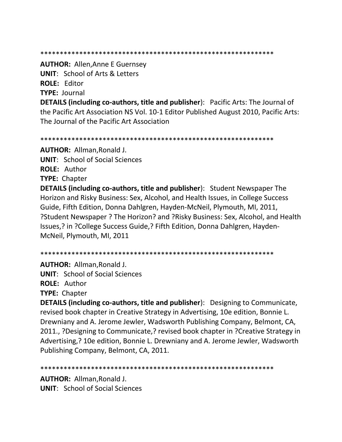#### \*\*\*\*\*\*\*\*\*\*\*\*\*\*\*\*\*\*\*\*\*\*\*\*\*\*\*\*\*\*\*\*\*\*\*\*\*\*\*\*\*\*\*\*\*\*\*\*\*\*\*\*\*\*\*\*\*\*\*\*

**AUTHOR:** Allen,Anne E Guernsey **UNIT**: School of Arts & Letters **ROLE:** Editor **TYPE:** Journal

**DETAILS (including co-authors, title and publisher**): Pacific Arts: The Journal of the Pacific Art Association NS Vol. 10-1 Editor Published August 2010, Pacific Arts: The Journal of the Pacific Art Association

\*\*\*\*\*\*\*\*\*\*\*\*\*\*\*\*\*\*\*\*\*\*\*\*\*\*\*\*\*\*\*\*\*\*\*\*\*\*\*\*\*\*\*\*\*\*\*\*\*\*\*\*\*\*\*\*\*\*\*\*

**AUTHOR:** Allman,Ronald J.

**UNIT**: School of Social Sciences

**ROLE:** Author

**TYPE:** Chapter

**DETAILS (including co-authors, title and publisher**): Student Newspaper The Horizon and Risky Business: Sex, Alcohol, and Health Issues, in College Success Guide, Fifth Edition, Donna Dahlgren, Hayden-McNeil, Plymouth, MI, 2011, ?Student Newspaper ? The Horizon? and ?Risky Business: Sex, Alcohol, and Health Issues,? in ?College Success Guide,? Fifth Edition, Donna Dahlgren, Hayden-McNeil, Plymouth, MI, 2011

\*\*\*\*\*\*\*\*\*\*\*\*\*\*\*\*\*\*\*\*\*\*\*\*\*\*\*\*\*\*\*\*\*\*\*\*\*\*\*\*\*\*\*\*\*\*\*\*\*\*\*\*\*\*\*\*\*\*\*\*

**AUTHOR:** Allman,Ronald J. **UNIT**: School of Social Sciences

**ROLE:** Author

**TYPE:** Chapter

**DETAILS (including co-authors, title and publisher**): Designing to Communicate, revised book chapter in Creative Strategy in Advertising, 10e edition, Bonnie L. Drewniany and A. Jerome Jewler, Wadsworth Publishing Company, Belmont, CA, 2011., ?Designing to Communicate,? revised book chapter in ?Creative Strategy in Advertising,? 10e edition, Bonnie L. Drewniany and A. Jerome Jewler, Wadsworth Publishing Company, Belmont, CA, 2011.

\*\*\*\*\*\*\*\*\*\*\*\*\*\*\*\*\*\*\*\*\*\*\*\*\*\*\*\*\*\*\*\*\*\*\*\*\*\*\*\*\*\*\*\*\*\*\*\*\*\*\*\*\*\*\*\*\*\*\*\*

**AUTHOR:** Allman,Ronald J. **UNIT**: School of Social Sciences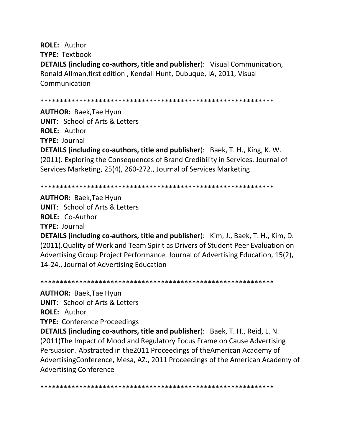**ROLE:** Author **TYPE:** Textbook **DETAILS (including co-authors, title and publisher**): Visual Communication, Ronald Allman,first edition , Kendall Hunt, Dubuque, IA, 2011, Visual Communication

\*\*\*\*\*\*\*\*\*\*\*\*\*\*\*\*\*\*\*\*\*\*\*\*\*\*\*\*\*\*\*\*\*\*\*\*\*\*\*\*\*\*\*\*\*\*\*\*\*\*\*\*\*\*\*\*\*\*\*\*

**AUTHOR:** Baek,Tae Hyun **UNIT**: School of Arts & Letters **ROLE:** Author **TYPE:** Journal **DETAILS (including co-authors, title and publisher**): Baek, T. H., King, K. W. (2011). Exploring the Consequences of Brand Credibility in Services. Journal of Services Marketing, 25(4), 260-272., Journal of Services Marketing

\*\*\*\*\*\*\*\*\*\*\*\*\*\*\*\*\*\*\*\*\*\*\*\*\*\*\*\*\*\*\*\*\*\*\*\*\*\*\*\*\*\*\*\*\*\*\*\*\*\*\*\*\*\*\*\*\*\*\*\*

**AUTHOR:** Baek,Tae Hyun **UNIT**: School of Arts & Letters **ROLE:** Co-Author **TYPE:** Journal

**DETAILS (including co-authors, title and publisher**): Kim, J., Baek, T. H., Kim, D. (2011).Quality of Work and Team Spirit as Drivers of Student Peer Evaluation on Advertising Group Project Performance. Journal of Advertising Education, 15(2), 14-24., Journal of Advertising Education

\*\*\*\*\*\*\*\*\*\*\*\*\*\*\*\*\*\*\*\*\*\*\*\*\*\*\*\*\*\*\*\*\*\*\*\*\*\*\*\*\*\*\*\*\*\*\*\*\*\*\*\*\*\*\*\*\*\*\*\*

**AUTHOR:** Baek,Tae Hyun

**UNIT**: School of Arts & Letters

**ROLE:** Author

**TYPE:** Conference Proceedings

**DETAILS (including co-authors, title and publisher**): Baek, T. H., Reid, L. N. (2011)The Impact of Mood and Regulatory Focus Frame on Cause Advertising Persuasion. Abstracted in the2011 Proceedings of theAmerican Academy of AdvertisingConference, Mesa, AZ., 2011 Proceedings of the American Academy of Advertising Conference

\*\*\*\*\*\*\*\*\*\*\*\*\*\*\*\*\*\*\*\*\*\*\*\*\*\*\*\*\*\*\*\*\*\*\*\*\*\*\*\*\*\*\*\*\*\*\*\*\*\*\*\*\*\*\*\*\*\*\*\*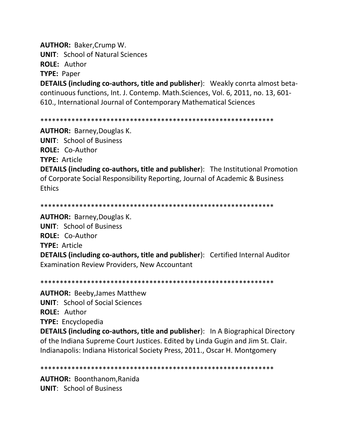**AUTHOR: Baker, Crump W. UNIT: School of Natural Sciences** 

**ROLE: Author** 

**TYPE: Paper** 

**DETAILS (including co-authors, title and publisher):** Weakly conrta almost betacontinuous functions, Int. J. Contemp. Math. Sciences, Vol. 6, 2011, no. 13, 601-610., International Journal of Contemporary Mathematical Sciences

#### 

**AUTHOR: Barney, Douglas K. UNIT: School of Business ROLE: Co-Author TYPE: Article DETAILS (including co-authors, title and publisher):** The Institutional Promotion of Corporate Social Responsibility Reporting, Journal of Academic & Business **Ethics** 

**AUTHOR: Barney, Douglas K. UNIT: School of Business** ROLE: Co-Author **TYPE: Article DETAILS (including co-authors, title and publisher):** Certified Internal Auditor **Examination Review Providers, New Accountant** 

**AUTHOR: Beeby, James Matthew UNIT:** School of Social Sciences

ROLE: Author

**TYPE:** Encyclopedia

**DETAILS (including co-authors, title and publisher):** In A Biographical Directory of the Indiana Supreme Court Justices. Edited by Linda Gugin and Jim St. Clair. Indianapolis: Indiana Historical Society Press, 2011., Oscar H. Montgomery

**AUTHOR: Boonthanom, Ranida UNIT:** School of Business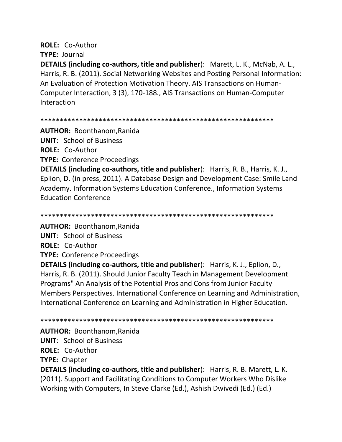## **ROLE: Co-Author**

**TYPE: Journal** 

DETAILS (including co-authors, title and publisher): Marett, L. K., McNab, A. L., Harris, R. B. (2011). Social Networking Websites and Posting Personal Information: An Evaluation of Protection Motivation Theory. AIS Transactions on Human-Computer Interaction, 3 (3), 170-188., AIS Transactions on Human-Computer Interaction

**AUTHOR: Boonthanom, Ranida** 

**UNIT: School of Business** 

**ROLE: Co-Author** 

**TYPE: Conference Proceedings** 

DETAILS (including co-authors, title and publisher): Harris, R. B., Harris, K. J., Eplion, D. (in press, 2011). A Database Design and Development Case: Smile Land Academy. Information Systems Education Conference., Information Systems **Education Conference** 

**AUTHOR: Boonthanom, Ranida** 

**UNIT:** School of Business

**ROLE: Co-Author** 

**TYPE: Conference Proceedings** 

**DETAILS (including co-authors, title and publisher):** Harris, K. J., Eplion, D., Harris, R. B. (2011). Should Junior Faculty Teach in Management Development Programs" An Analysis of the Potential Pros and Cons from Junior Faculty Members Perspectives. International Conference on Learning and Administration, International Conference on Learning and Administration in Higher Education.

**AUTHOR: Boonthanom, Ranida** 

**UNIT:** School of Business

ROLE: Co-Author

**TYPE: Chapter** 

**DETAILS (including co-authors, title and publisher):** Harris, R. B. Marett, L. K. (2011). Support and Facilitating Conditions to Computer Workers Who Dislike Working with Computers, In Steve Clarke (Ed.), Ashish Dwivedi (Ed.) (Ed.)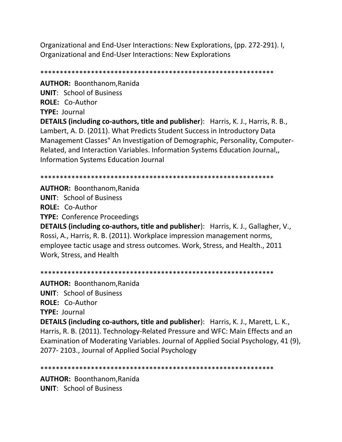Organizational and End-User Interactions: New Explorations, (pp. 272-291). I, Organizational and End-User Interactions: New Explorations

\*\*\*\*\*\*\*\*\*\*\*\*\*\*\*\*\*\*\*\*\*\*\*\*\*\*\*\*\*\*\*\*\*\*\*\*\*\*\*\*\*\*\*\*\*\*\*\*\*\*\*\*\*\*\*\*\*\*\*\*

**AUTHOR:** Boonthanom,Ranida **UNIT**: School of Business **ROLE:** Co-Author **TYPE:** Journal

**DETAILS (including co-authors, title and publisher**): Harris, K. J., Harris, R. B., Lambert, A. D. (2011). What Predicts Student Success in Introductory Data Management Classes" An Investigation of Demographic, Personality, Computer-Related, and Interaction Variables. Information Systems Education Journal,, Information Systems Education Journal

\*\*\*\*\*\*\*\*\*\*\*\*\*\*\*\*\*\*\*\*\*\*\*\*\*\*\*\*\*\*\*\*\*\*\*\*\*\*\*\*\*\*\*\*\*\*\*\*\*\*\*\*\*\*\*\*\*\*\*\*

**AUTHOR:** Boonthanom,Ranida **UNIT**: School of Business **ROLE:** Co-Author **TYPE:** Conference Proceedings

**DETAILS (including co-authors, title and publisher**): Harris, K. J., Gallagher, V., Rossi, A., Harris, R. B. (2011). Workplace impression management norms, employee tactic usage and stress outcomes. Work, Stress, and Health., 2011 Work, Stress, and Health

\*\*\*\*\*\*\*\*\*\*\*\*\*\*\*\*\*\*\*\*\*\*\*\*\*\*\*\*\*\*\*\*\*\*\*\*\*\*\*\*\*\*\*\*\*\*\*\*\*\*\*\*\*\*\*\*\*\*\*\*

**AUTHOR:** Boonthanom,Ranida **UNIT**: School of Business **ROLE:** Co-Author **TYPE:** Journal **DETAILS (including co-authors, title and publisher**): Harris, K. J., Marett, L. K., Harris, R. B. (2011). Technology-Related Pressure and WFC: Main Effects and an Examination of Moderating Variables. Journal of Applied Social Psychology, 41 (9), 2077- 2103., Journal of Applied Social Psychology

\*\*\*\*\*\*\*\*\*\*\*\*\*\*\*\*\*\*\*\*\*\*\*\*\*\*\*\*\*\*\*\*\*\*\*\*\*\*\*\*\*\*\*\*\*\*\*\*\*\*\*\*\*\*\*\*\*\*\*\*

**AUTHOR:** Boonthanom,Ranida **UNIT**: School of Business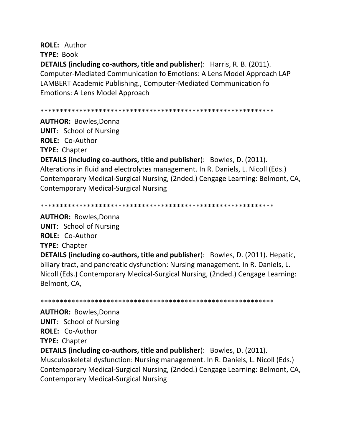**ROLE:** Author **TYPE:** Book **DETAILS (including co-authors, title and publisher**): Harris, R. B. (2011). Computer-Mediated Communication fo Emotions: A Lens Model Approach LAP LAMBERT Academic Publishing., Computer-Mediated Communication fo Emotions: A Lens Model Approach

\*\*\*\*\*\*\*\*\*\*\*\*\*\*\*\*\*\*\*\*\*\*\*\*\*\*\*\*\*\*\*\*\*\*\*\*\*\*\*\*\*\*\*\*\*\*\*\*\*\*\*\*\*\*\*\*\*\*\*\*

**AUTHOR:** Bowles,Donna **UNIT**: School of Nursing **ROLE:** Co-Author **TYPE:** Chapter

**DETAILS (including co-authors, title and publisher**): Bowles, D. (2011). Alterations in fluid and electrolytes management. In R. Daniels, L. Nicoll (Eds.) Contemporary Medical-Surgical Nursing, (2nded.) Cengage Learning: Belmont, CA, Contemporary Medical-Surgical Nursing

\*\*\*\*\*\*\*\*\*\*\*\*\*\*\*\*\*\*\*\*\*\*\*\*\*\*\*\*\*\*\*\*\*\*\*\*\*\*\*\*\*\*\*\*\*\*\*\*\*\*\*\*\*\*\*\*\*\*\*\*

**AUTHOR:** Bowles,Donna **UNIT**: School of Nursing **ROLE:** Co-Author **TYPE:** Chapter **DETAILS (including co-authors, title and publisher**): Bowles, D. (2011). Hepatic,

biliary tract, and pancreatic dysfunction: Nursing management. In R. Daniels, L. Nicoll (Eds.) Contemporary Medical-Surgical Nursing, (2nded.) Cengage Learning: Belmont, CA,

\*\*\*\*\*\*\*\*\*\*\*\*\*\*\*\*\*\*\*\*\*\*\*\*\*\*\*\*\*\*\*\*\*\*\*\*\*\*\*\*\*\*\*\*\*\*\*\*\*\*\*\*\*\*\*\*\*\*\*\*

**AUTHOR:** Bowles,Donna **UNIT**: School of Nursing **ROLE:** Co-Author **TYPE:** Chapter **DETAILS (including co-authors, title and publisher**): Bowles, D. (2011). Musculoskeletal dysfunction: Nursing management. In R. Daniels, L. Nicoll (Eds.) Contemporary Medical-Surgical Nursing, (2nded.) Cengage Learning: Belmont, CA,

Contemporary Medical-Surgical Nursing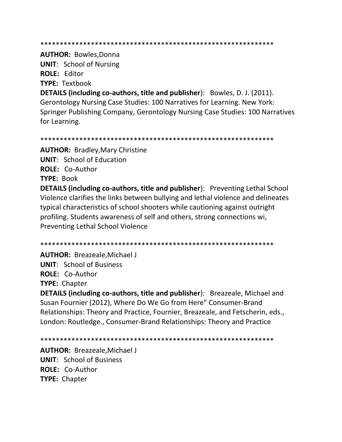**AUTHOR: Bowles, Donna UNIT: School of Nursing ROLE: Editor TYPE: Textbook DETAILS (including co-authors, title and publisher):** Bowles, D. J. (2011). Gerontology Nursing Case Studies: 100 Narratives for Learning. New York: Springer Publishing Company, Gerontology Nursing Case Studies: 100 Narratives for Learning.

**AUTHOR: Bradley, Mary Christine UNIT:** School of Education ROLE: Co-Author **TYPE: Book DETAILS (including co-authors, title and publisher):** Preventing Lethal School Violence clarifies the links between bullying and lethal violence and delineates typical characteristics of school shooters while cautioning against outright profiling. Students awareness of self and others, strong connections wi, **Preventing Lethal School Violence** 

**AUTHOR: Breazeale, Michael J UNIT:** School of Business **ROLE: Co-Author TYPE: Chapter** 

DETAILS (including co-authors, title and publisher): Breazeale, Michael and Susan Fournier (2012), Where Do We Go from Here" Consumer-Brand Relationships: Theory and Practice, Fournier, Breazeale, and Fetscherin, eds., London: Routledge., Consumer-Brand Relationships: Theory and Practice

**AUTHOR: Breazeale.Michael J UNIT:** School of Business ROLE: Co-Author **TYPE: Chapter**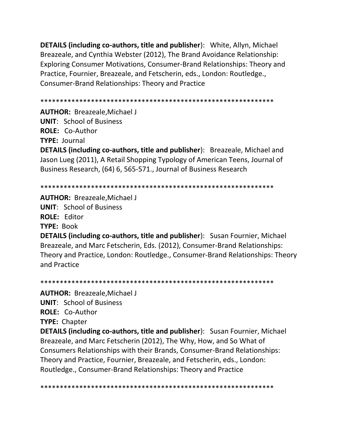**DETAILS (including co-authors, title and publisher**): White, Allyn, Michael Breazeale, and Cynthia Webster (2012), The Brand Avoidance Relationship: Exploring Consumer Motivations, Consumer-Brand Relationships: Theory and Practice, Fournier, Breazeale, and Fetscherin, eds., London: Routledge., Consumer-Brand Relationships: Theory and Practice

\*\*\*\*\*\*\*\*\*\*\*\*\*\*\*\*\*\*\*\*\*\*\*\*\*\*\*\*\*\*\*\*\*\*\*\*\*\*\*\*\*\*\*\*\*\*\*\*\*\*\*\*\*\*\*\*\*\*\*\*

**AUTHOR:** Breazeale,Michael J **UNIT**: School of Business **ROLE:** Co-Author **TYPE:** Journal **DETAILS (including co-authors, title and publisher**): Breazeale, Michael and Jason Lueg (2011), A Retail Shopping Typology of American Teens, Journal of Business Research, (64) 6, 565-571., Journal of Business Research

\*\*\*\*\*\*\*\*\*\*\*\*\*\*\*\*\*\*\*\*\*\*\*\*\*\*\*\*\*\*\*\*\*\*\*\*\*\*\*\*\*\*\*\*\*\*\*\*\*\*\*\*\*\*\*\*\*\*\*\*

**AUTHOR:** Breazeale,Michael J

**UNIT**: School of Business **ROLE:** Editor **TYPE:** Book

**DETAILS (including co-authors, title and publisher**): Susan Fournier, Michael Breazeale, and Marc Fetscherin, Eds. (2012), Consumer-Brand Relationships: Theory and Practice, London: Routledge., Consumer-Brand Relationships: Theory and Practice

\*\*\*\*\*\*\*\*\*\*\*\*\*\*\*\*\*\*\*\*\*\*\*\*\*\*\*\*\*\*\*\*\*\*\*\*\*\*\*\*\*\*\*\*\*\*\*\*\*\*\*\*\*\*\*\*\*\*\*\* **AUTHOR:** Breazeale,Michael J **UNIT**: School of Business **ROLE:** Co-Author **TYPE:** Chapter **DETAILS (including co-authors, title and publisher**): Susan Fournier, Michael Breazeale, and Marc Fetscherin (2012), The Why, How, and So What of Consumers Relationships with their Brands, Consumer-Brand Relationships: Theory and Practice, Fournier, Breazeale, and Fetscherin, eds., London: Routledge., Consumer-Brand Relationships: Theory and Practice

\*\*\*\*\*\*\*\*\*\*\*\*\*\*\*\*\*\*\*\*\*\*\*\*\*\*\*\*\*\*\*\*\*\*\*\*\*\*\*\*\*\*\*\*\*\*\*\*\*\*\*\*\*\*\*\*\*\*\*\*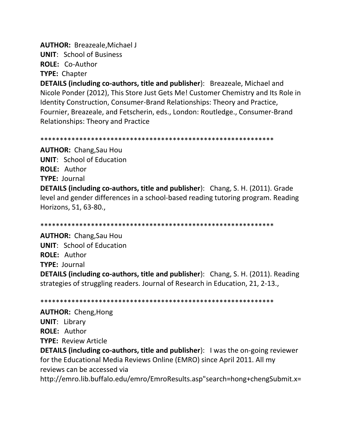**AUTHOR: Breazeale, Michael J** 

**UNIT: School of Business** 

**ROLE: Co-Author** 

**TYPE: Chapter** 

**DETAILS (including co-authors, title and publisher):** Breazeale, Michael and Nicole Ponder (2012), This Store Just Gets Me! Customer Chemistry and Its Role in Identity Construction, Consumer-Brand Relationships: Theory and Practice, Fournier, Breazeale, and Fetscherin, eds., London: Routledge., Consumer-Brand **Relationships: Theory and Practice** 

**AUTHOR: Chang, Sau Hou UNIT:** School of Education **ROLE: Author TYPE: Journal DETAILS (including co-authors, title and publisher):** Chang, S. H. (2011). Grade level and gender differences in a school-based reading tutoring program. Reading Horizons, 51, 63-80.,

**AUTHOR: Chang, Sau Hou UNIT:** School of Education **ROLE: Author TYPE: Journal DETAILS (including co-authors, title and publisher):** Chang, S. H. (2011). Reading strategies of struggling readers. Journal of Research in Education, 21, 2-13.

**AUTHOR: Cheng, Hong UNIT: Library ROLE: Author TYPE: Review Article** 

**DETAILS (including co-authors, title and publisher):** I was the on-going reviewer for the Educational Media Reviews Online (EMRO) since April 2011. All my reviews can be accessed via

http://emro.lib.buffalo.edu/emro/EmroResults.asp"search=hong+chengSubmit.x=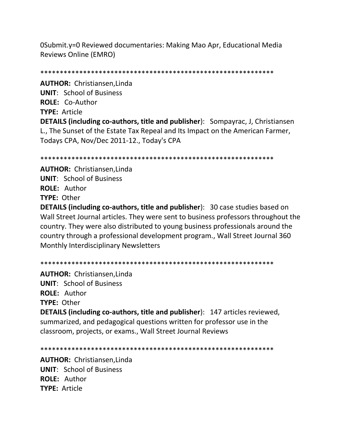OSubmit.y=0 Reviewed documentaries: Making Mao Apr, Educational Media **Reviews Online (EMRO)** 

**AUTHOR:** Christiansen, Linda **UNIT: School of Business** ROLE: Co-Author TYPE: Article

**DETAILS (including co-authors, title and publisher):** Sompayrac, J, Christiansen L., The Sunset of the Estate Tax Repeal and Its Impact on the American Farmer, Todays CPA, Nov/Dec 2011-12., Today's CPA

**AUTHOR:** Christiansen, Linda **UNIT:** School of Business **ROLE: Author** TYPE: Other

**DETAILS (including co-authors, title and publisher):** 30 case studies based on Wall Street Journal articles. They were sent to business professors throughout the country. They were also distributed to young business professionals around the country through a professional development program., Wall Street Journal 360 Monthly Interdisciplinary Newsletters

**AUTHOR:** Christiansen, Linda **UNIT:** School of Business **ROLE: Author TYPE: Other** 

**DETAILS (including co-authors, title and publisher): 147 articles reviewed,** summarized, and pedagogical questions written for professor use in the classroom, projects, or exams., Wall Street Journal Reviews

**AUTHOR: Christiansen.Linda UNIT: School of Business** ROLE: Author **TYPE: Article**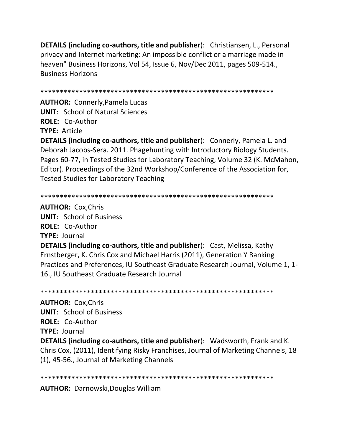**DETAILS (including co-authors, title and publisher**): Christiansen, L., Personal privacy and Internet marketing: An impossible conflict or a marriage made in heaven" Business Horizons, Vol 54, Issue 6, Nov/Dec 2011, pages 509-514., Business Horizons

\*\*\*\*\*\*\*\*\*\*\*\*\*\*\*\*\*\*\*\*\*\*\*\*\*\*\*\*\*\*\*\*\*\*\*\*\*\*\*\*\*\*\*\*\*\*\*\*\*\*\*\*\*\*\*\*\*\*\*\*

**AUTHOR:** Connerly,Pamela Lucas **UNIT**: School of Natural Sciences **ROLE:** Co-Author **TYPE:** Article

**DETAILS (including co-authors, title and publisher**): Connerly, Pamela L. and Deborah Jacobs-Sera. 2011. Phagehunting with Introductory Biology Students. Pages 60-77, in Tested Studies for Laboratory Teaching, Volume 32 (K. McMahon, Editor). Proceedings of the 32nd Workshop/Conference of the Association for, Tested Studies for Laboratory Teaching

\*\*\*\*\*\*\*\*\*\*\*\*\*\*\*\*\*\*\*\*\*\*\*\*\*\*\*\*\*\*\*\*\*\*\*\*\*\*\*\*\*\*\*\*\*\*\*\*\*\*\*\*\*\*\*\*\*\*\*\*

**AUTHOR:** Cox,Chris **UNIT**: School of Business **ROLE:** Co-Author **TYPE:** Journal **DETAILS (including co-authors, title and publisher**): Cast, Melissa, Kathy Ernstberger, K. Chris Cox and Michael Harris (2011), Generation Y Banking Practices and Preferences, IU Southeast Graduate Research Journal, Volume 1, 1- 16., IU Southeast Graduate Research Journal

\*\*\*\*\*\*\*\*\*\*\*\*\*\*\*\*\*\*\*\*\*\*\*\*\*\*\*\*\*\*\*\*\*\*\*\*\*\*\*\*\*\*\*\*\*\*\*\*\*\*\*\*\*\*\*\*\*\*\*\*

**AUTHOR:** Cox,Chris **UNIT**: School of Business **ROLE:** Co-Author **TYPE:** Journal **DETAILS (including co-authors, title and publisher**): Wadsworth, Frank and K. Chris Cox, (2011), Identifying Risky Franchises, Journal of Marketing Channels, 18 (1), 45-56., Journal of Marketing Channels

\*\*\*\*\*\*\*\*\*\*\*\*\*\*\*\*\*\*\*\*\*\*\*\*\*\*\*\*\*\*\*\*\*\*\*\*\*\*\*\*\*\*\*\*\*\*\*\*\*\*\*\*\*\*\*\*\*\*\*\*

**AUTHOR:** Darnowski,Douglas William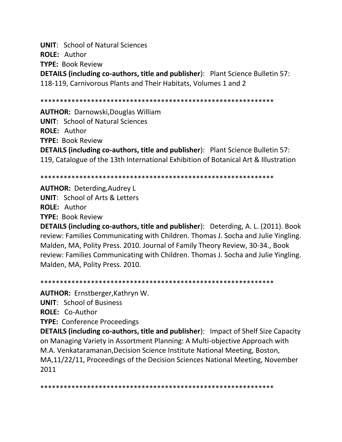**UNIT: School of Natural Sciences** ROLE: Author **TYPE: Book Review** 

**DETAILS (including co-authors, title and publisher):** Plant Science Bulletin 57: 118-119, Carnivorous Plants and Their Habitats, Volumes 1 and 2

**AUTHOR: Darnowski, Douglas William UNIT: School of Natural Sciences ROLE: Author TYPE: Book Review DETAILS (including co-authors, title and publisher):** Plant Science Bulletin 57: 119, Catalogue of the 13th International Exhibition of Botanical Art & Illustration

**AUTHOR: Deterding, Audrey L UNIT:** School of Arts & Letters **ROLE: Author** 

**TYPE: Book Review** 

**DETAILS (including co-authors, title and publisher):** Deterding, A. L. (2011). Book review: Families Communicating with Children. Thomas J. Socha and Julie Yingling. Malden, MA, Polity Press. 2010. Journal of Family Theory Review, 30-34., Book review: Families Communicating with Children. Thomas J. Socha and Julie Yingling. Malden, MA, Polity Press. 2010.

**AUTHOR:** Ernstberger, Kathryn W.

**UNIT: School of Business** 

**ROLE: Co-Author** 

**TYPE: Conference Proceedings** 

**DETAILS (including co-authors, title and publisher):** Impact of Shelf Size Capacity on Managing Variety in Assortment Planning: A Multi-objective Approach with M.A. Venkataramanan, Decision Science Institute National Meeting, Boston, MA,11/22/11, Proceedings of the Decision Sciences National Meeting, November 2011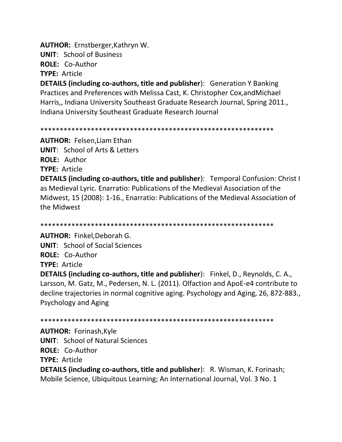**AUTHOR:** Ernstberger, Kathryn W.

**UNIT: School of Business** 

ROLE: Co-Author

**TYPE: Article** 

**DETAILS (including co-authors, title and publisher):** Generation Y Banking Practices and Preferences with Melissa Cast, K. Christopher Cox, and Michael Harris,, Indiana University Southeast Graduate Research Journal, Spring 2011., Indiana University Southeast Graduate Research Journal

**AUTHOR:** Felsen, Liam Ethan **UNIT:** School of Arts & Letters **ROLE: Author TYPE: Article DETAILS (including co-authors, title and publisher):** Temporal Confusion: Christ I as Medieval Lyric. Enarratio: Publications of the Medieval Association of the Midwest, 15 (2008): 1-16., Enarratio: Publications of the Medieval Association of the Midwest

**AUTHOR: Finkel, Deborah G. UNIT:** School of Social Sciences ROLE: Co-Author **TYPE: Article** 

**DETAILS (including co-authors, title and publisher):** Finkel, D., Reynolds, C. A., Larsson, M. Gatz, M., Pedersen, N. L. (2011). Olfaction and ApoE-e4 contribute to decline trajectories in normal cognitive aging. Psychology and Aging, 26, 872-883., **Psychology and Aging** 

**AUTHOR: Forinash, Kyle UNIT:** School of Natural Sciences ROLE: Co-Author **TYPE: Article DETAILS (including co-authors, title and publisher):** R. Wisman, K. Forinash; Mobile Science, Ubiquitous Learning; An International Journal, Vol. 3 No. 1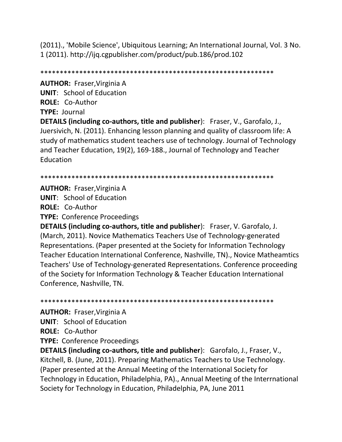(2011)., 'Mobile Science', Ubiquitous Learning; An International Journal, Vol. 3 No. 1 (2011). http://ijq.cgpublisher.com/product/pub.186/prod.102

\*\*\*\*\*\*\*\*\*\*\*\*\*\*\*\*\*\*\*\*\*\*\*\*\*\*\*\*\*\*\*\*\*\*\*\*\*\*\*\*\*\*\*\*\*\*\*\*\*\*\*\*\*\*\*\*\*\*\*\*

**AUTHOR:** Fraser,Virginia A **UNIT**: School of Education **ROLE:** Co-Author **TYPE:** Journal

**DETAILS (including co-authors, title and publisher**): Fraser, V., Garofalo, J., Juersivich, N. (2011). Enhancing lesson planning and quality of classroom life: A study of mathematics student teachers use of technology. Journal of Technology and Teacher Education, 19(2), 169-188., Journal of Technology and Teacher Education

\*\*\*\*\*\*\*\*\*\*\*\*\*\*\*\*\*\*\*\*\*\*\*\*\*\*\*\*\*\*\*\*\*\*\*\*\*\*\*\*\*\*\*\*\*\*\*\*\*\*\*\*\*\*\*\*\*\*\*\*

**AUTHOR:** Fraser,Virginia A **UNIT**: School of Education **ROLE:** Co-Author

**TYPE:** Conference Proceedings

**DETAILS (including co-authors, title and publisher**): Fraser, V. Garofalo, J. (March, 2011). Novice Mathematics Teachers Use of Technology-generated Representations. (Paper presented at the Society for Information Technology Teacher Education International Conference, Nashville, TN)., Novice Matheamtics Teachers' Use of Technology-generated Representations. Conference proceeding of the Society for Information Technology & Teacher Education International Conference, Nashville, TN.

\*\*\*\*\*\*\*\*\*\*\*\*\*\*\*\*\*\*\*\*\*\*\*\*\*\*\*\*\*\*\*\*\*\*\*\*\*\*\*\*\*\*\*\*\*\*\*\*\*\*\*\*\*\*\*\*\*\*\*\*

**AUTHOR:** Fraser,Virginia A

**UNIT**: School of Education

**ROLE:** Co-Author

**TYPE:** Conference Proceedings

**DETAILS (including co-authors, title and publisher**): Garofalo, J., Fraser, V., Kitchell, B. (June, 2011). Preparing Mathematics Teachers to Use Technology. (Paper presented at the Annual Meeting of the International Society for Technology in Education, Philadelphia, PA)., Annual Meeting of the Interrnational Society for Technology in Education, Philadelphia, PA, June 2011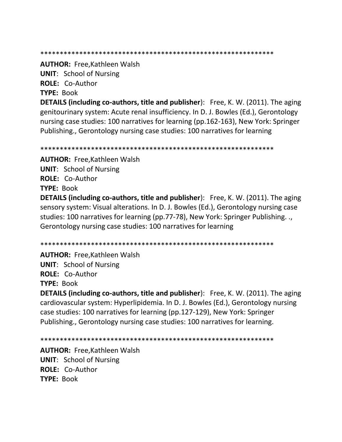\*\*\*\*\*\*\*\*\*\*\*\*\*\*\*\*\*\*\*\*\*\*\*\*\*\*\*\*\*\*\*\*\*\*\*\*\*\*\*\*\*\*\*\*\*\*\*\*\*\*\*\*\*\*\*\*\*\*\*\*

**AUTHOR:** Free,Kathleen Walsh

**UNIT**: School of Nursing

**ROLE:** Co-Author

**TYPE:** Book

**DETAILS (including co-authors, title and publisher**): Free, K. W. (2011). The aging genitourinary system: Acute renal insufficiency. In D. J. Bowles (Ed.), Gerontology nursing case studies: 100 narratives for learning (pp.162-163), New York: Springer Publishing., Gerontology nursing case studies: 100 narratives for learning

\*\*\*\*\*\*\*\*\*\*\*\*\*\*\*\*\*\*\*\*\*\*\*\*\*\*\*\*\*\*\*\*\*\*\*\*\*\*\*\*\*\*\*\*\*\*\*\*\*\*\*\*\*\*\*\*\*\*\*\*

**AUTHOR:** Free,Kathleen Walsh **UNIT**: School of Nursing **ROLE:** Co-Author **TYPE:** Book

**DETAILS (including co-authors, title and publisher**): Free, K. W. (2011). The aging sensory system: Visual alterations. In D. J. Bowles (Ed.), Gerontology nursing case studies: 100 narratives for learning (pp.77-78), New York: Springer Publishing. ., Gerontology nursing case studies: 100 narratives for learning

\*\*\*\*\*\*\*\*\*\*\*\*\*\*\*\*\*\*\*\*\*\*\*\*\*\*\*\*\*\*\*\*\*\*\*\*\*\*\*\*\*\*\*\*\*\*\*\*\*\*\*\*\*\*\*\*\*\*\*\*

**AUTHOR:** Free,Kathleen Walsh **UNIT**: School of Nursing **ROLE:** Co-Author **TYPE:** Book

**DETAILS (including co-authors, title and publisher**): Free, K. W. (2011). The aging cardiovascular system: Hyperlipidemia. In D. J. Bowles (Ed.), Gerontology nursing case studies: 100 narratives for learning (pp.127-129), New York: Springer Publishing., Gerontology nursing case studies: 100 narratives for learning.

\*\*\*\*\*\*\*\*\*\*\*\*\*\*\*\*\*\*\*\*\*\*\*\*\*\*\*\*\*\*\*\*\*\*\*\*\*\*\*\*\*\*\*\*\*\*\*\*\*\*\*\*\*\*\*\*\*\*\*\*

**AUTHOR:** Free,Kathleen Walsh **UNIT**: School of Nursing **ROLE:** Co-Author **TYPE:** Book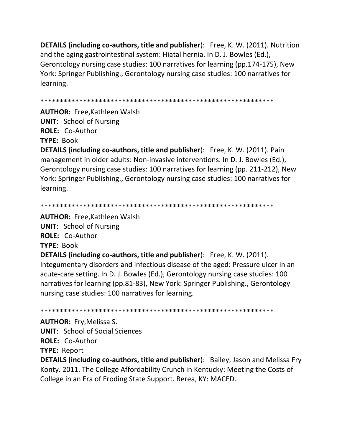**DETAILS (including co-authors, title and publisher):** Free, K. W. (2011). Nutrition and the aging gastrointestinal system: Hiatal hernia. In D. J. Bowles (Ed.), Gerontology nursing case studies: 100 narratives for learning (pp.174-175), New York: Springer Publishing., Gerontology nursing case studies: 100 narratives for learning.

**AUTHOR: Free, Kathleen Walsh UNIT:** School of Nursing ROLE: Co-Author **TYPE: Book** 

**DETAILS (including co-authors, title and publisher):** Free, K. W. (2011). Pain management in older adults: Non-invasive interventions. In D. J. Bowles (Ed.), Gerontology nursing case studies: 100 narratives for learning (pp. 211-212), New York: Springer Publishing., Gerontology nursing case studies: 100 narratives for learning.

**AUTHOR: Free, Kathleen Walsh** 

**UNIT:** School of Nursing

ROLE: Co-Author

**TYPE: Book** 

**DETAILS (including co-authors, title and publisher):** Free, K. W. (2011). Integumentary disorders and infectious disease of the aged: Pressure ulcer in an acute-care setting. In D. J. Bowles (Ed.), Gerontology nursing case studies: 100 narratives for learning (pp.81-83), New York: Springer Publishing., Gerontology nursing case studies: 100 narratives for learning.

**AUTHOR: Fry, Melissa S.** 

**UNIT:** School of Social Sciences

**ROLE: Co-Author** 

**TYPE: Report** 

**DETAILS (including co-authors, title and publisher):** Bailey, Jason and Melissa Fry Konty. 2011. The College Affordability Crunch in Kentucky: Meeting the Costs of College in an Era of Eroding State Support. Berea, KY: MACED.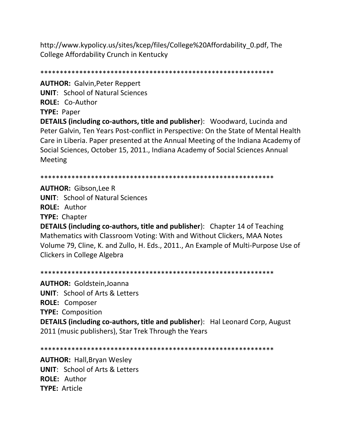http://www.kypolicy.us/sites/kcep/files/College%20Affordability 0.pdf, The College Affordability Crunch in Kentucky

**AUTHOR: Galvin, Peter Reppert UNIT: School of Natural Sciences** ROLE: Co-Author **TYPE: Paper** 

DETAILS (including co-authors, title and publisher): Woodward, Lucinda and Peter Galvin, Ten Years Post-conflict in Perspective: On the State of Mental Health Care in Liberia. Paper presented at the Annual Meeting of the Indiana Academy of Social Sciences, October 15, 2011., Indiana Academy of Social Sciences Annual **Meeting** 

**AUTHOR: Gibson, Lee R UNIT:** School of Natural Sciences **ROLE: Author TYPE: Chapter** 

**DETAILS (including co-authors, title and publisher):** Chapter 14 of Teaching Mathematics with Classroom Voting: With and Without Clickers, MAA Notes Volume 79, Cline, K. and Zullo, H. Eds., 2011., An Example of Multi-Purpose Use of **Clickers in College Algebra** 

**AUTHOR: Goldstein, Joanna UNIT:** School of Arts & Letters **ROLE:** Composer **TYPE: Composition DETAILS (including co-authors, title and publisher):** Hal Leonard Corp, August 2011 (music publishers), Star Trek Through the Years

**AUTHOR: Hall, Bryan Wesley UNIT: School of Arts & Letters** ROLE: Author **TYPE: Article**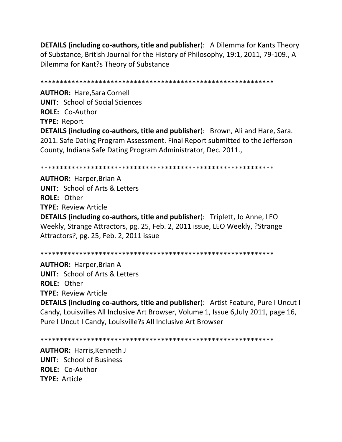**DETAILS (including co-authors, title and publisher**): A Dilemma for Kants Theory of Substance, British Journal for the History of Philosophy, 19:1, 2011, 79-109., A Dilemma for Kant?s Theory of Substance

\*\*\*\*\*\*\*\*\*\*\*\*\*\*\*\*\*\*\*\*\*\*\*\*\*\*\*\*\*\*\*\*\*\*\*\*\*\*\*\*\*\*\*\*\*\*\*\*\*\*\*\*\*\*\*\*\*\*\*\* **AUTHOR:** Hare,Sara Cornell **UNIT**: School of Social Sciences **ROLE:** Co-Author **TYPE:** Report **DETAILS (including co-authors, title and publisher**): Brown, Ali and Hare, Sara. 2011. Safe Dating Program Assessment. Final Report submitted to the Jefferson County, Indiana Safe Dating Program Administrator, Dec. 2011.,

\*\*\*\*\*\*\*\*\*\*\*\*\*\*\*\*\*\*\*\*\*\*\*\*\*\*\*\*\*\*\*\*\*\*\*\*\*\*\*\*\*\*\*\*\*\*\*\*\*\*\*\*\*\*\*\*\*\*\*\*

**AUTHOR:** Harper,Brian A **UNIT**: School of Arts & Letters **ROLE:** Other **TYPE:** Review Article **DETAILS (including co-authors, title and publisher**): Triplett, Jo Anne, LEO Weekly, Strange Attractors, pg. 25, Feb. 2, 2011 issue, LEO Weekly, ?Strange Attractors?, pg. 25, Feb. 2, 2011 issue

\*\*\*\*\*\*\*\*\*\*\*\*\*\*\*\*\*\*\*\*\*\*\*\*\*\*\*\*\*\*\*\*\*\*\*\*\*\*\*\*\*\*\*\*\*\*\*\*\*\*\*\*\*\*\*\*\*\*\*\*

**AUTHOR:** Harper,Brian A **UNIT**: School of Arts & Letters **ROLE:** Other **TYPE:** Review Article

**DETAILS (including co-authors, title and publisher**): Artist Feature, Pure I Uncut I Candy, Louisvilles All Inclusive Art Browser, Volume 1, Issue 6,July 2011, page 16, Pure I Uncut I Candy, Louisville?s All Inclusive Art Browser

\*\*\*\*\*\*\*\*\*\*\*\*\*\*\*\*\*\*\*\*\*\*\*\*\*\*\*\*\*\*\*\*\*\*\*\*\*\*\*\*\*\*\*\*\*\*\*\*\*\*\*\*\*\*\*\*\*\*\*\*

**AUTHOR:** Harris,Kenneth J **UNIT**: School of Business **ROLE:** Co-Author **TYPE:** Article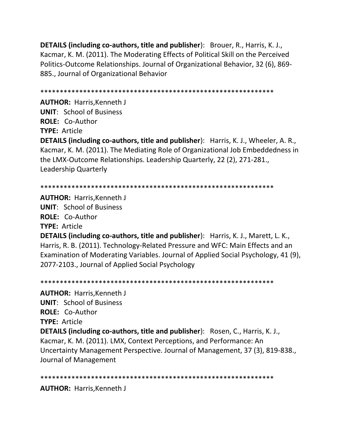**DETAILS (including co-authors, title and publisher**): Brouer, R., Harris, K. J., Kacmar, K. M. (2011). The Moderating Effects of Political Skill on the Perceived Politics-Outcome Relationships. Journal of Organizational Behavior, 32 (6), 869- 885., Journal of Organizational Behavior

\*\*\*\*\*\*\*\*\*\*\*\*\*\*\*\*\*\*\*\*\*\*\*\*\*\*\*\*\*\*\*\*\*\*\*\*\*\*\*\*\*\*\*\*\*\*\*\*\*\*\*\*\*\*\*\*\*\*\*\*

**AUTHOR:** Harris,Kenneth J **UNIT**: School of Business **ROLE:** Co-Author **TYPE:** Article **DETAILS (including co-authors, title and publisher**): Harris, K. J., Wheeler, A. R., Kacmar, K. M. (2011). The Mediating Role of Organizational Job Embeddedness in the LMX-Outcome Relationships. Leadership Quarterly, 22 (2), 271-281., Leadership Quarterly

```
************************************************************
```
**AUTHOR:** Harris,Kenneth J **UNIT**: School of Business **ROLE:** Co-Author **TYPE:** Article

**DETAILS (including co-authors, title and publisher**): Harris, K. J., Marett, L. K., Harris, R. B. (2011). Technology-Related Pressure and WFC: Main Effects and an Examination of Moderating Variables. Journal of Applied Social Psychology, 41 (9), 2077-2103., Journal of Applied Social Psychology

\*\*\*\*\*\*\*\*\*\*\*\*\*\*\*\*\*\*\*\*\*\*\*\*\*\*\*\*\*\*\*\*\*\*\*\*\*\*\*\*\*\*\*\*\*\*\*\*\*\*\*\*\*\*\*\*\*\*\*\* **AUTHOR:** Harris,Kenneth J **UNIT**: School of Business **ROLE:** Co-Author **TYPE:** Article **DETAILS (including co-authors, title and publisher**): Rosen, C., Harris, K. J., Kacmar, K. M. (2011). LMX, Context Perceptions, and Performance: An Uncertainty Management Perspective. Journal of Management, 37 (3), 819-838., Journal of Management

\*\*\*\*\*\*\*\*\*\*\*\*\*\*\*\*\*\*\*\*\*\*\*\*\*\*\*\*\*\*\*\*\*\*\*\*\*\*\*\*\*\*\*\*\*\*\*\*\*\*\*\*\*\*\*\*\*\*\*\*

**AUTHOR:** Harris,Kenneth J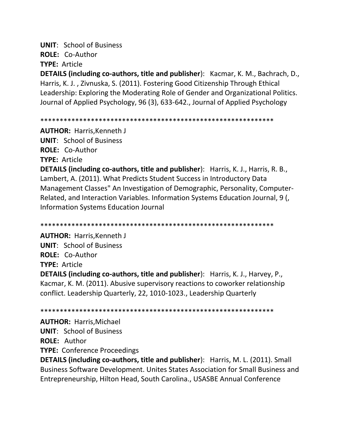**UNIT: School of Business** ROLE: Co-Author **TYPE: Article** 

DETAILS (including co-authors, title and publisher): Kacmar, K. M., Bachrach, D., Harris, K. J., Zivnuska, S. (2011). Fostering Good Citizenship Through Ethical Leadership: Exploring the Moderating Role of Gender and Organizational Politics. Journal of Applied Psychology, 96 (3), 633-642., Journal of Applied Psychology

**AUTHOR: Harris, Kenneth J UNIT: School of Business** ROLE: Co-Author **TYPE: Article DETAILS (including co-authors, title and publisher):** Harris, K. J., Harris, R. B., Lambert, A. (2011). What Predicts Student Success in Introductory Data Management Classes" An Investigation of Demographic, Personality, Computer-Related, and Interaction Variables. Information Systems Education Journal, 9 ( **Information Systems Education Journal** 

**AUTHOR: Harris, Kenneth J UNIT: School of Business** ROLE: Co-Author **TYPE: Article** 

**DETAILS (including co-authors, title and publisher):** Harris, K. J., Harvey, P., Kacmar, K. M. (2011). Abusive supervisory reactions to coworker relationship conflict. Leadership Quarterly, 22, 1010-1023., Leadership Quarterly

**AUTHOR: Harris, Michael UNIT: School of Business ROLE: Author TYPE: Conference Proceedings** 

**DETAILS (including co-authors, title and publisher):** Harris, M. L. (2011). Small Business Software Development. Unites States Association for Small Business and Entrepreneurship, Hilton Head, South Carolina., USASBE Annual Conference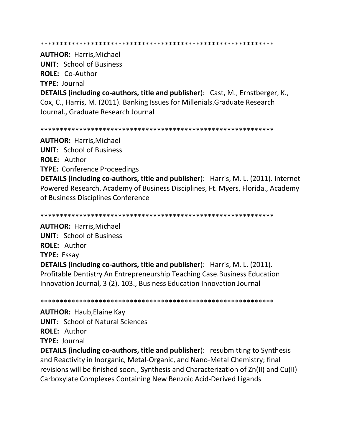#### \*\*\*\*\*\*\*\*\*\*\*\*\*\*\*\*\*\*\*\*\*\*\*\*\*\*\*\*\*\*\*\*\*\*\*\*\*\*\*\*\*\*\*\*\*\*\*\*\*\*\*\*\*\*\*\*\*\*\*\*

**AUTHOR:** Harris,Michael **UNIT**: School of Business **ROLE:** Co-Author **TYPE:** Journal **DETAILS (including co-authors, title and publisher**): Cast, M., Ernstberger, K., Cox, C., Harris, M. (2011). Banking Issues for Millenials.Graduate Research Journal., Graduate Research Journal

\*\*\*\*\*\*\*\*\*\*\*\*\*\*\*\*\*\*\*\*\*\*\*\*\*\*\*\*\*\*\*\*\*\*\*\*\*\*\*\*\*\*\*\*\*\*\*\*\*\*\*\*\*\*\*\*\*\*\*\*

**AUTHOR:** Harris,Michael **UNIT**: School of Business **ROLE:** Author **TYPE:** Conference Proceedings **DETAILS (including co-authors, title and publisher**): Harris, M. L. (2011). Internet Powered Research. Academy of Business Disciplines, Ft. Myers, Florida., Academy of Business Disciplines Conference

\*\*\*\*\*\*\*\*\*\*\*\*\*\*\*\*\*\*\*\*\*\*\*\*\*\*\*\*\*\*\*\*\*\*\*\*\*\*\*\*\*\*\*\*\*\*\*\*\*\*\*\*\*\*\*\*\*\*\*\*

**AUTHOR:** Harris,Michael **UNIT**: School of Business **ROLE:** Author **TYPE:** Essay **DETAILS (including co-authors, title and publisher**): Harris, M. L. (2011). Profitable Dentistry An Entrepreneurship Teaching Case.Business Education Innovation Journal, 3 (2), 103., Business Education Innovation Journal

\*\*\*\*\*\*\*\*\*\*\*\*\*\*\*\*\*\*\*\*\*\*\*\*\*\*\*\*\*\*\*\*\*\*\*\*\*\*\*\*\*\*\*\*\*\*\*\*\*\*\*\*\*\*\*\*\*\*\*\*

**AUTHOR:** Haub,Elaine Kay **UNIT**: School of Natural Sciences **ROLE:** Author **TYPE:** Journal

**DETAILS (including co-authors, title and publisher):** resubmitting to Synthesis and Reactivity in Inorganic, Metal-Organic, and Nano-Metal Chemistry; final revisions will be finished soon., Synthesis and Characterization of Zn(II) and Cu(II) Carboxylate Complexes Containing New Benzoic Acid-Derived Ligands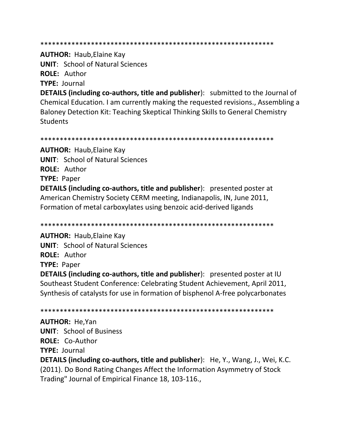#### 

**AUTHOR: Haub, Elaine Kay** 

**UNIT: School of Natural Sciences ROLE: Author TYPE: Journal** 

**DETAILS (including co-authors, title and publisher):** submitted to the Journal of Chemical Education. I am currently making the requested revisions., Assembling a Baloney Detection Kit: Teaching Skeptical Thinking Skills to General Chemistry **Students** 

**AUTHOR: Haub, Elaine Kay UNIT: School of Natural Sciences ROLE: Author TYPE: Paper DETAILS (including co-authors, title and publisher):** presented poster at American Chemistry Society CERM meeting, Indianapolis, IN, June 2011, Formation of metal carboxylates using benzoic acid-derived ligands

**AUTHOR: Haub, Elaine Kay UNIT: School of Natural Sciences ROLE: Author TYPE: Paper** 

**DETAILS (including co-authors, title and publisher):** presented poster at IU Southeast Student Conference: Celebrating Student Achievement, April 2011, Synthesis of catalysts for use in formation of bisphenol A-free polycarbonates

**AUTHOR: He, Yan UNIT: School of Business** ROLE: Co-Author **TYPE: Journal DETAILS (including co-authors, title and publisher):** He, Y., Wang, J., Wei, K.C. (2011). Do Bond Rating Changes Affect the Information Asymmetry of Stock Trading" Journal of Empirical Finance 18, 103-116.,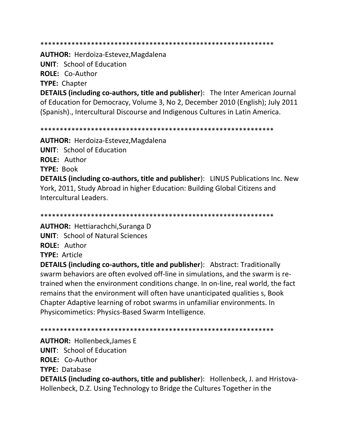**AUTHOR: Herdoiza-Estevez, Magdalena UNIT:** School of Education ROLE: Co-Author **TYPE: Chapter DETAILS (including co-authors, title and publisher):** The Inter American Journal of Education for Democracy, Volume 3, No 2, December 2010 (English); July 2011 (Spanish)., Intercultural Discourse and Indigenous Cultures in Latin America.

**AUTHOR:** Herdoiza-Estevez, Magdalena **UNIT:** School of Education **ROLE: Author TYPE: Book DETAILS (including co-authors, title and publisher):** LINUS Publications Inc. New York, 2011, Study Abroad in higher Education: Building Global Citizens and Intercultural Leaders

**AUTHOR:** Hettiarachchi, Suranga D **UNIT:** School of Natural Sciences **ROLE: Author TYPE: Article** 

**DETAILS (including co-authors, title and publisher):** Abstract: Traditionally swarm behaviors are often evolved off-line in simulations, and the swarm is retrained when the environment conditions change. In on-line, real world, the fact remains that the environment will often have unanticipated qualities s, Book Chapter Adaptive learning of robot swarms in unfamiliar environments. In Physicomimetics: Physics-Based Swarm Intelligence.

**AUTHOR: Hollenbeck, James E** 

**UNIT:** School of Education

ROLE: Co-Author

**TYPE: Database** 

**DETAILS (including co-authors, title and publisher):** Hollenbeck, J. and Hristova-Hollenbeck, D.Z. Using Technology to Bridge the Cultures Together in the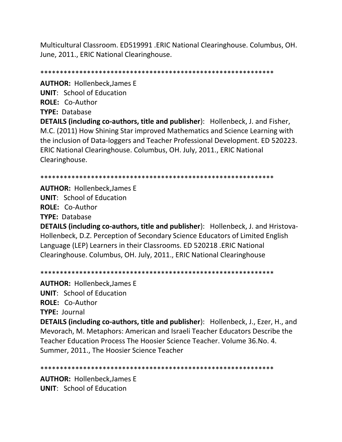Multicultural Classroom. ED519991 .ERIC National Clearinghouse. Columbus, OH. June, 2011., ERIC National Clearinghouse.

\*\*\*\*\*\*\*\*\*\*\*\*\*\*\*\*\*\*\*\*\*\*\*\*\*\*\*\*\*\*\*\*\*\*\*\*\*\*\*\*\*\*\*\*\*\*\*\*\*\*\*\*\*\*\*\*\*\*\*\*

**AUTHOR:** Hollenbeck,James E **UNIT**: School of Education **ROLE:** Co-Author **TYPE:** Database

**DETAILS (including co-authors, title and publisher**): Hollenbeck, J. and Fisher, M.C. (2011) How Shining Star improved Mathematics and Science Learning with the inclusion of Data-loggers and Teacher Professional Development. ED 520223. ERIC National Clearinghouse. Columbus, OH. July, 2011., ERIC National Clearinghouse.

\*\*\*\*\*\*\*\*\*\*\*\*\*\*\*\*\*\*\*\*\*\*\*\*\*\*\*\*\*\*\*\*\*\*\*\*\*\*\*\*\*\*\*\*\*\*\*\*\*\*\*\*\*\*\*\*\*\*\*\*

**AUTHOR:** Hollenbeck,James E **UNIT**: School of Education **ROLE:** Co-Author **TYPE:** Database

**DETAILS (including co-authors, title and publisher**): Hollenbeck, J. and Hristova-Hollenbeck, D.Z. Perception of Secondary Science Educators of Limited English Language (LEP) Learners in their Classrooms. ED 520218 .ERIC National Clearinghouse. Columbus, OH. July, 2011., ERIC National Clearinghouse

\*\*\*\*\*\*\*\*\*\*\*\*\*\*\*\*\*\*\*\*\*\*\*\*\*\*\*\*\*\*\*\*\*\*\*\*\*\*\*\*\*\*\*\*\*\*\*\*\*\*\*\*\*\*\*\*\*\*\*\*

**AUTHOR:** Hollenbeck,James E **UNIT**: School of Education **ROLE:** Co-Author **TYPE:** Journal **DETAILS (including co-authors, title and publisher**): Hollenbeck, J., Ezer, H., and Mevorach, M. Metaphors: American and Israeli Teacher Educators Describe the Teacher Education Process The Hoosier Science Teacher. Volume 36.No. 4. Summer, 2011., The Hoosier Science Teacher

\*\*\*\*\*\*\*\*\*\*\*\*\*\*\*\*\*\*\*\*\*\*\*\*\*\*\*\*\*\*\*\*\*\*\*\*\*\*\*\*\*\*\*\*\*\*\*\*\*\*\*\*\*\*\*\*\*\*\*\*

**AUTHOR:** Hollenbeck,James E **UNIT**: School of Education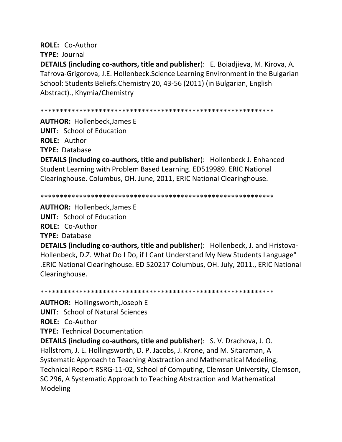## **ROLE:** Co-Author

**TYPE:** Journal

**DETAILS (including co-authors, title and publisher**): E. Boiadjieva, M. Kirova, A. Tafrova-Grigorova, J.E. Hollenbeck.Science Learning Environment in the Bulgarian School: Students Beliefs.Chemistry 20, 43-56 (2011) (in Bulgarian, English Abstract)., Khymia/Chemistry

\*\*\*\*\*\*\*\*\*\*\*\*\*\*\*\*\*\*\*\*\*\*\*\*\*\*\*\*\*\*\*\*\*\*\*\*\*\*\*\*\*\*\*\*\*\*\*\*\*\*\*\*\*\*\*\*\*\*\*\*

**AUTHOR:** Hollenbeck,James E

**UNIT**: School of Education

**ROLE:** Author

**TYPE:** Database

**DETAILS (including co-authors, title and publisher**): Hollenbeck J. Enhanced Student Learning with Problem Based Learning. ED519989. ERIC National Clearinghouse. Columbus, OH. June, 2011, ERIC National Clearinghouse.

\*\*\*\*\*\*\*\*\*\*\*\*\*\*\*\*\*\*\*\*\*\*\*\*\*\*\*\*\*\*\*\*\*\*\*\*\*\*\*\*\*\*\*\*\*\*\*\*\*\*\*\*\*\*\*\*\*\*\*\*

**AUTHOR:** Hollenbeck,James E **UNIT**: School of Education **ROLE:** Co-Author **TYPE:** Database **DETAILS (including co-authors, title and publisher**): Hollenbeck, J. and Hristova-Hollenbeck, D.Z. What Do I Do, if I Cant Understand My New Students Language" .ERIC National Clearinghouse. ED 520217 Columbus, OH. July, 2011., ERIC National

\*\*\*\*\*\*\*\*\*\*\*\*\*\*\*\*\*\*\*\*\*\*\*\*\*\*\*\*\*\*\*\*\*\*\*\*\*\*\*\*\*\*\*\*\*\*\*\*\*\*\*\*\*\*\*\*\*\*\*\*

**AUTHOR:** Hollingsworth,Joseph E

**UNIT**: School of Natural Sciences

**ROLE:** Co-Author

Clearinghouse.

**TYPE:** Technical Documentation

**DETAILS (including co-authors, title and publisher**): S. V. Drachova, J. O. Hallstrom, J. E. Hollingsworth, D. P. Jacobs, J. Krone, and M. Sitaraman, A Systematic Approach to Teaching Abstraction and Mathematical Modeling, Technical Report RSRG-11-02, School of Computing, Clemson University, Clemson, SC 296, A Systematic Approach to Teaching Abstraction and Mathematical Modeling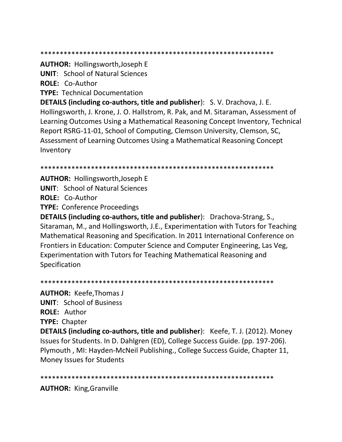**AUTHOR: Hollingsworth, Joseph E** 

**UNIT: School of Natural Sciences** 

ROLE: Co-Author

**TYPE: Technical Documentation** 

DETAILS (including co-authors, title and publisher): S. V. Drachova, J. E. Hollingsworth, J. Krone, J. O. Hallstrom, R. Pak, and M. Sitaraman, Assessment of Learning Outcomes Using a Mathematical Reasoning Concept Inventory, Technical Report RSRG-11-01, School of Computing, Clemson University, Clemson, SC, Assessment of Learning Outcomes Using a Mathematical Reasoning Concept Inventory

**AUTHOR: Hollingsworth, Joseph E** 

**UNIT: School of Natural Sciences** 

ROLE: Co-Author

**TYPE: Conference Proceedings** 

**DETAILS (including co-authors, title and publisher):** Drachova-Strang, S., Sitaraman, M., and Hollingsworth, J.E., Experimentation with Tutors for Teaching Mathematical Reasoning and Specification. In 2011 International Conference on Frontiers in Education: Computer Science and Computer Engineering, Las Veg, Experimentation with Tutors for Teaching Mathematical Reasoning and Specification

**AUTHOR: Keefe, Thomas J UNIT: School of Business ROLE: Author TYPE: Chapter DETAILS (including co-authors, title and publisher):** Keefe, T. J. (2012). Money Issues for Students. In D. Dahlgren (ED), College Success Guide. (pp. 197-206). Plymouth, MI: Hayden-McNeil Publishing., College Success Guide, Chapter 11, Money Issues for Students

**AUTHOR: King, Granville**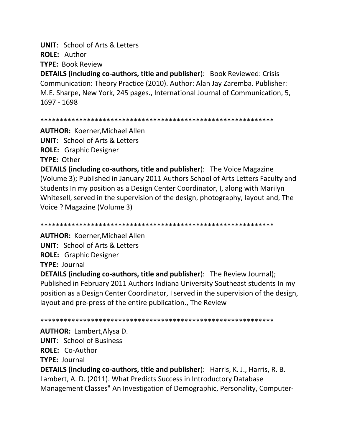**UNIT: School of Arts & Letters** ROLE: Author

**TYPE: Book Review** 

**DETAILS (including co-authors, title and publisher):** Book Reviewed: Crisis Communication: Theory Practice (2010). Author: Alan Jay Zaremba. Publisher: M.E. Sharpe, New York, 245 pages., International Journal of Communication, 5, 1697 - 1698

**AUTHOR: Koerner, Michael Allen UNIT:** School of Arts & Letters **ROLE:** Graphic Designer **TYPE: Other DETAILS (including co-authors, title and publisher):** The Voice Magazine (Volume 3); Published in January 2011 Authors School of Arts Letters Faculty and Students In my position as a Design Center Coordinator, I, along with Marilyn Whitesell, served in the supervision of the design, photography, layout and, The Voice ? Magazine (Volume 3)

**AUTHOR: Koerner, Michael Allen UNIT:** School of Arts & Letters **ROLE:** Graphic Designer **TYPE: Journal** 

**DETAILS (including co-authors, title and publisher):** The Review Journal); Published in February 2011 Authors Indiana University Southeast students In my position as a Design Center Coordinator, I served in the supervision of the design, layout and pre-press of the entire publication., The Review

**AUTHOR: Lambert, Alysa D. UNIT:** School of Business ROLE: Co-Author **TYPE: Journal DETAILS (including co-authors, title and publisher):** Harris, K. J., Harris, R. B. Lambert, A. D. (2011). What Predicts Success in Introductory Database Management Classes" An Investigation of Demographic, Personality, Computer-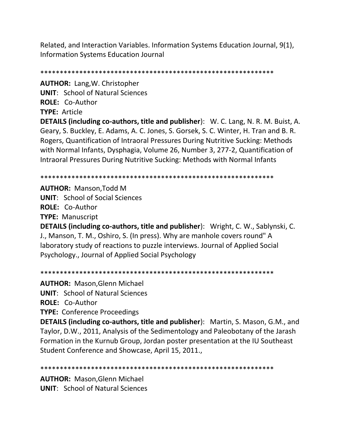Related, and Interaction Variables. Information Systems Education Journal, 9(1), **Information Systems Education Journal** 

**AUTHOR: Lang, W. Christopher UNIT: School of Natural Sciences** ROLE: Co-Author TYPE: Article

**DETAILS (including co-authors, title and publisher):** W. C. Lang, N. R. M. Buist, A. Geary, S. Buckley, E. Adams, A. C. Jones, S. Gorsek, S. C. Winter, H. Tran and B. R. Rogers, Quantification of Intraoral Pressures During Nutritive Sucking: Methods with Normal Infants, Dysphagia, Volume 26, Number 3, 277-2, Quantification of Intraoral Pressures During Nutritive Sucking: Methods with Normal Infants

**AUTHOR: Manson, Todd M UNIT:** School of Social Sciences **ROLE: Co-Author TYPE: Manuscript** 

**DETAILS (including co-authors, title and publisher):** Wright, C. W., Sablynski, C. J., Manson, T. M., Oshiro, S. (In press). Why are manhole covers round" A laboratory study of reactions to puzzle interviews. Journal of Applied Social Psychology., Journal of Applied Social Psychology

**AUTHOR: Mason, Glenn Michael** 

**UNIT:** School of Natural Sciences

ROLE: Co-Author

**TYPE: Conference Proceedings** 

**DETAILS (including co-authors, title and publisher):** Martin, S. Mason, G.M., and Taylor, D.W., 2011, Analysis of the Sedimentology and Paleobotany of the Jarash Formation in the Kurnub Group, Jordan poster presentation at the IU Southeast Student Conference and Showcase, April 15, 2011.,

**AUTHOR: Mason, Glenn Michael UNIT:** School of Natural Sciences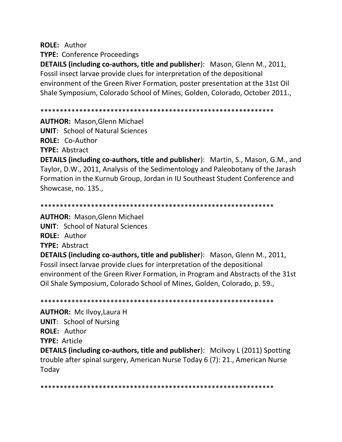**ROLE: Author** 

**TYPE: Conference Proceedings** 

DETAILS (including co-authors, title and publisher): Mason, Glenn M., 2011, Fossil insect larvae provide clues for interpretation of the depositional environment of the Green River Formation, poster presentation at the 31st Oil Shale Symposium, Colorado School of Mines, Golden, Colorado, October 2011.,

**AUTHOR: Mason, Glenn Michael** 

**UNIT:** School of Natural Sciences

ROLE: Co-Author

**TYPE: Abstract** 

**DETAILS (including co-authors, title and publisher):** Martin, S., Mason, G.M., and Taylor, D.W., 2011, Analysis of the Sedimentology and Paleobotany of the Jarash Formation in the Kurnub Group, Jordan in IU Southeast Student Conference and Showcase, no. 135.,

**AUTHOR: Mason, Glenn Michael UNIT: School of Natural Sciences** ROLE: Author **TYPE: Abstract** 

**DETAILS (including co-authors, title and publisher):** Mason, Glenn M., 2011, Fossil insect larvae provide clues for interpretation of the depositional environment of the Green River Formation, in Program and Abstracts of the 31st Oil Shale Symposium, Colorado School of Mines, Golden, Colorado, p. 59.,

**AUTHOR: Mc Ilvoy, Laura H UNIT: School of Nursing ROLE: Author TYPE: Article DETAILS (including co-authors, title and publisher):** Mcilvoy L (2011) Spotting trouble after spinal surgery, American Nurse Today 6 (7): 21., American Nurse Today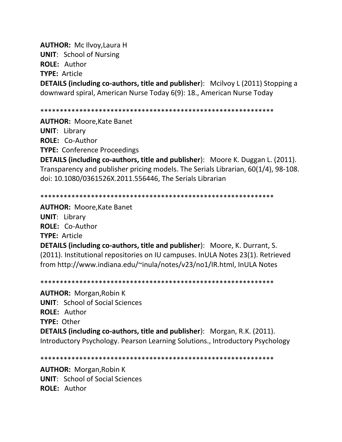**AUTHOR:** Mc Ilvoy,Laura H **UNIT**: School of Nursing **ROLE:** Author **TYPE:** Article

**DETAILS (including co-authors, title and publisher):** Mcilvoy L (2011) Stopping a downward spiral, American Nurse Today 6(9): 18., American Nurse Today

\*\*\*\*\*\*\*\*\*\*\*\*\*\*\*\*\*\*\*\*\*\*\*\*\*\*\*\*\*\*\*\*\*\*\*\*\*\*\*\*\*\*\*\*\*\*\*\*\*\*\*\*\*\*\*\*\*\*\*\*

**AUTHOR:** Moore,Kate Banet **UNIT**: Library **ROLE:** Co-Author

**TYPE:** Conference Proceedings

**DETAILS (including co-authors, title and publisher**): Moore K. Duggan L. (2011). Transparency and publisher pricing models. The Serials Librarian, 60(1/4), 98-108. doi: 10.1080/0361526X.2011.556446, The Serials Librarian

\*\*\*\*\*\*\*\*\*\*\*\*\*\*\*\*\*\*\*\*\*\*\*\*\*\*\*\*\*\*\*\*\*\*\*\*\*\*\*\*\*\*\*\*\*\*\*\*\*\*\*\*\*\*\*\*\*\*\*\*

**AUTHOR:** Moore,Kate Banet **UNIT**: Library **ROLE:** Co-Author **TYPE:** Article **DETAILS (including co-authors, title and publisher**): Moore, K. Durrant, S. (2011). Institutional repositories on IU campuses. InULA Notes 23(1). Retrieved from http://www.indiana.edu/~inula/notes/v23/no1/IR.html, InULA Notes

\*\*\*\*\*\*\*\*\*\*\*\*\*\*\*\*\*\*\*\*\*\*\*\*\*\*\*\*\*\*\*\*\*\*\*\*\*\*\*\*\*\*\*\*\*\*\*\*\*\*\*\*\*\*\*\*\*\*\*\*

**AUTHOR:** Morgan,Robin K **UNIT**: School of Social Sciences **ROLE:** Author **TYPE:** Other **DETAILS (including co-authors, title and publisher**): Morgan, R.K. (2011). Introductory Psychology. Pearson Learning Solutions., Introductory Psychology

\*\*\*\*\*\*\*\*\*\*\*\*\*\*\*\*\*\*\*\*\*\*\*\*\*\*\*\*\*\*\*\*\*\*\*\*\*\*\*\*\*\*\*\*\*\*\*\*\*\*\*\*\*\*\*\*\*\*\*\*

**AUTHOR:** Morgan,Robin K **UNIT**: School of Social Sciences **ROLE:** Author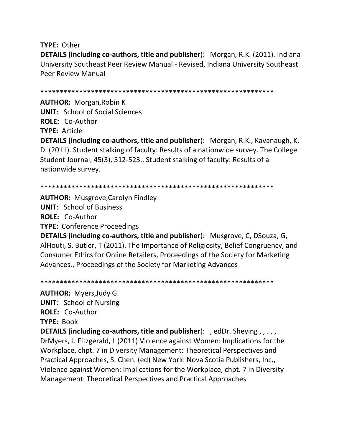**TYPE:** Other

**DETAILS (including co-authors, title and publisher**): Morgan, R.K. (2011). Indiana University Southeast Peer Review Manual - Revised, Indiana University Southeast Peer Review Manual

\*\*\*\*\*\*\*\*\*\*\*\*\*\*\*\*\*\*\*\*\*\*\*\*\*\*\*\*\*\*\*\*\*\*\*\*\*\*\*\*\*\*\*\*\*\*\*\*\*\*\*\*\*\*\*\*\*\*\*\*

**AUTHOR:** Morgan,Robin K **UNIT**: School of Social Sciences **ROLE:** Co-Author **TYPE:** Article

**DETAILS (including co-authors, title and publisher**): Morgan, R.K., Kavanaugh, K. D. (2011). Student stalking of faculty: Results of a nationwide survey. The College Student Journal, 45(3), 512-523., Student stalking of faculty: Results of a nationwide survey.

```
************************************************************
```
**AUTHOR:** Musgrove,Carolyn Findley **UNIT**: School of Business **ROLE:** Co-Author **TYPE:** Conference Proceedings

**DETAILS (including co-authors, title and publisher**): Musgrove, C, DSouza, G, AlHouti, S, Butler, T (2011). The Importance of Religiosity, Belief Congruency, and Consumer Ethics for Online Retailers, Proceedings of the Society for Marketing Advances., Proceedings of the Society for Marketing Advances

\*\*\*\*\*\*\*\*\*\*\*\*\*\*\*\*\*\*\*\*\*\*\*\*\*\*\*\*\*\*\*\*\*\*\*\*\*\*\*\*\*\*\*\*\*\*\*\*\*\*\*\*\*\*\*\*\*\*\*\*

**AUTHOR:** Myers,Judy G. **UNIT**: School of Nursing **ROLE:** Co-Author **TYPE:** Book **DETAILS (including co-authors, title and publisher**): , edDr. Sheying , , . . , DrMyers, J. Fitzgerald, L (2011) Violence against Women: Implications for the Workplace, chpt. 7 in Diversity Management: Theoretical Perspectives and Practical Approaches, S. Chen. (ed) New York: Nova Scotia Publishers, Inc., Violence against Women: Implications for the Workplace, chpt. 7 in Diversity Management: Theoretical Perspectives and Practical Approaches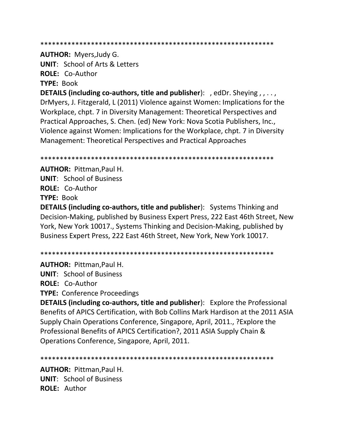**AUTHOR: Myers, Judy G.** 

**UNIT: School of Arts & Letters** ROLE: Co-Author

**TYPE: Book** 

**DETAILS (including co-authors, title and publisher):** , edDr. Sheying,  $, \ldots$ , DrMyers, J. Fitzgerald, L (2011) Violence against Women: Implications for the Workplace, chpt. 7 in Diversity Management: Theoretical Perspectives and Practical Approaches, S. Chen. (ed) New York: Nova Scotia Publishers, Inc., Violence against Women: Implications for the Workplace, chpt. 7 in Diversity Management: Theoretical Perspectives and Practical Approaches

**AUTHOR: Pittman.Paul H. UNIT:** School of Business **ROLE: Co-Author** TYPE: Book

DETAILS (including co-authors, title and publisher): Systems Thinking and Decision-Making, published by Business Expert Press, 222 East 46th Street, New York, New York 10017., Systems Thinking and Decision-Making, published by Business Expert Press, 222 East 46th Street, New York, New York 10017.

**AUTHOR: Pittman.Paul H. UNIT: School of Business** ROLE: Co-Author **TYPE: Conference Proceedings** 

**DETAILS (including co-authors, title and publisher):** Explore the Professional Benefits of APICS Certification, with Bob Collins Mark Hardison at the 2011 ASIA Supply Chain Operations Conference, Singapore, April, 2011., ? Explore the Professional Benefits of APICS Certification?, 2011 ASIA Supply Chain & Operations Conference, Singapore, April, 2011.

**AUTHOR: Pittman.Paul H. UNIT:** School of Business **ROLE: Author**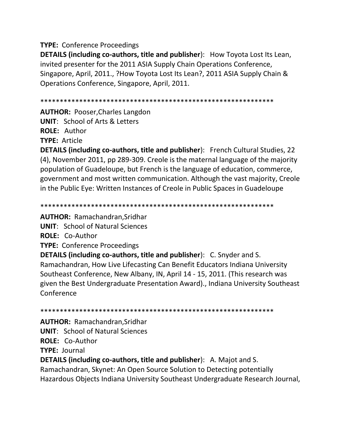## **TYPE:** Conference Proceedings

**DETAILS (including co-authors, title and publisher**): How Toyota Lost Its Lean, invited presenter for the 2011 ASIA Supply Chain Operations Conference, Singapore, April, 2011., ?How Toyota Lost Its Lean?, 2011 ASIA Supply Chain & Operations Conference, Singapore, April, 2011.

\*\*\*\*\*\*\*\*\*\*\*\*\*\*\*\*\*\*\*\*\*\*\*\*\*\*\*\*\*\*\*\*\*\*\*\*\*\*\*\*\*\*\*\*\*\*\*\*\*\*\*\*\*\*\*\*\*\*\*\*

**AUTHOR:** Pooser,Charles Langdon **UNIT**: School of Arts & Letters **ROLE:** Author **TYPE:** Article

**DETAILS (including co-authors, title and publisher**): French Cultural Studies, 22 (4), November 2011, pp 289-309. Creole is the maternal language of the majority population of Guadeloupe, but French is the language of education, commerce, government and most written communication. Although the vast majority, Creole in the Public Eye: Written Instances of Creole in Public Spaces in Guadeloupe

\*\*\*\*\*\*\*\*\*\*\*\*\*\*\*\*\*\*\*\*\*\*\*\*\*\*\*\*\*\*\*\*\*\*\*\*\*\*\*\*\*\*\*\*\*\*\*\*\*\*\*\*\*\*\*\*\*\*\*\*

**AUTHOR:** Ramachandran,Sridhar

**UNIT**: School of Natural Sciences

**ROLE:** Co-Author

**TYPE:** Conference Proceedings

**DETAILS (including co-authors, title and publisher**): C. Snyder and S. Ramachandran, How Live Lifecasting Can Benefit Educators Indiana University Southeast Conference, New Albany, IN, April 14 - 15, 2011. (This research was given the Best Undergraduate Presentation Award)., Indiana University Southeast **Conference** 

\*\*\*\*\*\*\*\*\*\*\*\*\*\*\*\*\*\*\*\*\*\*\*\*\*\*\*\*\*\*\*\*\*\*\*\*\*\*\*\*\*\*\*\*\*\*\*\*\*\*\*\*\*\*\*\*\*\*\*\*

**AUTHOR:** Ramachandran,Sridhar **UNIT**: School of Natural Sciences **ROLE:** Co-Author **TYPE:** Journal

**DETAILS (including co-authors, title and publisher**): A. Majot and S. Ramachandran, Skynet: An Open Source Solution to Detecting potentially Hazardous Objects Indiana University Southeast Undergraduate Research Journal,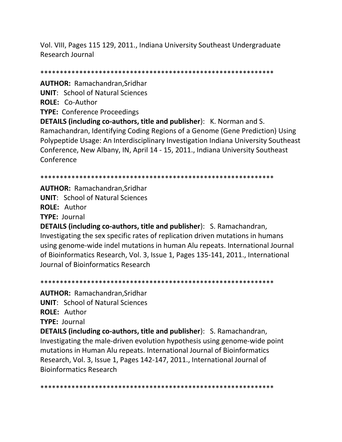Vol. VIII, Pages 115 129, 2011., Indiana University Southeast Undergraduate Research Journal

\*\*\*\*\*\*\*\*\*\*\*\*\*\*\*\*\*\*\*\*\*\*\*\*\*\*\*\*\*\*\*\*\*\*\*\*\*\*\*\*\*\*\*\*\*\*\*\*\*\*\*\*\*\*\*\*\*\*\*\*

**AUTHOR:** Ramachandran,Sridhar **UNIT**: School of Natural Sciences **ROLE:** Co-Author **TYPE:** Conference Proceedings **DETAILS (including co-authors, title and publisher**): K. Norman and S. Ramachandran, Identifying Coding Regions of a Genome (Gene Prediction) Using Polypeptide Usage: An Interdisciplinary Investigation Indiana University Southeast Conference, New Albany, IN, April 14 - 15, 2011., Indiana University Southeast Conference

\*\*\*\*\*\*\*\*\*\*\*\*\*\*\*\*\*\*\*\*\*\*\*\*\*\*\*\*\*\*\*\*\*\*\*\*\*\*\*\*\*\*\*\*\*\*\*\*\*\*\*\*\*\*\*\*\*\*\*\*

**AUTHOR:** Ramachandran,Sridhar **UNIT**: School of Natural Sciences **ROLE:** Author **TYPE:** Journal

**DETAILS (including co-authors, title and publisher**): S. Ramachandran, Investigating the sex specific rates of replication driven mutations in humans using genome-wide indel mutations in human Alu repeats. International Journal of Bioinformatics Research, Vol. 3, Issue 1, Pages 135-141, 2011., International Journal of Bioinformatics Research

\*\*\*\*\*\*\*\*\*\*\*\*\*\*\*\*\*\*\*\*\*\*\*\*\*\*\*\*\*\*\*\*\*\*\*\*\*\*\*\*\*\*\*\*\*\*\*\*\*\*\*\*\*\*\*\*\*\*\*\*

**AUTHOR:** Ramachandran,Sridhar

**UNIT**: School of Natural Sciences

**ROLE:** Author

**TYPE:** Journal

**DETAILS (including co-authors, title and publisher**): S. Ramachandran, Investigating the male-driven evolution hypothesis using genome-wide point mutations in Human Alu repeats. International Journal of Bioinformatics Research, Vol. 3, Issue 1, Pages 142-147, 2011., International Journal of Bioinformatics Research

\*\*\*\*\*\*\*\*\*\*\*\*\*\*\*\*\*\*\*\*\*\*\*\*\*\*\*\*\*\*\*\*\*\*\*\*\*\*\*\*\*\*\*\*\*\*\*\*\*\*\*\*\*\*\*\*\*\*\*\*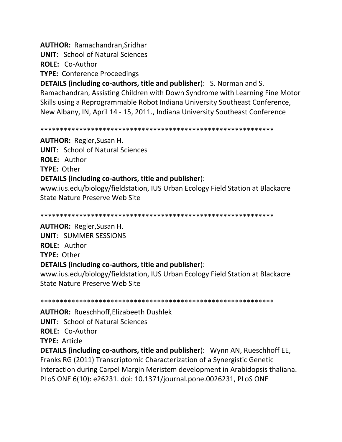**AUTHOR: Ramachandran, Sridhar** 

**UNIT: School of Natural Sciences** 

ROLE: Co-Author

**TYPE: Conference Proceedings** 

**DETAILS (including co-authors, title and publisher): S. Norman and S.** Ramachandran, Assisting Children with Down Syndrome with Learning Fine Motor Skills using a Reprogrammable Robot Indiana University Southeast Conference, New Albany, IN, April 14 - 15, 2011., Indiana University Southeast Conference

**AUTHOR:** Regler, Susan H. **UNIT: School of Natural Sciences ROLE: Author TYPE: Other** DETAILS (including co-authors, title and publisher):

www.ius.edu/biology/fieldstation, IUS Urban Ecology Field Station at Blackacre State Nature Preserve Web Site

**AUTHOR:** Regler, Susan H.

**UNIT: SUMMER SESSIONS ROLE: Author** TYPE: Other DETAILS (including co-authors, title and publisher):

www.ius.edu/biology/fieldstation, IUS Urban Ecology Field Station at Blackacre State Nature Preserve Web Site

**AUTHOR: Rueschhoff, Elizabeeth Dushlek** 

**UNIT: School of Natural Sciences** 

**ROLE: Co-Author** 

**TYPE: Article** 

**DETAILS (including co-authors, title and publisher):** Wynn AN, Rueschhoff EE, Franks RG (2011) Transcriptomic Characterization of a Synergistic Genetic Interaction during Carpel Margin Meristem development in Arabidopsis thaliana. PLoS ONE 6(10): e26231. doi: 10.1371/journal.pone.0026231, PLoS ONE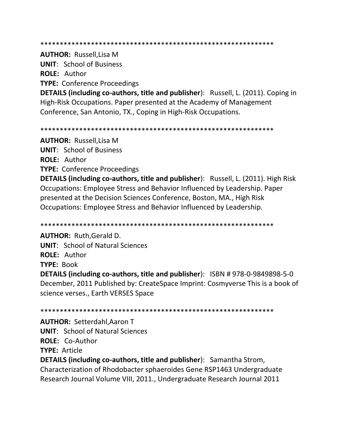**AUTHOR: Russell.Lisa M** 

**UNIT: School of Business ROLE: Author** 

**TYPE: Conference Proceedings** 

**DETAILS (including co-authors, title and publisher):** Russell, L. (2011). Coping in High-Risk Occupations. Paper presented at the Academy of Management Conference, San Antonio, TX., Coping in High-Risk Occupations.

**AUTHOR: Russell, Lisa M UNIT: School of Business ROLE: Author TYPE: Conference Proceedings** 

**DETAILS (including co-authors, title and publisher):** Russell, L. (2011). High Risk Occupations: Employee Stress and Behavior Influenced by Leadership. Paper presented at the Decision Sciences Conference, Boston, MA., High Risk Occupations: Employee Stress and Behavior Influenced by Leadership.

**AUTHOR: Ruth, Gerald D. UNIT: School of Natural Sciences ROLE: Author TYPE: Book** 

**DETAILS (including co-authors, title and publisher):** ISBN #978-0-9849898-5-0 December, 2011 Published by: CreateSpace Imprint: Cosmyverse This is a book of science verses., Earth VERSES Space

**AUTHOR: Setterdahl, Aaron T UNIT: School of Natural Sciences** ROLE: Co-Author **TYPE: Article** 

**DETAILS (including co-authors, title and publisher):** Samantha Strom, Characterization of Rhodobacter sphaeroides Gene RSP1463 Undergraduate Research Journal Volume VIII, 2011., Undergraduate Research Journal 2011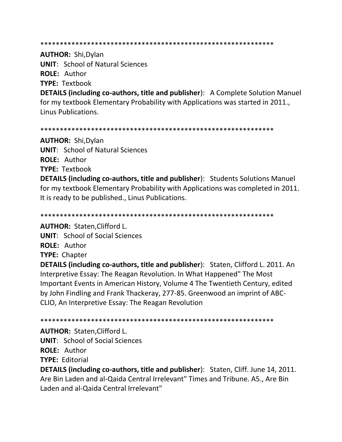**AUTHOR: Shi, Dylan UNIT: School of Natural Sciences ROLE: Author** 

**TYPE: Textbook** 

**DETAILS (including co-authors, title and publisher):** A Complete Solution Manuel for my textbook Elementary Probability with Applications was started in 2011. **Linus Publications.** 

**AUTHOR: Shi, Dylan UNIT: School of Natural Sciences** ROLE: Author **TYPE: Textbook** 

**DETAILS (including co-authors, title and publisher):** Students Solutions Manuel for my textbook Elementary Probability with Applications was completed in 2011. It is ready to be published., Linus Publications.

**AUTHOR: Staten, Clifford L.** 

**UNIT:** School of Social Sciences

**ROLE: Author** 

**TYPE: Chapter** 

**DETAILS (including co-authors, title and publisher):** Staten, Clifford L. 2011. An Interpretive Essay: The Reagan Revolution. In What Happened" The Most Important Events in American History, Volume 4 The Twentieth Century, edited by John Findling and Frank Thackeray, 277-85. Greenwood an imprint of ABC-CLIO, An Interpretive Essay: The Reagan Revolution

**AUTHOR: Staten, Clifford L.** 

**UNIT:** School of Social Sciences

**ROLE: Author** 

**TYPE: Editorial** 

**DETAILS (including co-authors, title and publisher):** Staten, Cliff. June 14, 2011. Are Bin Laden and al-Qaida Central Irrelevant" Times and Tribune. A5., Are Bin Laden and al-Oaida Central Irrelevant"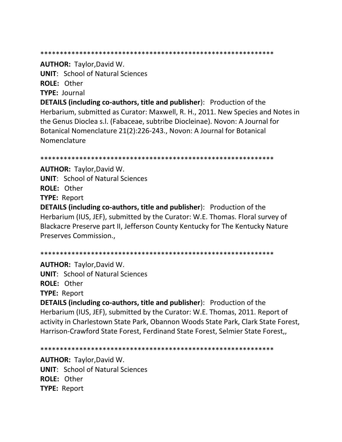**AUTHOR: Taylor, David W.** 

**UNIT:** School of Natural Sciences

ROLE: Other

**TYPE: Journal** 

**DETAILS (including co-authors, title and publisher):** Production of the Herbarium, submitted as Curator: Maxwell, R. H., 2011. New Species and Notes in the Genus Dioclea s.l. (Fabaceae, subtribe Diocleinae). Novon: A Journal for Botanical Nomenclature 21(2):226-243., Novon: A Journal for Botanical Nomenclature

**AUTHOR: Taylor, David W. UNIT:** School of Natural Sciences **ROLE: Other TYPE: Report** 

**DETAILS (including co-authors, title and publisher):** Production of the Herbarium (IUS, JEF), submitted by the Curator: W.E. Thomas. Floral survey of Blackacre Preserve part II, Jefferson County Kentucky for The Kentucky Nature Preserves Commission.,

**AUTHOR: Taylor, David W. UNIT: School of Natural Sciences** ROLE: Other **TYPE: Report** 

**DETAILS (including co-authors, title and publisher):** Production of the Herbarium (IUS, JEF), submitted by the Curator: W.E. Thomas, 2011. Report of activity in Charlestown State Park, Obannon Woods State Park, Clark State Forest, Harrison-Crawford State Forest, Ferdinand State Forest, Selmier State Forest,,

**AUTHOR: Taylor, David W. UNIT: School of Natural Sciences** ROLE: Other **TYPE: Report**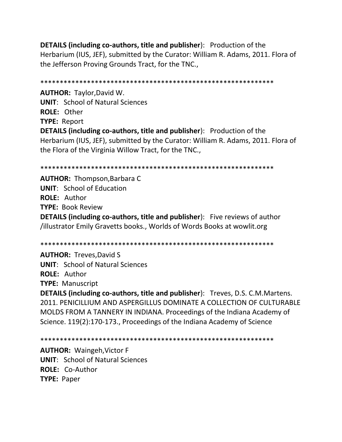**DETAILS (including co-authors, title and publisher**): Production of the Herbarium (IUS, JEF), submitted by the Curator: William R. Adams, 2011. Flora of the Jefferson Proving Grounds Tract, for the TNC.,

\*\*\*\*\*\*\*\*\*\*\*\*\*\*\*\*\*\*\*\*\*\*\*\*\*\*\*\*\*\*\*\*\*\*\*\*\*\*\*\*\*\*\*\*\*\*\*\*\*\*\*\*\*\*\*\*\*\*\*\* **AUTHOR:** Taylor,David W. **UNIT**: School of Natural Sciences **ROLE:** Other **TYPE:** Report **DETAILS (including co-authors, title and publisher**): Production of the Herbarium (IUS, JEF), submitted by the Curator: William R. Adams, 2011. Flora of the Flora of the Virginia Willow Tract, for the TNC.,

\*\*\*\*\*\*\*\*\*\*\*\*\*\*\*\*\*\*\*\*\*\*\*\*\*\*\*\*\*\*\*\*\*\*\*\*\*\*\*\*\*\*\*\*\*\*\*\*\*\*\*\*\*\*\*\*\*\*\*\*

**AUTHOR:** Thompson,Barbara C **UNIT**: School of Education **ROLE:** Author **TYPE:** Book Review **DETAILS (including co-authors, title and publisher**): Five reviews of author /illustrator Emily Gravetts books., Worlds of Words Books at wowlit.org

\*\*\*\*\*\*\*\*\*\*\*\*\*\*\*\*\*\*\*\*\*\*\*\*\*\*\*\*\*\*\*\*\*\*\*\*\*\*\*\*\*\*\*\*\*\*\*\*\*\*\*\*\*\*\*\*\*\*\*\*

**AUTHOR:** Treves,David S **UNIT**: School of Natural Sciences **ROLE:** Author **TYPE:** Manuscript

**DETAILS (including co-authors, title and publisher**): Treves, D.S. C.M.Martens. 2011. PENICILLIUM AND ASPERGILLUS DOMINATE A COLLECTION OF CULTURABLE MOLDS FROM A TANNERY IN INDIANA. Proceedings of the Indiana Academy of Science. 119(2):170-173., Proceedings of the Indiana Academy of Science

\*\*\*\*\*\*\*\*\*\*\*\*\*\*\*\*\*\*\*\*\*\*\*\*\*\*\*\*\*\*\*\*\*\*\*\*\*\*\*\*\*\*\*\*\*\*\*\*\*\*\*\*\*\*\*\*\*\*\*\*

**AUTHOR:** Waingeh,Victor F **UNIT**: School of Natural Sciences **ROLE:** Co-Author **TYPE:** Paper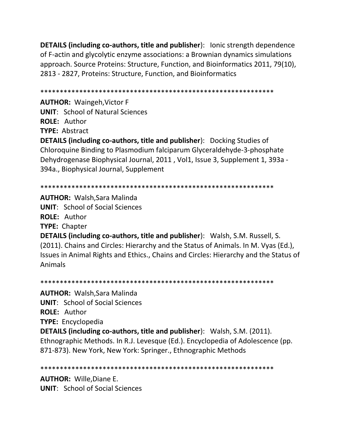**DETAILS (including co-authors, title and publisher):** lonic strength dependence of F-actin and glycolytic enzyme associations: a Brownian dynamics simulations approach. Source Proteins: Structure, Function, and Bioinformatics 2011, 79(10), 2813 - 2827, Proteins: Structure, Function, and Bioinformatics

**AUTHOR: Waingeh, Victor F** 

**UNIT: School of Natural Sciences** 

**ROLE: Author** 

**TYPE: Abstract** 

**DETAILS (including co-authors, title and publisher):** Docking Studies of Chloroquine Binding to Plasmodium falciparum Glyceraldehyde-3-phosphate Dehydrogenase Biophysical Journal, 2011, Vol1, Issue 3, Supplement 1, 393a -394a., Biophysical Journal, Supplement

**AUTHOR: Walsh, Sara Malinda UNIT:** School of Social Sciences **ROLE: Author TYPE:** Chapter **DETAILS (including co-authors, title and publisher):** Walsh, S.M. Russell, S. (2011). Chains and Circles: Hierarchy and the Status of Animals. In M. Vyas (Ed.), Issues in Animal Rights and Ethics., Chains and Circles: Hierarchy and the Status of **Animals** 

**AUTHOR: Walsh, Sara Malinda UNIT:** School of Social Sciences ROLE: Author **TYPE:** Encyclopedia **DETAILS (including co-authors, title and publisher):** Walsh, S.M. (2011). Ethnographic Methods. In R.J. Levesque (Ed.). Encyclopedia of Adolescence (pp. 871-873). New York, New York: Springer., Ethnographic Methods

**AUTHOR: Wille, Diane E. UNIT:** School of Social Sciences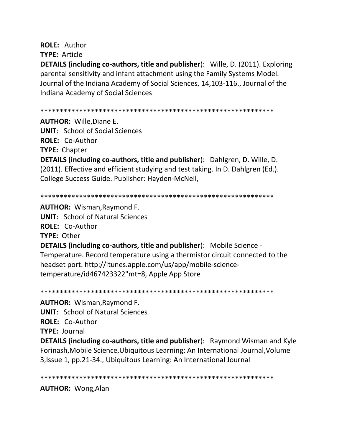**ROLE: Author** 

**TYPE: Article** 

**DETAILS (including co-authors, title and publisher):** Wille, D. (2011). Exploring parental sensitivity and infant attachment using the Family Systems Model. Journal of the Indiana Academy of Social Sciences, 14,103-116., Journal of the Indiana Academy of Social Sciences

**AUTHOR: Wille, Diane E.** 

**UNIT:** School of Social Sciences **ROLE: Co-Author** 

**TYPE: Chapter** 

**DETAILS (including co-authors, title and publisher):** Dahlgren, D. Wille, D. (2011). Effective and efficient studying and test taking. In D. Dahlgren (Ed.). College Success Guide. Publisher: Hayden-McNeil,

**AUTHOR: Wisman, Raymond F. UNIT: School of Natural Sciences ROLE: Co-Author** TYPE: Other **DETAILS (including co-authors, title and publisher):** Mobile Science -Temperature. Record temperature using a thermistor circuit connected to the headset port. http://itunes.apple.com/us/app/mobile-sciencetemperature/id467423322"mt=8, Apple App Store

**AUTHOR: Wisman, Raymond F.** 

**UNIT: School of Natural Sciences** 

**ROLE: Co-Author** 

**TYPE: Journal** 

**DETAILS (including co-authors, title and publisher):** Raymond Wisman and Kyle Forinash, Mobile Science, Ubiquitous Learning: An International Journal, Volume 3, Issue 1, pp.21-34., Ubiquitous Learning: An International Journal

**AUTHOR: Wong, Alan**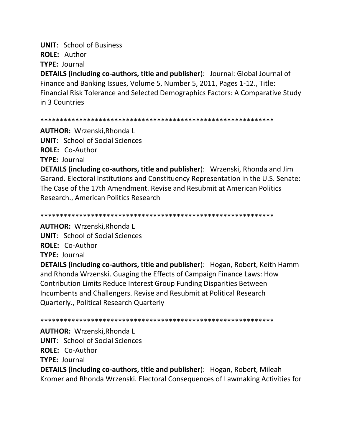**UNIT: School of Business** ROLE: Author **TYPE: Journal** 

**DETAILS (including co-authors, title and publisher):** Journal: Global Journal of Finance and Banking Issues, Volume 5, Number 5, 2011, Pages 1-12., Title: Financial Risk Tolerance and Selected Demographics Factors: A Comparative Study in 3 Countries

#### 

**AUTHOR: Wrzenski, Rhonda L UNIT:** School of Social Sciences **ROLE: Co-Author TYPE: Journal** 

**DETAILS (including co-authors, title and publisher):** Wrzenski, Rhonda and Jim Garand. Electoral Institutions and Constituency Representation in the U.S. Senate: The Case of the 17th Amendment, Revise and Resubmit at American Politics Research., American Politics Research

**AUTHOR:** Wrzenski, Rhonda L **UNIT:** School of Social Sciences ROLE: Co-Author **TYPE: Journal** 

**DETAILS (including co-authors, title and publisher):** Hogan, Robert, Keith Hamm and Rhonda Wrzenski. Guaging the Effects of Campaign Finance Laws: How Contribution Limits Reduce Interest Group Funding Disparities Between Incumbents and Challengers. Revise and Resubmit at Political Research **Quarterly., Political Research Quarterly** 

**AUTHOR: Wrzenski, Rhonda L UNIT:** School of Social Sciences ROLE: Co-Author **TYPE: Journal DETAILS (including co-authors, title and publisher):** Hogan, Robert, Mileah Kromer and Rhonda Wrzenski. Electoral Consequences of Lawmaking Activities for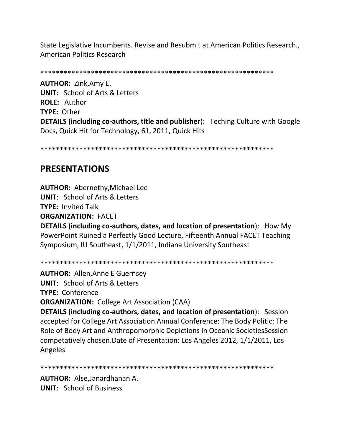State Legislative Incumbents. Revise and Resubmit at American Politics Research., American Politics Research

\*\*\*\*\*\*\*\*\*\*\*\*\*\*\*\*\*\*\*\*\*\*\*\*\*\*\*\*\*\*\*\*\*\*\*\*\*\*\*\*\*\*\*\*\*\*\*\*\*\*\*\*\*\*\*\*\*\*\*\*

**AUTHOR:** Zink,Amy E. **UNIT**: School of Arts & Letters **ROLE:** Author **TYPE:** Other **DETAILS (including co-authors, title and publisher**): Teching Culture with Google Docs, Quick Hit for Technology, 61, 2011, Quick Hits

\*\*\*\*\*\*\*\*\*\*\*\*\*\*\*\*\*\*\*\*\*\*\*\*\*\*\*\*\*\*\*\*\*\*\*\*\*\*\*\*\*\*\*\*\*\*\*\*\*\*\*\*\*\*\*\*\*\*\*\*

# **PRESENTATIONS**

**AUTHOR:** Abernethy,Michael Lee **UNIT**: School of Arts & Letters **TYPE:** Invited Talk **ORGANIZATION:** FACET

**DETAILS (including co-authors, dates, and location of presentation**): How My PowerPoint Ruined a Perfectly Good Lecture, Fifteenth Annual FACET Teaching Symposium, IU Southeast, 1/1/2011, Indiana University Southeast

\*\*\*\*\*\*\*\*\*\*\*\*\*\*\*\*\*\*\*\*\*\*\*\*\*\*\*\*\*\*\*\*\*\*\*\*\*\*\*\*\*\*\*\*\*\*\*\*\*\*\*\*\*\*\*\*\*\*\*\*

**AUTHOR:** Allen,Anne E Guernsey **UNIT**: School of Arts & Letters **TYPE:** Conference **ORGANIZATION:** College Art Association (CAA) **DETAILS (including co-authors, dates, and location of presentation**): Session accepted for College Art Association Annual Conference: The Body Politic: The Role of Body Art and Anthropomorphic Depictions in Oceanic SocietiesSession competatively chosen.Date of Presentation: Los Angeles 2012, 1/1/2011, Los Angeles

\*\*\*\*\*\*\*\*\*\*\*\*\*\*\*\*\*\*\*\*\*\*\*\*\*\*\*\*\*\*\*\*\*\*\*\*\*\*\*\*\*\*\*\*\*\*\*\*\*\*\*\*\*\*\*\*\*\*\*\*

**AUTHOR:** Alse,Janardhanan A. **UNIT**: School of Business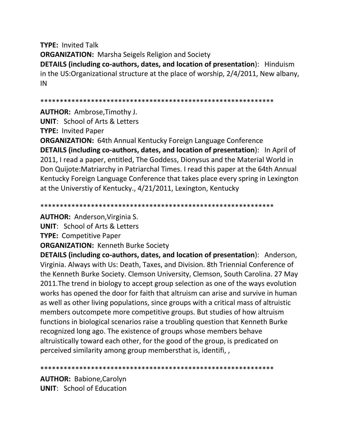**TYPE:** Invited Talk **ORGANIZATION:** Marsha Seigels Religion and Society **DETAILS (including co-authors, dates, and location of presentation**): Hinduism in the US:Organizational structure at the place of worship, 2/4/2011, New albany, IN

\*\*\*\*\*\*\*\*\*\*\*\*\*\*\*\*\*\*\*\*\*\*\*\*\*\*\*\*\*\*\*\*\*\*\*\*\*\*\*\*\*\*\*\*\*\*\*\*\*\*\*\*\*\*\*\*\*\*\*\*

**AUTHOR:** Ambrose,Timothy J.

**UNIT**: School of Arts & Letters **TYPE:** Invited Paper

**ORGANIZATION:** 64th Annual Kentucky Foreign Language Conference **DETAILS (including co-authors, dates, and location of presentation**): In April of 2011, I read a paper, entitled, The Goddess, Dionysus and the Material World in Don Quijote:Matriarchy in Patriarchal Times. I read this paper at the 64th Annual Kentucky Foreign Language Conference that takes place every spring in Lexington at the Universtiy of Kentucky., 4/21/2011, Lexington, Kentucky

\*\*\*\*\*\*\*\*\*\*\*\*\*\*\*\*\*\*\*\*\*\*\*\*\*\*\*\*\*\*\*\*\*\*\*\*\*\*\*\*\*\*\*\*\*\*\*\*\*\*\*\*\*\*\*\*\*\*\*\*

**AUTHOR:** Anderson,Virginia S.

**UNIT**: School of Arts & Letters

**TYPE:** Competitive Paper

**ORGANIZATION:** Kenneth Burke Society

**DETAILS (including co-authors, dates, and location of presentation**): Anderson, Virginia. Always with Us: Death, Taxes, and Division. 8th Triennial Conference of the Kenneth Burke Society. Clemson University, Clemson, South Carolina. 27 May 2011.The trend in biology to accept group selection as one of the ways evolution works has opened the door for faith that altruism can arise and survive in human as well as other living populations, since groups with a critical mass of altruistic members outcompete more competitive groups. But studies of how altruism functions in biological scenarios raise a troubling question that Kenneth Burke recognized long ago. The existence of groups whose members behave altruistically toward each other, for the good of the group, is predicated on perceived similarity among group membersthat is, identifi, ,

#### \*\*\*\*\*\*\*\*\*\*\*\*\*\*\*\*\*\*\*\*\*\*\*\*\*\*\*\*\*\*\*\*\*\*\*\*\*\*\*\*\*\*\*\*\*\*\*\*\*\*\*\*\*\*\*\*\*\*\*\*

**AUTHOR:** Babione,Carolyn **UNIT**: School of Education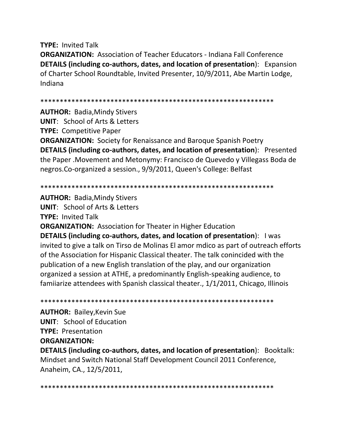**TYPE: Invited Talk ORGANIZATION: Association of Teacher Educators - Indiana Fall Conference** DETAILS (including co-authors, dates, and location of presentation): Expansion of Charter School Roundtable, Invited Presenter, 10/9/2011, Abe Martin Lodge, Indiana

**AUTHOR: Badia, Mindy Stivers UNIT:** School of Arts & Letters **TYPE: Competitive Paper** 

**ORGANIZATION:** Society for Renaissance and Baroque Spanish Poetry DETAILS (including co-authors, dates, and location of presentation): Presented the Paper. Movement and Metonymy: Francisco de Quevedo y Villegass Boda de negros. Co-organized a session., 9/9/2011, Queen's College: Belfast

**AUTHOR: Badia, Mindy Stivers UNIT:** School of Arts & Letters **TYPE: Invited Talk ORGANIZATION:** Association for Theater in Higher Education DETAILS (including co-authors, dates, and location of presentation): I was invited to give a talk on Tirso de Molinas El amor mdico as part of outreach efforts of the Association for Hispanic Classical theater. The talk conincided with the publication of a new English translation of the play, and our organization organized a session at ATHE, a predominantly English-speaking audience, to familarize attendees with Spanish classical theater., 1/1/2011, Chicago, Illinois

**AUTHOR: Bailey, Kevin Sue UNIT:** School of Education **TYPE: Presentation ORGANIZATION: DETAILS (including co-authors, dates, and location of presentation):** Booktalk: Mindset and Switch National Staff Development Council 2011 Conference, Anaheim, CA., 12/5/2011,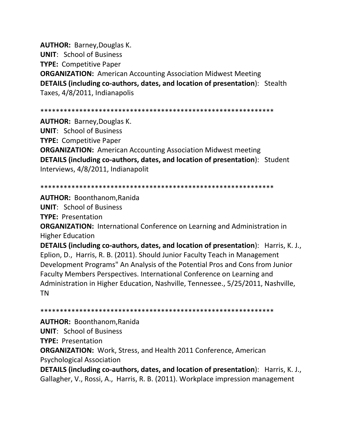**AUTHOR:** Barney,Douglas K. **UNIT**: School of Business **TYPE:** Competitive Paper **ORGANIZATION:** American Accounting Association Midwest Meeting **DETAILS (including co-authors, dates, and location of presentation**): Stealth Taxes, 4/8/2011, Indianapolis

\*\*\*\*\*\*\*\*\*\*\*\*\*\*\*\*\*\*\*\*\*\*\*\*\*\*\*\*\*\*\*\*\*\*\*\*\*\*\*\*\*\*\*\*\*\*\*\*\*\*\*\*\*\*\*\*\*\*\*\*

**AUTHOR:** Barney,Douglas K. **UNIT**: School of Business **TYPE:** Competitive Paper **ORGANIZATION:** American Accounting Association Midwest meeting **DETAILS (including co-authors, dates, and location of presentation**): Student Interviews, 4/8/2011, Indianapolit

\*\*\*\*\*\*\*\*\*\*\*\*\*\*\*\*\*\*\*\*\*\*\*\*\*\*\*\*\*\*\*\*\*\*\*\*\*\*\*\*\*\*\*\*\*\*\*\*\*\*\*\*\*\*\*\*\*\*\*\*

**AUTHOR:** Boonthanom,Ranida

**UNIT**: School of Business

**TYPE:** Presentation

**ORGANIZATION:** International Conference on Learning and Administration in Higher Education

**DETAILS (including co-authors, dates, and location of presentation**): Harris, K. J., Eplion, D., Harris, R. B. (2011). Should Junior Faculty Teach in Management Development Programs" An Analysis of the Potential Pros and Cons from Junior Faculty Members Perspectives. International Conference on Learning and Administration in Higher Education, Nashville, Tennessee., 5/25/2011, Nashville, TN

\*\*\*\*\*\*\*\*\*\*\*\*\*\*\*\*\*\*\*\*\*\*\*\*\*\*\*\*\*\*\*\*\*\*\*\*\*\*\*\*\*\*\*\*\*\*\*\*\*\*\*\*\*\*\*\*\*\*\*\* **AUTHOR:** Boonthanom,Ranida **UNIT**: School of Business **TYPE:** Presentation **ORGANIZATION:** Work, Stress, and Health 2011 Conference, American Psychological Association **DETAILS (including co-authors, dates, and location of presentation**): Harris, K. J., Gallagher, V., Rossi, A., Harris, R. B. (2011). Workplace impression management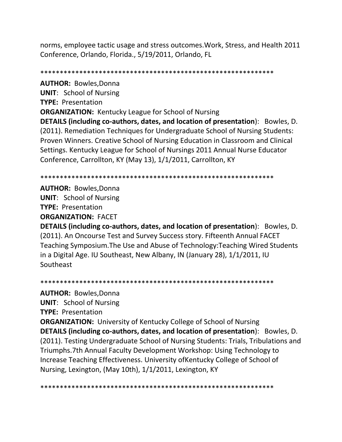norms, employee tactic usage and stress outcomes.Work, Stress, and Health 2011 Conference, Orlando, Florida., 5/19/2011, Orlando, FL

\*\*\*\*\*\*\*\*\*\*\*\*\*\*\*\*\*\*\*\*\*\*\*\*\*\*\*\*\*\*\*\*\*\*\*\*\*\*\*\*\*\*\*\*\*\*\*\*\*\*\*\*\*\*\*\*\*\*\*\* **AUTHOR:** Bowles,Donna **UNIT**: School of Nursing **TYPE:** Presentation **ORGANIZATION:** Kentucky League for School of Nursing **DETAILS (including co-authors, dates, and location of presentation**): Bowles, D. (2011). Remediation Techniques for Undergraduate School of Nursing Students: Proven Winners. Creative School of Nursing Education in Classroom and Clinical Settings. Kentucky League for School of Nursings 2011 Annual Nurse Educator Conference, Carrollton, KY (May 13), 1/1/2011, Carrollton, KY

\*\*\*\*\*\*\*\*\*\*\*\*\*\*\*\*\*\*\*\*\*\*\*\*\*\*\*\*\*\*\*\*\*\*\*\*\*\*\*\*\*\*\*\*\*\*\*\*\*\*\*\*\*\*\*\*\*\*\*\*

**AUTHOR:** Bowles,Donna **UNIT**: School of Nursing **TYPE:** Presentation

**ORGANIZATION:** FACET

**DETAILS (including co-authors, dates, and location of presentation**): Bowles, D. (2011). An Oncourse Test and Survey Success story. Fifteenth Annual FACET Teaching Symposium.The Use and Abuse of Technology:Teaching Wired Students in a Digital Age. IU Southeast, New Albany, IN (January 28), 1/1/2011, IU Southeast

\*\*\*\*\*\*\*\*\*\*\*\*\*\*\*\*\*\*\*\*\*\*\*\*\*\*\*\*\*\*\*\*\*\*\*\*\*\*\*\*\*\*\*\*\*\*\*\*\*\*\*\*\*\*\*\*\*\*\*\* **AUTHOR:** Bowles,Donna **UNIT**: School of Nursing **TYPE:** Presentation **ORGANIZATION:** University of Kentucky College of School of Nursing **DETAILS (including co-authors, dates, and location of presentation**): Bowles, D. (2011). Testing Undergraduate School of Nursing Students: Trials, Tribulations and Triumphs.7th Annual Faculty Development Workshop: Using Technology to Increase Teaching Effectiveness. University ofKentucky College of School of Nursing, Lexington, (May 10th), 1/1/2011, Lexington, KY

\*\*\*\*\*\*\*\*\*\*\*\*\*\*\*\*\*\*\*\*\*\*\*\*\*\*\*\*\*\*\*\*\*\*\*\*\*\*\*\*\*\*\*\*\*\*\*\*\*\*\*\*\*\*\*\*\*\*\*\*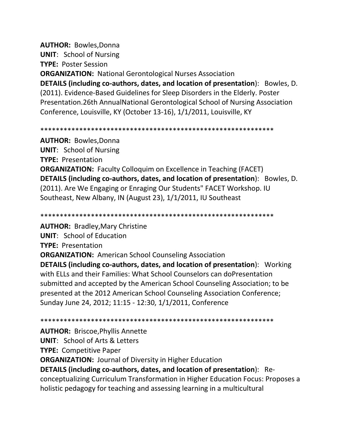**AUTHOR:** Bowles,Donna

**UNIT**: School of Nursing

**TYPE:** Poster Session

**ORGANIZATION:** National Gerontological Nurses Association **DETAILS (including co-authors, dates, and location of presentation**): Bowles, D. (2011). Evidence-Based Guidelines for Sleep Disorders in the Elderly. Poster Presentation.26th AnnualNational Gerontological School of Nursing Association Conference, Louisville, KY (October 13-16), 1/1/2011, Louisville, KY

\*\*\*\*\*\*\*\*\*\*\*\*\*\*\*\*\*\*\*\*\*\*\*\*\*\*\*\*\*\*\*\*\*\*\*\*\*\*\*\*\*\*\*\*\*\*\*\*\*\*\*\*\*\*\*\*\*\*\*\*

**AUTHOR:** Bowles,Donna **UNIT**: School of Nursing **TYPE:** Presentation **ORGANIZATION:** Faculty Colloquim on Excellence in Teaching (FACET) **DETAILS (including co-authors, dates, and location of presentation**): Bowles, D. (2011). Are We Engaging or Enraging Our Students" FACET Workshop. IU Southeast, New Albany, IN (August 23), 1/1/2011, IU Southeast

\*\*\*\*\*\*\*\*\*\*\*\*\*\*\*\*\*\*\*\*\*\*\*\*\*\*\*\*\*\*\*\*\*\*\*\*\*\*\*\*\*\*\*\*\*\*\*\*\*\*\*\*\*\*\*\*\*\*\*\*

**AUTHOR:** Bradley,Mary Christine **UNIT**: School of Education **TYPE:** Presentation **ORGANIZATION:** American School Counseling Association **DETAILS (including co-authors, dates, and location of presentation**): Working with ELLs and their Families: What School Counselors can doPresentation submitted and accepted by the American School Counseling Association; to be presented at the 2012 American School Counseling Association Conference; Sunday June 24, 2012; 11:15 - 12:30, 1/1/2011, Conference

\*\*\*\*\*\*\*\*\*\*\*\*\*\*\*\*\*\*\*\*\*\*\*\*\*\*\*\*\*\*\*\*\*\*\*\*\*\*\*\*\*\*\*\*\*\*\*\*\*\*\*\*\*\*\*\*\*\*\*\*

**AUTHOR:** Briscoe,Phyllis Annette

**UNIT**: School of Arts & Letters

**TYPE:** Competitive Paper

**ORGANIZATION:** Journal of Diversity in Higher Education

**DETAILS (including co-authors, dates, and location of presentation**): Reconceptualizing Curriculum Transformation in Higher Education Focus: Proposes a

holistic pedagogy for teaching and assessing learning in a multicultural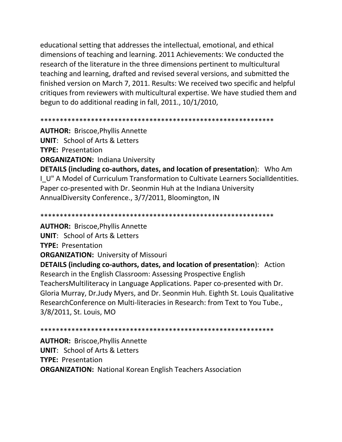educational setting that addresses the intellectual, emotional, and ethical dimensions of teaching and learning. 2011 Achievements: We conducted the research of the literature in the three dimensions pertinent to multicultural teaching and learning, drafted and revised several versions, and submitted the finished version on March 7, 2011. Results: We received two specific and helpful critiques from reviewers with multicultural expertise. We have studied them and begun to do additional reading in fall, 2011., 10/1/2010,

**AUTHOR: Briscoe, Phyllis Annette UNIT: School of Arts & Letters TYPE: Presentation ORGANIZATION: Indiana University** DETAILS (including co-authors, dates, and location of presentation): Who Am I U" A Model of Curriculum Transformation to Cultivate Learners SocialIdentities. Paper co-presented with Dr. Seonmin Huh at the Indiana University AnnualDiversity Conference., 3/7/2011, Bloomington, IN

**AUTHOR: Briscoe, Phyllis Annette UNIT:** School of Arts & Letters **TYPE: Presentation ORGANIZATION: University of Missouri DETAILS (including co-authors, dates, and location of presentation):** Action Research in the English Classroom: Assessing Prospective English TeachersMultiliteracy in Language Applications. Paper co-presented with Dr. Gloria Murray, Dr. Judy Myers, and Dr. Seonmin Huh. Eighth St. Louis Qualitative ResearchConference on Multi-literacies in Research: from Text to You Tube., 3/8/2011, St. Louis, MO

**AUTHOR: Briscoe, Phyllis Annette UNIT: School of Arts & Letters TYPE: Presentation ORGANIZATION: National Korean English Teachers Association**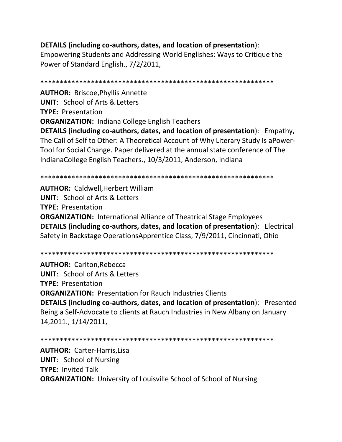### **DETAILS (including co-authors, dates, and location of presentation**):

Empowering Students and Addressing World Englishes: Ways to Critique the Power of Standard English., 7/2/2011,

\*\*\*\*\*\*\*\*\*\*\*\*\*\*\*\*\*\*\*\*\*\*\*\*\*\*\*\*\*\*\*\*\*\*\*\*\*\*\*\*\*\*\*\*\*\*\*\*\*\*\*\*\*\*\*\*\*\*\*\* **AUTHOR:** Briscoe,Phyllis Annette **UNIT**: School of Arts & Letters **TYPE:** Presentation **ORGANIZATION:** Indiana College English Teachers **DETAILS (including co-authors, dates, and location of presentation**): Empathy, The Call of Self to Other: A Theoretical Account of Why Literary Study Is aPower-Tool for Social Change. Paper delivered at the annual state conference of The IndianaCollege English Teachers., 10/3/2011, Anderson, Indiana

\*\*\*\*\*\*\*\*\*\*\*\*\*\*\*\*\*\*\*\*\*\*\*\*\*\*\*\*\*\*\*\*\*\*\*\*\*\*\*\*\*\*\*\*\*\*\*\*\*\*\*\*\*\*\*\*\*\*\*\*

**AUTHOR:** Caldwell,Herbert William **UNIT**: School of Arts & Letters **TYPE:** Presentation **ORGANIZATION:** International Alliance of Theatrical Stage Employees **DETAILS (including co-authors, dates, and location of presentation**): Electrical Safety in Backstage OperationsApprentice Class, 7/9/2011, Cincinnati, Ohio

\*\*\*\*\*\*\*\*\*\*\*\*\*\*\*\*\*\*\*\*\*\*\*\*\*\*\*\*\*\*\*\*\*\*\*\*\*\*\*\*\*\*\*\*\*\*\*\*\*\*\*\*\*\*\*\*\*\*\*\*

**AUTHOR:** Carlton,Rebecca **UNIT**: School of Arts & Letters **TYPE:** Presentation **ORGANIZATION:** Presentation for Rauch Industries Clients **DETAILS (including co-authors, dates, and location of presentation**): Presented Being a Self-Advocate to clients at Rauch Industries in New Albany on January 14,2011., 1/14/2011,

\*\*\*\*\*\*\*\*\*\*\*\*\*\*\*\*\*\*\*\*\*\*\*\*\*\*\*\*\*\*\*\*\*\*\*\*\*\*\*\*\*\*\*\*\*\*\*\*\*\*\*\*\*\*\*\*\*\*\*\* **AUTHOR:** Carter-Harris,Lisa **UNIT**: School of Nursing **TYPE:** Invited Talk **ORGANIZATION:** University of Louisville School of School of Nursing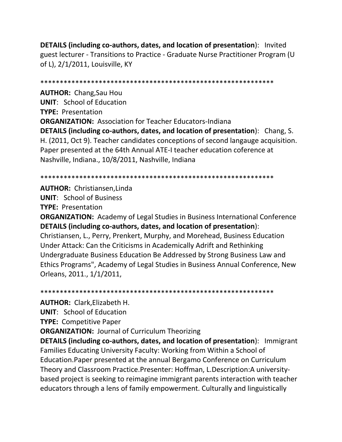**DETAILS (including co-authors, dates, and location of presentation**): Invited guest lecturer - Transitions to Practice - Graduate Nurse Practitioner Program (U of L), 2/1/2011, Louisville, KY

\*\*\*\*\*\*\*\*\*\*\*\*\*\*\*\*\*\*\*\*\*\*\*\*\*\*\*\*\*\*\*\*\*\*\*\*\*\*\*\*\*\*\*\*\*\*\*\*\*\*\*\*\*\*\*\*\*\*\*\*

**AUTHOR:** Chang,Sau Hou **UNIT**: School of Education **TYPE:** Presentation **ORGANIZATION:** Association for Teacher Educators-Indiana **DETAILS (including co-authors, dates, and location of presentation**): Chang, S. H. (2011, Oct 9). Teacher candidates conceptions of second langauge acquisition. Paper presented at the 64th Annual ATE-I teacher education coference at Nashville, Indiana., 10/8/2011, Nashville, Indiana

#### \*\*\*\*\*\*\*\*\*\*\*\*\*\*\*\*\*\*\*\*\*\*\*\*\*\*\*\*\*\*\*\*\*\*\*\*\*\*\*\*\*\*\*\*\*\*\*\*\*\*\*\*\*\*\*\*\*\*\*\*

**AUTHOR:** Christiansen,Linda **UNIT**: School of Business **TYPE:** Presentation

**ORGANIZATION:** Academy of Legal Studies in Business International Conference **DETAILS (including co-authors, dates, and location of presentation**): Christiansen, L., Perry, Prenkert, Murphy, and Morehead, Business Education Under Attack: Can the Criticisms in Academically Adrift and Rethinking Undergraduate Business Education Be Addressed by Strong Business Law and Ethics Programs", Academy of Legal Studies in Business Annual Conference, New Orleans, 2011., 1/1/2011,

#### \*\*\*\*\*\*\*\*\*\*\*\*\*\*\*\*\*\*\*\*\*\*\*\*\*\*\*\*\*\*\*\*\*\*\*\*\*\*\*\*\*\*\*\*\*\*\*\*\*\*\*\*\*\*\*\*\*\*\*\*

**AUTHOR:** Clark,Elizabeth H.

**UNIT**: School of Education

**TYPE:** Competitive Paper

**ORGANIZATION:** Journal of Curriculum Theorizing

**DETAILS (including co-authors, dates, and location of presentation**): Immigrant Families Educating University Faculty: Working from Within a School of Education.Paper presented at the annual Bergamo Conference on Curriculum Theory and Classroom Practice.Presenter: Hoffman, L.Description:A universitybased project is seeking to reimagine immigrant parents interaction with teacher educators through a lens of family empowerment. Culturally and linguistically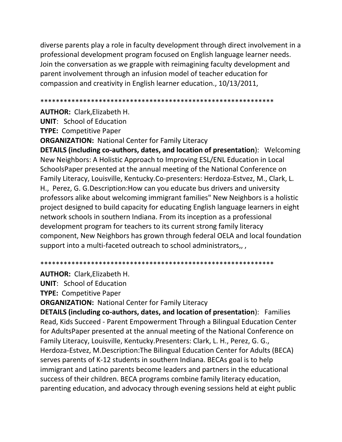diverse parents play a role in faculty development through direct involvement in a professional development program focused on English language learner needs. Join the conversation as we grapple with reimagining faculty development and parent involvement through an infusion model of teacher education for compassion and creativity in English learner education., 10/13/2011,

**AUTHOR: Clark.Elizabeth H.** 

**UNIT:** School of Education

**TYPE: Competitive Paper** 

**ORGANIZATION: National Center for Family Literacy** 

DETAILS (including co-authors, dates, and location of presentation): Welcoming New Neighbors: A Holistic Approach to Improving ESL/ENL Education in Local SchoolsPaper presented at the annual meeting of the National Conference on Family Literacy, Louisville, Kentucky.Co-presenters: Herdoza-Estvez, M., Clark, L. H., Perez, G. G. Description: How can you educate bus drivers and university professors alike about welcoming immigrant families" New Neighbors is a holistic project designed to build capacity for educating English language learners in eight network schools in southern Indiana. From its inception as a professional development program for teachers to its current strong family literacy component, New Neighbors has grown through federal OELA and local foundation support into a multi-faceted outreach to school administrators,,

**AUTHOR: Clark, Elizabeth H.** 

**UNIT:** School of Education

**TYPE: Competitive Paper** 

**ORGANIZATION: National Center for Family Literacy** 

**DETAILS (including co-authors, dates, and location of presentation): Families** Read, Kids Succeed - Parent Empowerment Through a Bilingual Education Center for AdultsPaper presented at the annual meeting of the National Conference on Family Literacy, Louisville, Kentucky. Presenters: Clark, L. H., Perez, G. G., Herdoza-Estvez, M.Description: The Bilingual Education Center for Adults (BECA) serves parents of K-12 students in southern Indiana. BECAs goal is to help immigrant and Latino parents become leaders and partners in the educational success of their children. BECA programs combine family literacy education, parenting education, and advocacy through evening sessions held at eight public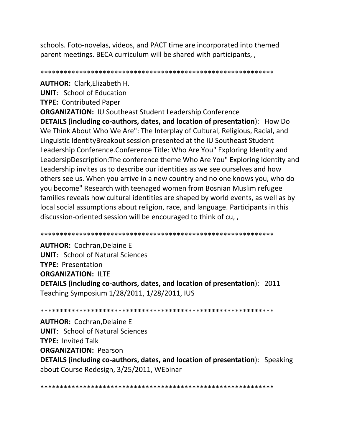schools. Foto-novelas, videos, and PACT time are incorporated into themed parent meetings. BECA curriculum will be shared with participants,

**AUTHOR: Clark.Elizabeth H. UNIT:** School of Education **TYPE: Contributed Paper ORGANIZATION: IU Southeast Student Leadership Conference** DETAILS (including co-authors, dates, and location of presentation): How Do We Think About Who We Are": The Interplay of Cultural, Religious, Racial, and Linguistic IdentityBreakout session presented at the IU Southeast Student Leadership Conference.Conference Title: Who Are You" Exploring Identity and LeadersipDescription: The conference theme Who Are You" Exploring Identity and Leadership invites us to describe our identities as we see ourselves and how others see us. When you arrive in a new country and no one knows you, who do you become" Research with teenaged women from Bosnian Muslim refugee families reveals how cultural identities are shaped by world events, as well as by local social assumptions about religion, race, and language. Participants in this discussion-oriented session will be encouraged to think of cu,,

**AUTHOR: Cochran, Delaine E UNIT: School of Natural Sciences TYPE: Presentation ORGANIZATION: ILTE** DETAILS (including co-authors, dates, and location of presentation): 2011 Teaching Symposium 1/28/2011, 1/28/2011, IUS

**AUTHOR: Cochran, Delaine E UNIT: School of Natural Sciences TYPE: Invited Talk ORGANIZATION: Pearson** DETAILS (including co-authors, dates, and location of presentation): Speaking about Course Redesign, 3/25/2011, WEbinar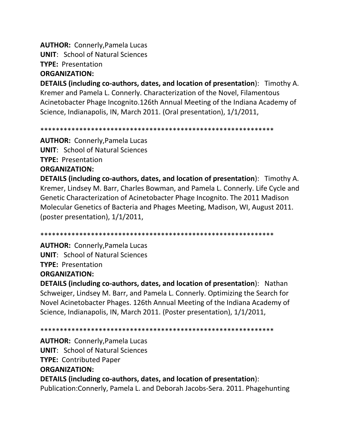**AUTHOR:** Connerly,Pamela Lucas **UNIT**: School of Natural Sciences

**TYPE:** Presentation

### **ORGANIZATION:**

**DETAILS (including co-authors, dates, and location of presentation**): Timothy A. Kremer and Pamela L. Connerly. Characterization of the Novel, Filamentous Acinetobacter Phage Incognito.126th Annual Meeting of the Indiana Academy of Science, Indianapolis, IN, March 2011. (Oral presentation), 1/1/2011,

\*\*\*\*\*\*\*\*\*\*\*\*\*\*\*\*\*\*\*\*\*\*\*\*\*\*\*\*\*\*\*\*\*\*\*\*\*\*\*\*\*\*\*\*\*\*\*\*\*\*\*\*\*\*\*\*\*\*\*\*

**AUTHOR:** Connerly,Pamela Lucas **UNIT**: School of Natural Sciences **TYPE:** Presentation

### **ORGANIZATION:**

**DETAILS (including co-authors, dates, and location of presentation**): Timothy A. Kremer, Lindsey M. Barr, Charles Bowman, and Pamela L. Connerly. Life Cycle and Genetic Characterization of Acinetobacter Phage Incognito. The 2011 Madison Molecular Genetics of Bacteria and Phages Meeting, Madison, WI, August 2011. (poster presentation), 1/1/2011,

\*\*\*\*\*\*\*\*\*\*\*\*\*\*\*\*\*\*\*\*\*\*\*\*\*\*\*\*\*\*\*\*\*\*\*\*\*\*\*\*\*\*\*\*\*\*\*\*\*\*\*\*\*\*\*\*\*\*\*\*

**AUTHOR:** Connerly,Pamela Lucas **UNIT**: School of Natural Sciences **TYPE:** Presentation

### **ORGANIZATION:**

**DETAILS (including co-authors, dates, and location of presentation**): Nathan Schweiger, Lindsey M. Barr, and Pamela L. Connerly. Optimizing the Search for Novel Acinetobacter Phages. 126th Annual Meeting of the Indiana Academy of Science, Indianapolis, IN, March 2011. (Poster presentation), 1/1/2011,

\*\*\*\*\*\*\*\*\*\*\*\*\*\*\*\*\*\*\*\*\*\*\*\*\*\*\*\*\*\*\*\*\*\*\*\*\*\*\*\*\*\*\*\*\*\*\*\*\*\*\*\*\*\*\*\*\*\*\*\*

**AUTHOR:** Connerly,Pamela Lucas **UNIT**: School of Natural Sciences **TYPE:** Contributed Paper **ORGANIZATION:** 

**DETAILS (including co-authors, dates, and location of presentation**): Publication:Connerly, Pamela L. and Deborah Jacobs-Sera. 2011. Phagehunting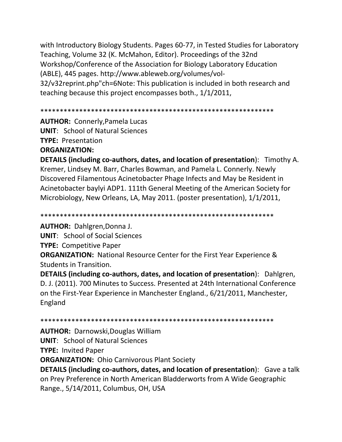with Introductory Biology Students. Pages 60-77, in Tested Studies for Laboratory Teaching, Volume 32 (K. McMahon, Editor). Proceedings of the 32nd Workshop/Conference of the Association for Biology Laboratory Education (ABLE), 445 pages. http://www.ableweb.org/volumes/vol-32/v32reprint.php"ch=6Note: This publication is included in both research and teaching because this project encompasses both., 1/1/2011,

```
************************************************************
```
**AUTHOR:** Connerly,Pamela Lucas **UNIT**: School of Natural Sciences **TYPE:** Presentation **ORGANIZATION:** 

**DETAILS (including co-authors, dates, and location of presentation**): Timothy A. Kremer, Lindsey M. Barr, Charles Bowman, and Pamela L. Connerly. Newly Discovered Filamentous Acinetobacter Phage Infects and May be Resident in Acinetobacter baylyi ADP1. 111th General Meeting of the American Society for Microbiology, New Orleans, LA, May 2011. (poster presentation), 1/1/2011,

\*\*\*\*\*\*\*\*\*\*\*\*\*\*\*\*\*\*\*\*\*\*\*\*\*\*\*\*\*\*\*\*\*\*\*\*\*\*\*\*\*\*\*\*\*\*\*\*\*\*\*\*\*\*\*\*\*\*\*\*

**AUTHOR:** Dahlgren,Donna J.

**UNIT**: School of Social Sciences

**TYPE:** Competitive Paper

**ORGANIZATION:** National Resource Center for the First Year Experience & Students in Transition.

**DETAILS (including co-authors, dates, and location of presentation**): Dahlgren, D. J. (2011). 700 Minutes to Success. Presented at 24th International Conference on the First-Year Experience in Manchester England., 6/21/2011, Manchester, England

\*\*\*\*\*\*\*\*\*\*\*\*\*\*\*\*\*\*\*\*\*\*\*\*\*\*\*\*\*\*\*\*\*\*\*\*\*\*\*\*\*\*\*\*\*\*\*\*\*\*\*\*\*\*\*\*\*\*\*\*

**AUTHOR:** Darnowski,Douglas William

**UNIT**: School of Natural Sciences

**TYPE:** Invited Paper

**ORGANIZATION:** Ohio Carnivorous Plant Society

**DETAILS (including co-authors, dates, and location of presentation**): Gave a talk on Prey Preference in North American Bladderworts from A Wide Geographic Range., 5/14/2011, Columbus, OH, USA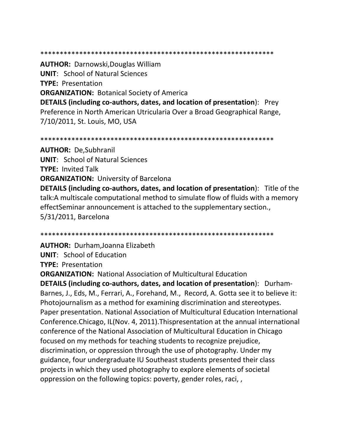**AUTHOR: Darnowski, Douglas William UNIT:** School of Natural Sciences **TYPE: Presentation ORGANIZATION: Botanical Society of America DETAILS (including co-authors, dates, and location of presentation):** Prey Preference in North American Utricularia Over a Broad Geographical Range, 7/10/2011, St. Louis, MO, USA

**AUTHOR: De, Subhranil UNIT: School of Natural Sciences TYPE: Invited Talk ORGANIZATION: University of Barcelona DETAILS (including co-authors, dates, and location of presentation):** Title of the talk: A multiscale computational method to simulate flow of fluids with a memory effectSeminar announcement is attached to the supplementary section., 5/31/2011, Barcelona

**AUTHOR: Durham, Joanna Elizabeth UNIT:** School of Education **TYPE: Presentation** 

**ORGANIZATION: National Association of Multicultural Education** DETAILS (including co-authors, dates, and location of presentation): Durham-Barnes, J., Eds, M., Ferrari, A., Forehand, M., Record, A. Gotta see it to believe it: Photojournalism as a method for examining discrimination and stereotypes. Paper presentation. National Association of Multicultural Education International Conference. Chicago, IL(Nov. 4, 2011). Thispresentation at the annual international conference of the National Association of Multicultural Education in Chicago focused on my methods for teaching students to recognize prejudice, discrimination, or oppression through the use of photography. Under my guidance, four undergraduate IU Southeast students presented their class projects in which they used photography to explore elements of societal oppression on the following topics: poverty, gender roles, raci,,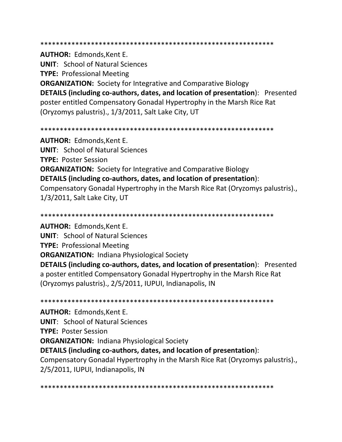\*\*\*\*\*\*\*\*\*\*\*\*\*\*\*\*\*\*\*\*\*\*\*\*\*\*\*\*\*\*\*\*\*\*\*\*\*\*\*\*\*\*\*\*\*\*\*\*\*\*\*\*\*\*\*\*\*\*\*\*

**AUTHOR:** Edmonds,Kent E.

**UNIT**: School of Natural Sciences

**TYPE:** Professional Meeting

**ORGANIZATION:** Society for Integrative and Comparative Biology **DETAILS (including co-authors, dates, and location of presentation**): Presented poster entitled Compensatory Gonadal Hypertrophy in the Marsh Rice Rat (Oryzomys palustris)., 1/3/2011, Salt Lake City, UT

\*\*\*\*\*\*\*\*\*\*\*\*\*\*\*\*\*\*\*\*\*\*\*\*\*\*\*\*\*\*\*\*\*\*\*\*\*\*\*\*\*\*\*\*\*\*\*\*\*\*\*\*\*\*\*\*\*\*\*\*

**AUTHOR:** Edmonds,Kent E. **UNIT**: School of Natural Sciences **TYPE:** Poster Session **ORGANIZATION:** Society for Integrative and Comparative Biology **DETAILS (including co-authors, dates, and location of presentation**): Compensatory Gonadal Hypertrophy in the Marsh Rice Rat (Oryzomys palustris)., 1/3/2011, Salt Lake City, UT

\*\*\*\*\*\*\*\*\*\*\*\*\*\*\*\*\*\*\*\*\*\*\*\*\*\*\*\*\*\*\*\*\*\*\*\*\*\*\*\*\*\*\*\*\*\*\*\*\*\*\*\*\*\*\*\*\*\*\*\*

**AUTHOR:** Edmonds,Kent E.

**UNIT**: School of Natural Sciences

**TYPE:** Professional Meeting

**ORGANIZATION:** Indiana Physiological Society

**DETAILS (including co-authors, dates, and location of presentation**): Presented a poster entitled Compensatory Gonadal Hypertrophy in the Marsh Rice Rat (Oryzomys palustris)., 2/5/2011, IUPUI, Indianapolis, IN

\*\*\*\*\*\*\*\*\*\*\*\*\*\*\*\*\*\*\*\*\*\*\*\*\*\*\*\*\*\*\*\*\*\*\*\*\*\*\*\*\*\*\*\*\*\*\*\*\*\*\*\*\*\*\*\*\*\*\*\*

**AUTHOR:** Edmonds,Kent E.

**UNIT**: School of Natural Sciences

**TYPE:** Poster Session

**ORGANIZATION:** Indiana Physiological Society

**DETAILS (including co-authors, dates, and location of presentation**):

Compensatory Gonadal Hypertrophy in the Marsh Rice Rat (Oryzomys palustris)., 2/5/2011, IUPUI, Indianapolis, IN

\*\*\*\*\*\*\*\*\*\*\*\*\*\*\*\*\*\*\*\*\*\*\*\*\*\*\*\*\*\*\*\*\*\*\*\*\*\*\*\*\*\*\*\*\*\*\*\*\*\*\*\*\*\*\*\*\*\*\*\*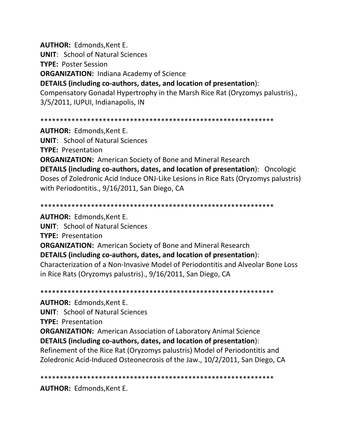**AUTHOR:** Edmonds,Kent E. **UNIT**: School of Natural Sciences **TYPE:** Poster Session **ORGANIZATION:** Indiana Academy of Science **DETAILS (including co-authors, dates, and location of presentation**):

Compensatory Gonadal Hypertrophy in the Marsh Rice Rat (Oryzomys palustris)., 3/5/2011, IUPUI, Indianapolis, IN

\*\*\*\*\*\*\*\*\*\*\*\*\*\*\*\*\*\*\*\*\*\*\*\*\*\*\*\*\*\*\*\*\*\*\*\*\*\*\*\*\*\*\*\*\*\*\*\*\*\*\*\*\*\*\*\*\*\*\*\*

**AUTHOR:** Edmonds,Kent E. **UNIT**: School of Natural Sciences **TYPE:** Presentation **ORGANIZATION:** American Society of Bone and Mineral Research **DETAILS (including co-authors, dates, and location of presentation**): Oncologic Doses of Zoledronic Acid Induce ONJ-Like Lesions in Rice Rats (Oryzomys palustris) with Periodontitis., 9/16/2011, San Diego, CA

\*\*\*\*\*\*\*\*\*\*\*\*\*\*\*\*\*\*\*\*\*\*\*\*\*\*\*\*\*\*\*\*\*\*\*\*\*\*\*\*\*\*\*\*\*\*\*\*\*\*\*\*\*\*\*\*\*\*\*\*

**AUTHOR:** Edmonds,Kent E. **UNIT**: School of Natural Sciences **TYPE:** Presentation **ORGANIZATION:** American Society of Bone and Mineral Research **DETAILS (including co-authors, dates, and location of presentation**): Characterization of a Non-Invasive Model of Periodontitis and Alveolar Bone Loss in Rice Rats (Oryzomys palustris)., 9/16/2011, San Diego, CA

\*\*\*\*\*\*\*\*\*\*\*\*\*\*\*\*\*\*\*\*\*\*\*\*\*\*\*\*\*\*\*\*\*\*\*\*\*\*\*\*\*\*\*\*\*\*\*\*\*\*\*\*\*\*\*\*\*\*\*\*

**AUTHOR:** Edmonds,Kent E.

**UNIT**: School of Natural Sciences

**TYPE:** Presentation

**ORGANIZATION:** American Association of Laboratory Animal Science **DETAILS (including co-authors, dates, and location of presentation**): Refinement of the Rice Rat (Oryzomys palustris) Model of Periodontitis and Zoledronic Acid-Induced Osteonecrosis of the Jaw., 10/2/2011, San Diego, CA

\*\*\*\*\*\*\*\*\*\*\*\*\*\*\*\*\*\*\*\*\*\*\*\*\*\*\*\*\*\*\*\*\*\*\*\*\*\*\*\*\*\*\*\*\*\*\*\*\*\*\*\*\*\*\*\*\*\*\*\*

**AUTHOR:** Edmonds,Kent E.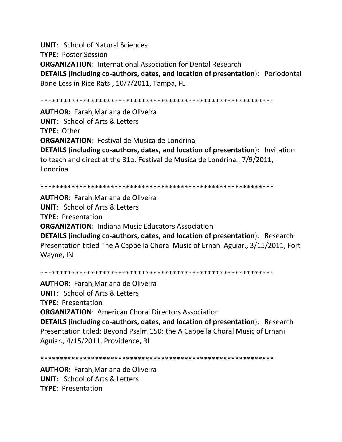**UNIT**: School of Natural Sciences **TYPE:** Poster Session **ORGANIZATION:** International Association for Dental Research **DETAILS (including co-authors, dates, and location of presentation**): Periodontal Bone Loss in Rice Rats., 10/7/2011, Tampa, FL

\*\*\*\*\*\*\*\*\*\*\*\*\*\*\*\*\*\*\*\*\*\*\*\*\*\*\*\*\*\*\*\*\*\*\*\*\*\*\*\*\*\*\*\*\*\*\*\*\*\*\*\*\*\*\*\*\*\*\*\*

**AUTHOR:** Farah,Mariana de Oliveira **UNIT**: School of Arts & Letters **TYPE:** Other **ORGANIZATION:** Festival de Musica de Londrina **DETAILS (including co-authors, dates, and location of presentation**): Invitation to teach and direct at the 31o. Festival de Musica de Londrina., 7/9/2011, Londrina

\*\*\*\*\*\*\*\*\*\*\*\*\*\*\*\*\*\*\*\*\*\*\*\*\*\*\*\*\*\*\*\*\*\*\*\*\*\*\*\*\*\*\*\*\*\*\*\*\*\*\*\*\*\*\*\*\*\*\*\*

**AUTHOR:** Farah,Mariana de Oliveira **UNIT**: School of Arts & Letters **TYPE:** Presentation **ORGANIZATION:** Indiana Music Educators Association **DETAILS (including co-authors, dates, and location of presentation**): Research Presentation titled The A Cappella Choral Music of Ernani Aguiar., 3/15/2011, Fort Wayne, IN

\*\*\*\*\*\*\*\*\*\*\*\*\*\*\*\*\*\*\*\*\*\*\*\*\*\*\*\*\*\*\*\*\*\*\*\*\*\*\*\*\*\*\*\*\*\*\*\*\*\*\*\*\*\*\*\*\*\*\*\*

**AUTHOR:** Farah,Mariana de Oliveira **UNIT**: School of Arts & Letters **TYPE:** Presentation **ORGANIZATION:** American Choral Directors Association **DETAILS (including co-authors, dates, and location of presentation**): Research Presentation titled: Beyond Psalm 150: the A Cappella Choral Music of Ernani Aguiar., 4/15/2011, Providence, RI

```
************************************************************
```
**AUTHOR:** Farah,Mariana de Oliveira **UNIT**: School of Arts & Letters **TYPE:** Presentation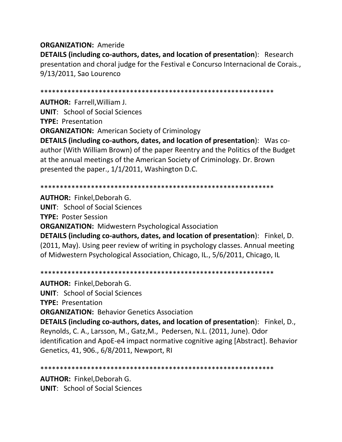### **ORGANIZATION:** Ameride **DETAILS (including co-authors, dates, and location of presentation**): Research presentation and choral judge for the Festival e Concurso Internacional de Corais., 9/13/2011, Sao Lourenco

\*\*\*\*\*\*\*\*\*\*\*\*\*\*\*\*\*\*\*\*\*\*\*\*\*\*\*\*\*\*\*\*\*\*\*\*\*\*\*\*\*\*\*\*\*\*\*\*\*\*\*\*\*\*\*\*\*\*\*\*

**AUTHOR:** Farrell,William J. **UNIT**: School of Social Sciences **TYPE:** Presentation **ORGANIZATION:** American Society of Criminology **DETAILS (including co-authors, dates, and location of presentation**): Was coauthor (With William Brown) of the paper Reentry and the Politics of the Budget at the annual meetings of the American Society of Criminology. Dr. Brown presented the paper., 1/1/2011, Washington D.C.

\*\*\*\*\*\*\*\*\*\*\*\*\*\*\*\*\*\*\*\*\*\*\*\*\*\*\*\*\*\*\*\*\*\*\*\*\*\*\*\*\*\*\*\*\*\*\*\*\*\*\*\*\*\*\*\*\*\*\*\*

**AUTHOR:** Finkel,Deborah G. **UNIT**: School of Social Sciences **TYPE:** Poster Session **ORGANIZATION:** Midwestern Psychological Association **DETAILS (including co-authors, dates, and location of presentation**): Finkel, D. (2011, May). Using peer review of writing in psychology classes. Annual meeting of Midwestern Psychological Association, Chicago, IL., 5/6/2011, Chicago, IL

\*\*\*\*\*\*\*\*\*\*\*\*\*\*\*\*\*\*\*\*\*\*\*\*\*\*\*\*\*\*\*\*\*\*\*\*\*\*\*\*\*\*\*\*\*\*\*\*\*\*\*\*\*\*\*\*\*\*\*\*

**AUTHOR:** Finkel,Deborah G. **UNIT**: School of Social Sciences **TYPE:** Presentation **ORGANIZATION:** Behavior Genetics Association **DETAILS (including co-authors, dates, and location of presentation**): Finkel, D., Reynolds, C. A., Larsson, M., Gatz,M., Pedersen, N.L. (2011, June). Odor identification and ApoE-e4 impact normative cognitive aging [Abstract]. Behavior Genetics, 41, 906., 6/8/2011, Newport, RI

\*\*\*\*\*\*\*\*\*\*\*\*\*\*\*\*\*\*\*\*\*\*\*\*\*\*\*\*\*\*\*\*\*\*\*\*\*\*\*\*\*\*\*\*\*\*\*\*\*\*\*\*\*\*\*\*\*\*\*\*

**AUTHOR:** Finkel,Deborah G. **UNIT**: School of Social Sciences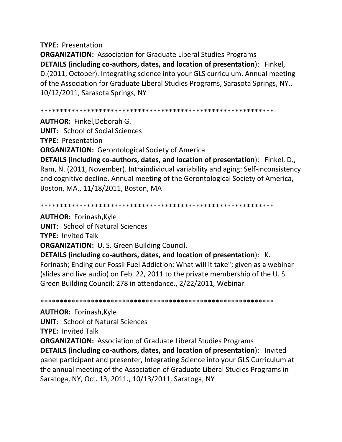#### **TYPE:** Presentation

**ORGANIZATION:** Association for Graduate Liberal Studies Programs **DETAILS (including co-authors, dates, and location of presentation**): Finkel, D.(2011, October). Integrating science into your GLS curriculum. Annual meeting of the Association for Graduate Liberal Studies Programs, Sarasota Springs, NY., 10/12/2011, Sarasota Springs, NY

#### \*\*\*\*\*\*\*\*\*\*\*\*\*\*\*\*\*\*\*\*\*\*\*\*\*\*\*\*\*\*\*\*\*\*\*\*\*\*\*\*\*\*\*\*\*\*\*\*\*\*\*\*\*\*\*\*\*\*\*\*

**AUTHOR:** Finkel,Deborah G.

**UNIT**: School of Social Sciences

**TYPE:** Presentation

**ORGANIZATION:** Gerontological Society of America

**DETAILS (including co-authors, dates, and location of presentation**): Finkel, D., Ram, N. (2011, November). Intraindividual variability and aging: Self-inconsistency and cognitive decline. Annual meeting of the Gerontological Society of America, Boston, MA., 11/18/2011, Boston, MA

\*\*\*\*\*\*\*\*\*\*\*\*\*\*\*\*\*\*\*\*\*\*\*\*\*\*\*\*\*\*\*\*\*\*\*\*\*\*\*\*\*\*\*\*\*\*\*\*\*\*\*\*\*\*\*\*\*\*\*\*

**AUTHOR:** Forinash,Kyle

**UNIT**: School of Natural Sciences

**TYPE:** Invited Talk

**ORGANIZATION:** U. S. Green Building Council.

**DETAILS (including co-authors, dates, and location of presentation**): K. Forinash; Ending our Fossil Fuel Addiction: What will it take"; given as a webinar (slides and live audio) on Feb. 22, 2011 to the private membership of the U. S. Green Building Council; 278 in attendance., 2/22/2011, Webinar

\*\*\*\*\*\*\*\*\*\*\*\*\*\*\*\*\*\*\*\*\*\*\*\*\*\*\*\*\*\*\*\*\*\*\*\*\*\*\*\*\*\*\*\*\*\*\*\*\*\*\*\*\*\*\*\*\*\*\*\*

**AUTHOR:** Forinash,Kyle **UNIT**: School of Natural Sciences **TYPE:** Invited Talk **ORGANIZATION:** Association of Graduate Liberal Studies Programs **DETAILS (including co-authors, dates, and location of presentation**): Invited panel participant and presenter, Integrating Science into your GLS Curriculum at the annual meeting of the Association of Graduate Liberal Studies Programs in Saratoga, NY, Oct. 13, 2011., 10/13/2011, Saratoga, NY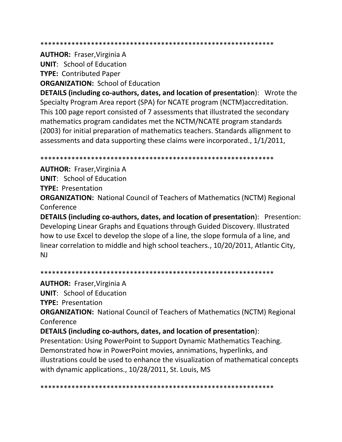**AUTHOR: Fraser, Virginia A** 

**UNIT:** School of Education

**TYPE: Contributed Paper** 

**ORGANIZATION: School of Education** 

**DETAILS (including co-authors, dates, and location of presentation):** Wrote the Specialty Program Area report (SPA) for NCATE program (NCTM) accreditation. This 100 page report consisted of 7 assessments that illustrated the secondary mathematics program candidates met the NCTM/NCATE program standards (2003) for initial preparation of mathematics teachers. Standards allignment to assessments and data supporting these claims were incorporated., 1/1/2011,

**AUTHOR: Fraser, Virginia A** 

**UNIT:** School of Education

**TYPE: Presentation** 

**ORGANIZATION:** National Council of Teachers of Mathematics (NCTM) Regional Conference

DETAILS (including co-authors, dates, and location of presentation): Presention: Developing Linear Graphs and Equations through Guided Discovery. Illustrated how to use Excel to develop the slope of a line, the slope formula of a line, and linear correlation to middle and high school teachers., 10/20/2011, Atlantic City,  $N<sub>J</sub>$ 

**AUTHOR: Fraser, Virginia A** 

**UNIT:** School of Education

**TYPE: Presentation** 

**ORGANIZATION:** National Council of Teachers of Mathematics (NCTM) Regional Conference

DETAILS (including co-authors, dates, and location of presentation):

Presentation: Using PowerPoint to Support Dynamic Mathematics Teaching. Demonstrated how in PowerPoint movies, annimations, hyperlinks, and illustrations could be used to enhance the visualization of mathematical concepts with dynamic applications., 10/28/2011, St. Louis, MS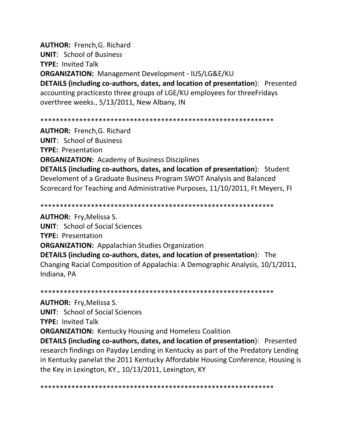**AUTHOR:** French,G. Richard **UNIT**: School of Business **TYPE:** Invited Talk **ORGANIZATION:** Management Development - IUS/LG&E/KU **DETAILS (including co-authors, dates, and location of presentation**): Presented accounting practicesto three groups of LGE/KU employees for threeFridays overthree weeks., 5/13/2011, New Albany, IN

\*\*\*\*\*\*\*\*\*\*\*\*\*\*\*\*\*\*\*\*\*\*\*\*\*\*\*\*\*\*\*\*\*\*\*\*\*\*\*\*\*\*\*\*\*\*\*\*\*\*\*\*\*\*\*\*\*\*\*\*

**AUTHOR:** French,G. Richard **UNIT**: School of Business **TYPE:** Presentation **ORGANIZATION:** Academy of Business Disciplines **DETAILS (including co-authors, dates, and location of presentation**): Student Develoment of a Graduate Business Program SWOT Analysis and Balanced Scorecard for Teaching and Administrative Purposes, 11/10/2011, Ft Meyers, Fl

\*\*\*\*\*\*\*\*\*\*\*\*\*\*\*\*\*\*\*\*\*\*\*\*\*\*\*\*\*\*\*\*\*\*\*\*\*\*\*\*\*\*\*\*\*\*\*\*\*\*\*\*\*\*\*\*\*\*\*\*

**AUTHOR:** Fry,Melissa S. **UNIT**: School of Social Sciences **TYPE:** Presentation **ORGANIZATION:** Appalachian Studies Organization **DETAILS (including co-authors, dates, and location of presentation**): The Changing Racial Composition of Appalachia: A Demographic Analysis, 10/1/2011, Indiana, PA

\*\*\*\*\*\*\*\*\*\*\*\*\*\*\*\*\*\*\*\*\*\*\*\*\*\*\*\*\*\*\*\*\*\*\*\*\*\*\*\*\*\*\*\*\*\*\*\*\*\*\*\*\*\*\*\*\*\*\*\*

**AUTHOR:** Fry,Melissa S. **UNIT**: School of Social Sciences **TYPE:** Invited Talk **ORGANIZATION:** Kentucky Housing and Homeless Coalition **DETAILS (including co-authors, dates, and location of presentation**): Presented research findings on Payday Lending in Kentucky as part of the Predatory Lending in Kentucky panelat the 2011 Kentucky Affordable Housing Conference, Housing is the Key in Lexington, KY., 10/13/2011, Lexington, KY

\*\*\*\*\*\*\*\*\*\*\*\*\*\*\*\*\*\*\*\*\*\*\*\*\*\*\*\*\*\*\*\*\*\*\*\*\*\*\*\*\*\*\*\*\*\*\*\*\*\*\*\*\*\*\*\*\*\*\*\*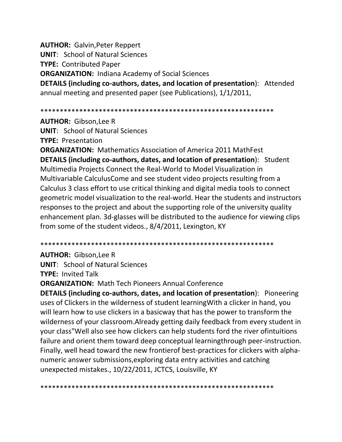**AUTHOR:** Galvin,Peter Reppert **UNIT**: School of Natural Sciences **TYPE:** Contributed Paper **ORGANIZATION:** Indiana Academy of Social Sciences **DETAILS (including co-authors, dates, and location of presentation**): Attended annual meeting and presented paper (see Publications), 1/1/2011,

\*\*\*\*\*\*\*\*\*\*\*\*\*\*\*\*\*\*\*\*\*\*\*\*\*\*\*\*\*\*\*\*\*\*\*\*\*\*\*\*\*\*\*\*\*\*\*\*\*\*\*\*\*\*\*\*\*\*\*\*

**AUTHOR:** Gibson,Lee R

**UNIT**: School of Natural Sciences

**TYPE:** Presentation

**ORGANIZATION:** Mathematics Association of America 2011 MathFest **DETAILS (including co-authors, dates, and location of presentation**): Student Multimedia Projects Connect the Real-World to Model Visualization in Multivariable CalculusCome and see student video projects resulting from a Calculus 3 class effort to use critical thinking and digital media tools to connect geometric model visualization to the real-world. Hear the students and instructors responses to the project and about the supporting role of the university quality enhancement plan. 3d-glasses will be distributed to the audience for viewing clips from some of the student videos., 8/4/2011, Lexington, KY

\*\*\*\*\*\*\*\*\*\*\*\*\*\*\*\*\*\*\*\*\*\*\*\*\*\*\*\*\*\*\*\*\*\*\*\*\*\*\*\*\*\*\*\*\*\*\*\*\*\*\*\*\*\*\*\*\*\*\*\*

**AUTHOR:** Gibson,Lee R **UNIT**: School of Natural Sciences **TYPE:** Invited Talk

**ORGANIZATION:** Math Tech Pioneers Annual Conference

**DETAILS (including co-authors, dates, and location of presentation**): Pioneering uses of Clickers in the wilderness of student learningWith a clicker in hand, you will learn how to use clickers in a basicway that has the power to transform the wilderness of your classroom.Already getting daily feedback from every student in your class"Well also see how clickers can help students ford the river ofintuitions failure and orient them toward deep conceptual learningthrough peer-instruction. Finally, well head toward the new frontierof best-practices for clickers with alphanumeric answer submissions,exploring data entry activities and catching unexpected mistakes., 10/22/2011, JCTCS, Louisville, KY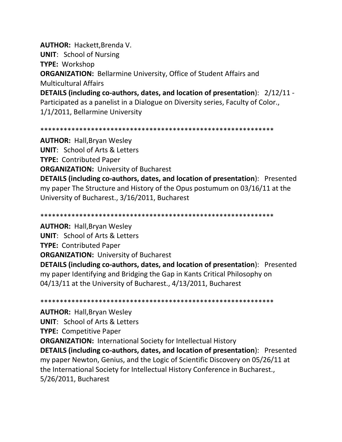**AUTHOR: Hackett, Brenda V.** 

**UNIT:** School of Nursing

**TYPE: Workshop** 

**ORGANIZATION:** Bellarmine University, Office of Student Affairs and **Multicultural Affairs** 

DETAILS (including co-authors, dates, and location of presentation): 2/12/11 -Participated as a panelist in a Dialogue on Diversity series, Faculty of Color., 1/1/2011, Bellarmine University

**AUTHOR: Hall, Bryan Wesley UNIT:** School of Arts & Letters **TYPE: Contributed Paper ORGANIZATION: University of Bucharest** 

**DETAILS (including co-authors, dates, and location of presentation):** Presented my paper The Structure and History of the Opus postumum on 03/16/11 at the University of Bucharest., 3/16/2011, Bucharest

**AUTHOR: Hall, Bryan Wesley UNIT:** School of Arts & Letters **TYPE: Contributed Paper ORGANIZATION: University of Bucharest** 

**DETAILS (including co-authors, dates, and location of presentation):** Presented my paper Identifying and Bridging the Gap in Kants Critical Philosophy on 04/13/11 at the University of Bucharest., 4/13/2011, Bucharest

**AUTHOR: Hall, Bryan Wesley UNIT: School of Arts & Letters TYPE: Competitive Paper ORGANIZATION: International Society for Intellectual History DETAILS (including co-authors, dates, and location of presentation):** Presented my paper Newton, Genius, and the Logic of Scientific Discovery on 05/26/11 at the International Society for Intellectual History Conference in Bucharest., 5/26/2011, Bucharest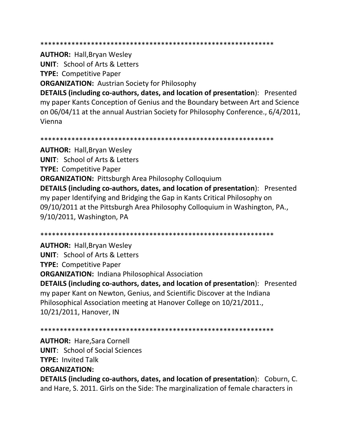**AUTHOR: Hall, Bryan Wesley** 

**UNIT: School of Arts & Letters** 

**TYPE: Competitive Paper** 

**ORGANIZATION: Austrian Society for Philosophy** 

**DETAILS (including co-authors, dates, and location of presentation):** Presented my paper Kants Conception of Genius and the Boundary between Art and Science on 06/04/11 at the annual Austrian Society for Philosophy Conference., 6/4/2011, Vienna

**AUTHOR: Hall, Bryan Wesley UNIT: School of Arts & Letters TYPE: Competitive Paper ORGANIZATION:** Pittsburgh Area Philosophy Colloquium DETAILS (including co-authors, dates, and location of presentation): Presented my paper Identifying and Bridging the Gap in Kants Critical Philosophy on 09/10/2011 at the Pittsburgh Area Philosophy Colloquium in Washington, PA., 9/10/2011, Washington, PA

**AUTHOR: Hall, Bryan Wesley UNIT: School of Arts & Letters TYPE: Competitive Paper ORGANIZATION: Indiana Philosophical Association** DETAILS (including co-authors, dates, and location of presentation): Presented my paper Kant on Newton, Genius, and Scientific Discover at the Indiana Philosophical Association meeting at Hanover College on 10/21/2011., 10/21/2011, Hanover, IN

**AUTHOR: Hare, Sara Cornell UNIT:** School of Social Sciences **TYPE: Invited Talk ORGANIZATION:** 

DETAILS (including co-authors, dates, and location of presentation): Coburn, C. and Hare, S. 2011. Girls on the Side: The marginalization of female characters in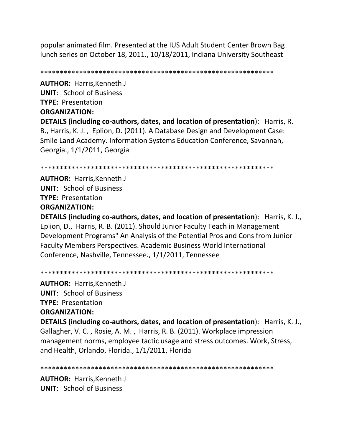popular animated film. Presented at the IUS Adult Student Center Brown Bag lunch series on October 18, 2011., 10/18/2011, Indiana University Southeast

\*\*\*\*\*\*\*\*\*\*\*\*\*\*\*\*\*\*\*\*\*\*\*\*\*\*\*\*\*\*\*\*\*\*\*\*\*\*\*\*\*\*\*\*\*\*\*\*\*\*\*\*\*\*\*\*\*\*\*\*

**AUTHOR:** Harris,Kenneth J **UNIT**: School of Business **TYPE:** Presentation **ORGANIZATION: DETAILS (including co-authors, dates, and location of presentation**): Harris, R. B., Harris, K. J. , Eplion, D. (2011). A Database Design and Development Case: Smile Land Academy. Information Systems Education Conference, Savannah, Georgia., 1/1/2011, Georgia

\*\*\*\*\*\*\*\*\*\*\*\*\*\*\*\*\*\*\*\*\*\*\*\*\*\*\*\*\*\*\*\*\*\*\*\*\*\*\*\*\*\*\*\*\*\*\*\*\*\*\*\*\*\*\*\*\*\*\*\*

**AUTHOR:** Harris,Kenneth J **UNIT**: School of Business **TYPE:** Presentation **ORGANIZATION:** 

**DETAILS (including co-authors, dates, and location of presentation**): Harris, K. J., Eplion, D., Harris, R. B. (2011). Should Junior Faculty Teach in Management Development Programs" An Analysis of the Potential Pros and Cons from Junior Faculty Members Perspectives. Academic Business World International Conference, Nashville, Tennessee., 1/1/2011, Tennessee

\*\*\*\*\*\*\*\*\*\*\*\*\*\*\*\*\*\*\*\*\*\*\*\*\*\*\*\*\*\*\*\*\*\*\*\*\*\*\*\*\*\*\*\*\*\*\*\*\*\*\*\*\*\*\*\*\*\*\*\*

**AUTHOR:** Harris,Kenneth J **UNIT**: School of Business **TYPE:** Presentation **ORGANIZATION:** 

**DETAILS (including co-authors, dates, and location of presentation**): Harris, K. J., Gallagher, V. C. , Rosie, A. M. , Harris, R. B. (2011). Workplace impression management norms, employee tactic usage and stress outcomes. Work, Stress, and Health, Orlando, Florida., 1/1/2011, Florida

\*\*\*\*\*\*\*\*\*\*\*\*\*\*\*\*\*\*\*\*\*\*\*\*\*\*\*\*\*\*\*\*\*\*\*\*\*\*\*\*\*\*\*\*\*\*\*\*\*\*\*\*\*\*\*\*\*\*\*\*

**AUTHOR:** Harris,Kenneth J **UNIT**: School of Business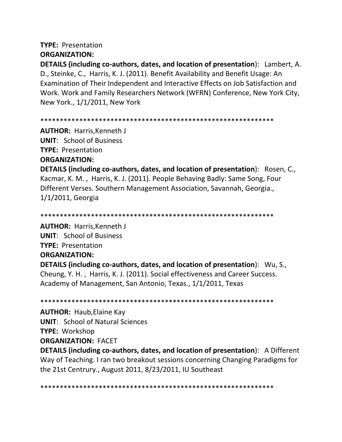## **TYPE:** Presentation **ORGANIZATION:**

**DETAILS (including co-authors, dates, and location of presentation**): Lambert, A. D., Steinke, C., Harris, K. J. (2011). Benefit Availability and Benefit Usage: An Examination of Their Independent and Interactive Effects on Job Satisfaction and Work. Work and Family Researchers Network (WFRN) Conference, New York City, New York., 1/1/2011, New York

\*\*\*\*\*\*\*\*\*\*\*\*\*\*\*\*\*\*\*\*\*\*\*\*\*\*\*\*\*\*\*\*\*\*\*\*\*\*\*\*\*\*\*\*\*\*\*\*\*\*\*\*\*\*\*\*\*\*\*\*

**AUTHOR:** Harris,Kenneth J **UNIT**: School of Business **TYPE:** Presentation **ORGANIZATION:** 

**DETAILS (including co-authors, dates, and location of presentation**): Rosen, C., Kacmar, K. M. , Harris, K. J. (2011). People Behaving Badly: Same Song, Four Different Verses. Southern Management Association, Savannah, Georgia., 1/1/2011, Georgia

\*\*\*\*\*\*\*\*\*\*\*\*\*\*\*\*\*\*\*\*\*\*\*\*\*\*\*\*\*\*\*\*\*\*\*\*\*\*\*\*\*\*\*\*\*\*\*\*\*\*\*\*\*\*\*\*\*\*\*\*

**AUTHOR:** Harris,Kenneth J **UNIT**: School of Business **TYPE:** Presentation **ORGANIZATION: DETAILS (including co-authors, dates, and location of presentation**): Wu, S., Cheung, Y. H. , Harris, K. J. (2011). Social effectiveness and Career Success. Academy of Management, San Antonio, Texas., 1/1/2011, Texas

\*\*\*\*\*\*\*\*\*\*\*\*\*\*\*\*\*\*\*\*\*\*\*\*\*\*\*\*\*\*\*\*\*\*\*\*\*\*\*\*\*\*\*\*\*\*\*\*\*\*\*\*\*\*\*\*\*\*\*\*

**AUTHOR:** Haub,Elaine Kay **UNIT**: School of Natural Sciences **TYPE:** Workshop **ORGANIZATION:** FACET

**DETAILS (including co-authors, dates, and location of presentation**): A Different Way of Teaching. I ran two breakout sessions concerning Changing Paradigms for the 21st Centrury., August 2011, 8/23/2011, IU Southeast

\*\*\*\*\*\*\*\*\*\*\*\*\*\*\*\*\*\*\*\*\*\*\*\*\*\*\*\*\*\*\*\*\*\*\*\*\*\*\*\*\*\*\*\*\*\*\*\*\*\*\*\*\*\*\*\*\*\*\*\*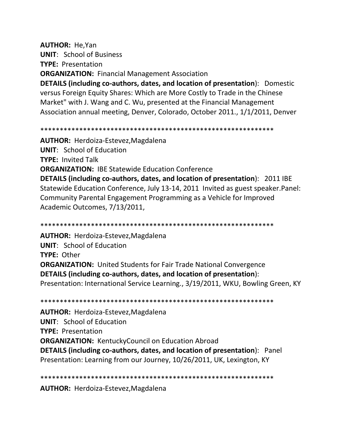**AUTHOR:** He,Yan **UNIT**: School of Business **TYPE:** Presentation **ORGANIZATION:** Financial Management Association **DETAILS (including co-authors, dates, and location of presentation**): Domestic versus Foreign Equity Shares: Which are More Costly to Trade in the Chinese Market" with J. Wang and C. Wu, presented at the Financial Management Association annual meeting, Denver, Colorado, October 2011., 1/1/2011, Denver

\*\*\*\*\*\*\*\*\*\*\*\*\*\*\*\*\*\*\*\*\*\*\*\*\*\*\*\*\*\*\*\*\*\*\*\*\*\*\*\*\*\*\*\*\*\*\*\*\*\*\*\*\*\*\*\*\*\*\*\*

\*\*\*\*\*\*\*\*\*\*\*\*\*\*\*\*\*\*\*\*\*\*\*\*\*\*\*\*\*\*\*\*\*\*\*\*\*\*\*\*\*\*\*\*\*\*\*\*\*\*\*\*\*\*\*\*\*\*\*\*

**AUTHOR:** Herdoiza-Estevez,Magdalena **UNIT**: School of Education **TYPE:** Invited Talk **ORGANIZATION:** IBE Statewide Education Conference **DETAILS (including co-authors, dates, and location of presentation**): 2011 IBE Statewide Education Conference, July 13-14, 2011 Invited as guest speaker.Panel: Community Parental Engagement Programming as a Vehicle for Improved Academic Outcomes, 7/13/2011,

**AUTHOR:** Herdoiza-Estevez,Magdalena **UNIT**: School of Education **TYPE:** Other **ORGANIZATION:** United Students for Fair Trade National Convergence **DETAILS (including co-authors, dates, and location of presentation**): Presentation: International Service Learning., 3/19/2011, WKU, Bowling Green, KY

\*\*\*\*\*\*\*\*\*\*\*\*\*\*\*\*\*\*\*\*\*\*\*\*\*\*\*\*\*\*\*\*\*\*\*\*\*\*\*\*\*\*\*\*\*\*\*\*\*\*\*\*\*\*\*\*\*\*\*\* **AUTHOR:** Herdoiza-Estevez,Magdalena **UNIT**: School of Education **TYPE:** Presentation **ORGANIZATION:** KentuckyCouncil on Education Abroad **DETAILS (including co-authors, dates, and location of presentation**): Panel Presentation: Learning from our Journey, 10/26/2011, UK, Lexington, KY

\*\*\*\*\*\*\*\*\*\*\*\*\*\*\*\*\*\*\*\*\*\*\*\*\*\*\*\*\*\*\*\*\*\*\*\*\*\*\*\*\*\*\*\*\*\*\*\*\*\*\*\*\*\*\*\*\*\*\*\*

**AUTHOR:** Herdoiza-Estevez,Magdalena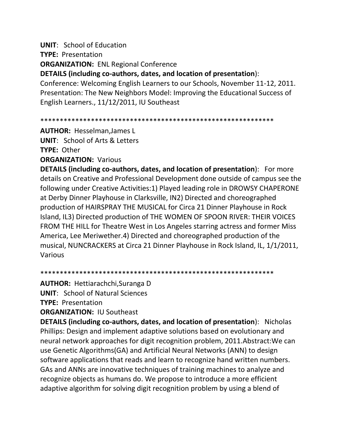**UNIT**: School of Education

**TYPE:** Presentation

**ORGANIZATION:** ENL Regional Conference

**DETAILS (including co-authors, dates, and location of presentation**):

Conference: Welcoming English Learners to our Schools, November 11-12, 2011. Presentation: The New Neighbors Model: Improving the Educational Success of English Learners., 11/12/2011, IU Southeast

\*\*\*\*\*\*\*\*\*\*\*\*\*\*\*\*\*\*\*\*\*\*\*\*\*\*\*\*\*\*\*\*\*\*\*\*\*\*\*\*\*\*\*\*\*\*\*\*\*\*\*\*\*\*\*\*\*\*\*\*

**AUTHOR:** Hesselman,James L **UNIT**: School of Arts & Letters

**TYPE:** Other

**ORGANIZATION:** Various

**DETAILS (including co-authors, dates, and location of presentation**): For more details on Creative and Professional Development done outside of campus see the following under Creative Activities:1) Played leading role in DROWSY CHAPERONE at Derby Dinner Playhouse in Clarksville, IN2) Directed and choreographed production of HAIRSPRAY THE MUSICAL for Circa 21 Dinner Playhouse in Rock Island, IL3) Directed production of THE WOMEN OF SPOON RIVER: THEIR VOICES FROM THE HILL for Theatre West in Los Angeles starring actress and former Miss America, Lee Meriwether.4) Directed and choreographed production of the musical, NUNCRACKERS at Circa 21 Dinner Playhouse in Rock Island, IL, 1/1/2011, Various

\*\*\*\*\*\*\*\*\*\*\*\*\*\*\*\*\*\*\*\*\*\*\*\*\*\*\*\*\*\*\*\*\*\*\*\*\*\*\*\*\*\*\*\*\*\*\*\*\*\*\*\*\*\*\*\*\*\*\*\*

**AUTHOR:** Hettiarachchi,Suranga D

**UNIT**: School of Natural Sciences

**TYPE:** Presentation

**ORGANIZATION:** IU Southeast

**DETAILS (including co-authors, dates, and location of presentation**): Nicholas Phillips: Design and implement adaptive solutions based on evolutionary and neural network approaches for digit recognition problem, 2011.Abstract:We can use Genetic Algorithms(GA) and Artificial Neural Networks (ANN) to design software applications that reads and learn to recognize hand written numbers. GAs and ANNs are innovative techniques of training machines to analyze and recognize objects as humans do. We propose to introduce a more efficient adaptive algorithm for solving digit recognition problem by using a blend of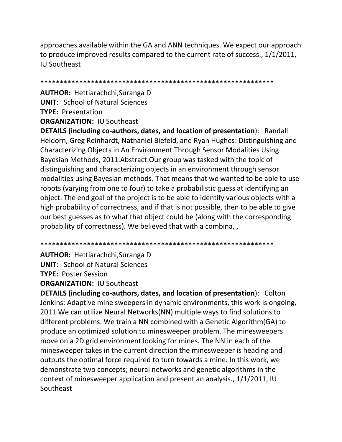approaches available within the GA and ANN techniques. We expect our approach to produce improved results compared to the current rate of success., 1/1/2011, IU Southeast

\*\*\*\*\*\*\*\*\*\*\*\*\*\*\*\*\*\*\*\*\*\*\*\*\*\*\*\*\*\*\*\*\*\*\*\*\*\*\*\*\*\*\*\*\*\*\*\*\*\*\*\*\*\*\*\*\*\*\*\*

**AUTHOR:** Hettiarachchi,Suranga D **UNIT**: School of Natural Sciences **TYPE:** Presentation **ORGANIZATION:** IU Southeast

**DETAILS (including co-authors, dates, and location of presentation**): Randall Heidorn, Greg Reinhardt, Nathaniel Biefeld, and Ryan Hughes: Distinguishing and Characterizing Objects in An Environment Through Sensor Modalities Using Bayesian Methods, 2011.Abstract:Our group was tasked with the topic of distinguishing and characterizing objects in an environment through sensor modalities using Bayesian methods. That means that we wanted to be able to use robots (varying from one to four) to take a probabilistic guess at identifying an object. The end goal of the project is to be able to identify various objects with a high probability of correctness, and if that is not possible, then to be able to give our best guesses as to what that object could be (along with the corresponding probability of correctness). We believed that with a combina, ,

\*\*\*\*\*\*\*\*\*\*\*\*\*\*\*\*\*\*\*\*\*\*\*\*\*\*\*\*\*\*\*\*\*\*\*\*\*\*\*\*\*\*\*\*\*\*\*\*\*\*\*\*\*\*\*\*\*\*\*\*

**AUTHOR:** Hettiarachchi,Suranga D

**UNIT**: School of Natural Sciences

**TYPE:** Poster Session

**ORGANIZATION:** IU Southeast

**DETAILS (including co-authors, dates, and location of presentation**): Colton Jenkins: Adaptive mine sweepers in dynamic environments, this work is ongoing, 2011.We can utilize Neural Networks(NN) multiple ways to find solutions to different problems. We train a NN combined with a Genetic Algorithm(GA) to produce an optimized solution to minesweeper problem. The minesweepers move on a 2D grid environment looking for mines. The NN in each of the minesweeper takes in the current direction the minesweeper is heading and outputs the optimal force required to turn towards a mine. In this work, we demonstrate two concepts; neural networks and genetic algorithms in the context of minesweeper application and present an analysis., 1/1/2011, IU Southeast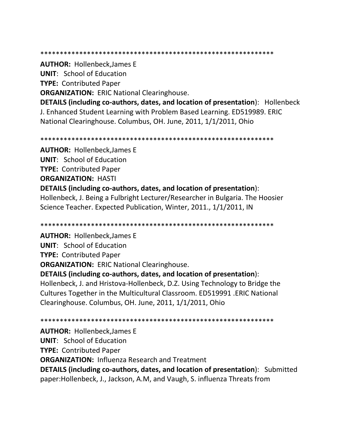#### \*\*\*\*\*\*\*\*\*\*\*\*\*\*\*\*\*\*\*\*\*\*\*\*\*\*\*\*\*\*\*\*\*\*\*\*\*\*\*\*\*\*\*\*\*\*\*\*\*\*\*\*\*\*\*\*\*\*\*\*

**AUTHOR:** Hollenbeck,James E

**UNIT**: School of Education

**TYPE:** Contributed Paper

**ORGANIZATION: ERIC National Clearinghouse.** 

**DETAILS (including co-authors, dates, and location of presentation**): Hollenbeck J. Enhanced Student Learning with Problem Based Learning. ED519989. ERIC National Clearinghouse. Columbus, OH. June, 2011, 1/1/2011, Ohio

\*\*\*\*\*\*\*\*\*\*\*\*\*\*\*\*\*\*\*\*\*\*\*\*\*\*\*\*\*\*\*\*\*\*\*\*\*\*\*\*\*\*\*\*\*\*\*\*\*\*\*\*\*\*\*\*\*\*\*\*

**AUTHOR:** Hollenbeck,James E **UNIT**: School of Education **TYPE:** Contributed Paper **ORGANIZATION:** HASTI **DETAILS (including co-authors, dates, and location of presentation**): Hollenbeck, J. Being a Fulbright Lecturer/Researcher in Bulgaria. The Hoosier Science Teacher. Expected Publication, Winter, 2011., 1/1/2011, IN

\*\*\*\*\*\*\*\*\*\*\*\*\*\*\*\*\*\*\*\*\*\*\*\*\*\*\*\*\*\*\*\*\*\*\*\*\*\*\*\*\*\*\*\*\*\*\*\*\*\*\*\*\*\*\*\*\*\*\*\*

**AUTHOR:** Hollenbeck,James E **UNIT**: School of Education **TYPE:** Contributed Paper **ORGANIZATION: ERIC National Clearinghouse. DETAILS (including co-authors, dates, and location of presentation**): Hollenbeck, J. and Hristova-Hollenbeck, D.Z. Using Technology to Bridge the

Cultures Together in the Multicultural Classroom. ED519991 .ERIC National Clearinghouse. Columbus, OH. June, 2011, 1/1/2011, Ohio

\*\*\*\*\*\*\*\*\*\*\*\*\*\*\*\*\*\*\*\*\*\*\*\*\*\*\*\*\*\*\*\*\*\*\*\*\*\*\*\*\*\*\*\*\*\*\*\*\*\*\*\*\*\*\*\*\*\*\*\*

**AUTHOR:** Hollenbeck,James E

**UNIT**: School of Education

**TYPE:** Contributed Paper

**ORGANIZATION:** Influenza Research and Treatment

**DETAILS (including co-authors, dates, and location of presentation**): Submitted paper:Hollenbeck, J., Jackson, A.M, and Vaugh, S. influenza Threats from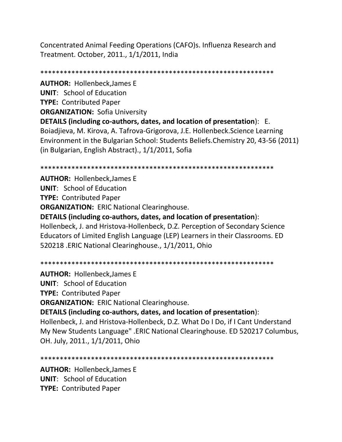Concentrated Animal Feeding Operations (CAFO)s. Influenza Research and Treatment. October, 2011., 1/1/2011, India

\*\*\*\*\*\*\*\*\*\*\*\*\*\*\*\*\*\*\*\*\*\*\*\*\*\*\*\*\*\*\*\*\*\*\*\*\*\*\*\*\*\*\*\*\*\*\*\*\*\*\*\*\*\*\*\*\*\*\*\* **AUTHOR:** Hollenbeck,James E **UNIT**: School of Education **TYPE:** Contributed Paper **ORGANIZATION:** Sofia University **DETAILS (including co-authors, dates, and location of presentation**): E. Boiadjieva, M. Kirova, A. Tafrova-Grigorova, J.E. Hollenbeck.Science Learning Environment in the Bulgarian School: Students Beliefs.Chemistry 20, 43-56 (2011) (in Bulgarian, English Abstract)., 1/1/2011, Sofia

\*\*\*\*\*\*\*\*\*\*\*\*\*\*\*\*\*\*\*\*\*\*\*\*\*\*\*\*\*\*\*\*\*\*\*\*\*\*\*\*\*\*\*\*\*\*\*\*\*\*\*\*\*\*\*\*\*\*\*\*

**AUTHOR:** Hollenbeck,James E **UNIT**: School of Education **TYPE:** Contributed Paper **ORGANIZATION:** ERIC National Clearinghouse. **DETAILS (including co-authors, dates, and location of presentation**): Hollenbeck, J. and Hristova-Hollenbeck, D.Z. Perception of Secondary Science Educators of Limited English Language (LEP) Learners in their Classrooms. ED 520218 .ERIC National Clearinghouse., 1/1/2011, Ohio

\*\*\*\*\*\*\*\*\*\*\*\*\*\*\*\*\*\*\*\*\*\*\*\*\*\*\*\*\*\*\*\*\*\*\*\*\*\*\*\*\*\*\*\*\*\*\*\*\*\*\*\*\*\*\*\*\*\*\*\*

**AUTHOR:** Hollenbeck,James E

**UNIT**: School of Education

**TYPE:** Contributed Paper

**ORGANIZATION:** ERIC National Clearinghouse.

**DETAILS (including co-authors, dates, and location of presentation**):

Hollenbeck, J. and Hristova-Hollenbeck, D.Z. What Do I Do, if I Cant Understand My New Students Language" .ERIC National Clearinghouse. ED 520217 Columbus, OH. July, 2011., 1/1/2011, Ohio

\*\*\*\*\*\*\*\*\*\*\*\*\*\*\*\*\*\*\*\*\*\*\*\*\*\*\*\*\*\*\*\*\*\*\*\*\*\*\*\*\*\*\*\*\*\*\*\*\*\*\*\*\*\*\*\*\*\*\*\*

**AUTHOR:** Hollenbeck,James E **UNIT**: School of Education **TYPE:** Contributed Paper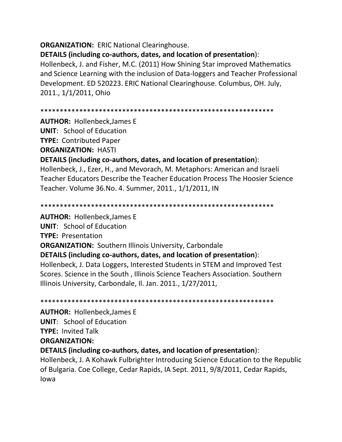**ORGANIZATION: ERIC National Clearinghouse.** 

**DETAILS (including co-authors, dates, and location of presentation**):

Hollenbeck, J. and Fisher, M.C. (2011) How Shining Star improved Mathematics and Science Learning with the inclusion of Data-loggers and Teacher Professional Development. ED 520223. ERIC National Clearinghouse. Columbus, OH. July, 2011., 1/1/2011, Ohio

\*\*\*\*\*\*\*\*\*\*\*\*\*\*\*\*\*\*\*\*\*\*\*\*\*\*\*\*\*\*\*\*\*\*\*\*\*\*\*\*\*\*\*\*\*\*\*\*\*\*\*\*\*\*\*\*\*\*\*\*

**AUTHOR:** Hollenbeck,James E

**UNIT**: School of Education

**TYPE:** Contributed Paper

**ORGANIZATION:** HASTI

**DETAILS (including co-authors, dates, and location of presentation**):

Hollenbeck, J., Ezer, H., and Mevorach, M. Metaphors: American and Israeli Teacher Educators Describe the Teacher Education Process The Hoosier Science Teacher. Volume 36.No. 4. Summer, 2011., 1/1/2011, IN

\*\*\*\*\*\*\*\*\*\*\*\*\*\*\*\*\*\*\*\*\*\*\*\*\*\*\*\*\*\*\*\*\*\*\*\*\*\*\*\*\*\*\*\*\*\*\*\*\*\*\*\*\*\*\*\*\*\*\*\*

**AUTHOR:** Hollenbeck,James E **UNIT**: School of Education **TYPE:** Presentation **ORGANIZATION:** Southern Illinois University, Carbondale **DETAILS (including co-authors, dates, and location of presentation**): Hollenbeck, J. Data Loggers, Interested Students in STEM and Improved Test Scores. Science in the South , Illinois Science Teachers Association. Southern Illinois University, Carbondale, Il. Jan. 2011., 1/27/2011,

\*\*\*\*\*\*\*\*\*\*\*\*\*\*\*\*\*\*\*\*\*\*\*\*\*\*\*\*\*\*\*\*\*\*\*\*\*\*\*\*\*\*\*\*\*\*\*\*\*\*\*\*\*\*\*\*\*\*\*\*

**AUTHOR:** Hollenbeck,James E **UNIT**: School of Education **TYPE:** Invited Talk

**ORGANIZATION:** 

**DETAILS (including co-authors, dates, and location of presentation**):

Hollenbeck, J. A Kohawk Fulbrighter Introducing Science Education to the Republic of Bulgaria. Coe College, Cedar Rapids, IA Sept. 2011, 9/8/2011, Cedar Rapids, Iowa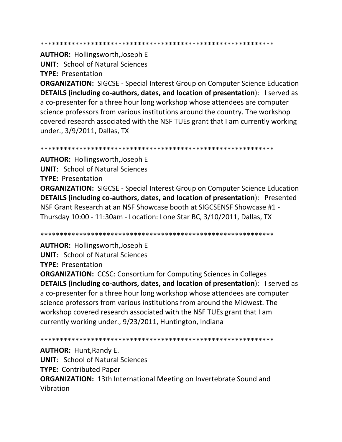**AUTHOR: Hollingsworth, Joseph E UNIT: School of Natural Sciences** 

**TYPE: Presentation** 

**ORGANIZATION: SIGCSE - Special Interest Group on Computer Science Education** DETAILS (including co-authors, dates, and location of presentation): I served as a co-presenter for a three hour long workshop whose attendees are computer science professors from various institutions around the country. The workshop covered research associated with the NSF TUEs grant that I am currently working under., 3/9/2011, Dallas, TX

**AUTHOR: Hollingsworth, Joseph E UNIT: School of Natural Sciences TYPE: Presentation ORGANIZATION: SIGCSE - Special Interest Group on Computer Science Education** DETAILS (including co-authors, dates, and location of presentation): Presented NSF Grant Research at an NSF Showcase booth at SIGCSENSF Showcase #1 -Thursday 10:00 - 11:30am - Location: Lone Star BC, 3/10/2011, Dallas, TX

**AUTHOR: Hollingsworth, Joseph E UNIT: School of Natural Sciences TYPE: Presentation** 

**ORGANIZATION: CCSC: Consortium for Computing Sciences in Colleges** DETAILS (including co-authors, dates, and location of presentation): I served as a co-presenter for a three hour long workshop whose attendees are computer science professors from various institutions from around the Midwest. The workshop covered research associated with the NSF TUEs grant that I am currently working under., 9/23/2011, Huntington, Indiana

**AUTHOR: Hunt, Randy E. UNIT: School of Natural Sciences TYPE: Contributed Paper ORGANIZATION:** 13th International Meeting on Invertebrate Sound and Vibration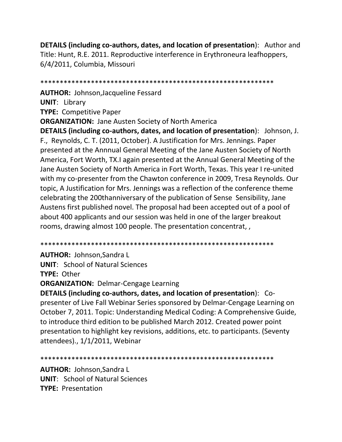**DETAILS (including co-authors, dates, and location of presentation**): Author and Title: Hunt, R.E. 2011. Reproductive interference in Erythroneura leafhoppers, 6/4/2011, Columbia, Missouri

\*\*\*\*\*\*\*\*\*\*\*\*\*\*\*\*\*\*\*\*\*\*\*\*\*\*\*\*\*\*\*\*\*\*\*\*\*\*\*\*\*\*\*\*\*\*\*\*\*\*\*\*\*\*\*\*\*\*\*\*

**AUTHOR:** Johnson,Jacqueline Fessard **UNIT**: Library **TYPE:** Competitive Paper **ORGANIZATION:** Jane Austen Society of North America

**DETAILS (including co-authors, dates, and location of presentation**): Johnson, J. F., Reynolds, C. T. (2011, October). A Justification for Mrs. Jennings. Paper presented at the Annnual General Meeting of the Jane Austen Society of North America, Fort Worth, TX.I again presented at the Annual General Meeting of the Jane Austen Society of North America in Fort Worth, Texas. This year I re-united with my co-presenter from the Chawton conference in 2009, Tresa Reynolds. Our topic, A Justification for Mrs. Jennings was a reflection of the conference theme celebrating the 200thanniversary of the publication of Sense Sensibility, Jane Austens first published novel. The proposal had been accepted out of a pool of about 400 applicants and our session was held in one of the larger breakout rooms, drawing almost 100 people. The presentation concentrat, ,

\*\*\*\*\*\*\*\*\*\*\*\*\*\*\*\*\*\*\*\*\*\*\*\*\*\*\*\*\*\*\*\*\*\*\*\*\*\*\*\*\*\*\*\*\*\*\*\*\*\*\*\*\*\*\*\*\*\*\*\*

**AUTHOR:** Johnson,Sandra L

**UNIT**: School of Natural Sciences

**TYPE:** Other

**ORGANIZATION:** Delmar-Cengage Learning

**DETAILS (including co-authors, dates, and location of presentation**): Copresenter of Live Fall Webinar Series sponsored by Delmar-Cengage Learning on October 7, 2011. Topic: Understanding Medical Coding: A Comprehensive Guide, to introduce third edition to be published March 2012. Created power point presentation to highlight key revisions, additions, etc. to participants. (Seventy attendees)., 1/1/2011, Webinar

\*\*\*\*\*\*\*\*\*\*\*\*\*\*\*\*\*\*\*\*\*\*\*\*\*\*\*\*\*\*\*\*\*\*\*\*\*\*\*\*\*\*\*\*\*\*\*\*\*\*\*\*\*\*\*\*\*\*\*\*

**AUTHOR:** Johnson,Sandra L **UNIT**: School of Natural Sciences **TYPE:** Presentation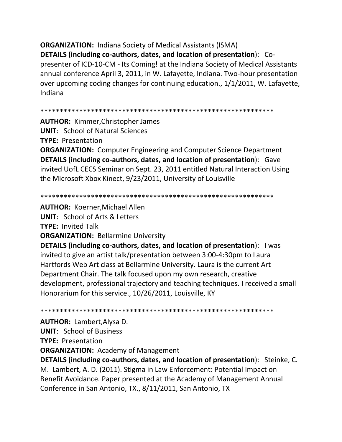**ORGANIZATION:** Indiana Society of Medical Assistants (ISMA)

**DETAILS (including co-authors, dates, and location of presentation**): Copresenter of ICD-10-CM - Its Coming! at the Indiana Society of Medical Assistants annual conference April 3, 2011, in W. Lafayette, Indiana. Two-hour presentation over upcoming coding changes for continuing education., 1/1/2011, W. Lafayette, Indiana

```
************************************************************
```
**AUTHOR:** Kimmer,Christopher James **UNIT**: School of Natural Sciences **TYPE:** Presentation **ORGANIZATION:** Computer Engineering and Computer Science Department **DETAILS (including co-authors, dates, and location of presentation**): Gave invited UofL CECS Seminar on Sept. 23, 2011 entitled Natural Interaction Using the Microsoft Xbox Kinect, 9/23/2011, University of Louisville

\*\*\*\*\*\*\*\*\*\*\*\*\*\*\*\*\*\*\*\*\*\*\*\*\*\*\*\*\*\*\*\*\*\*\*\*\*\*\*\*\*\*\*\*\*\*\*\*\*\*\*\*\*\*\*\*\*\*\*\* **AUTHOR:** Koerner,Michael Allen **UNIT**: School of Arts & Letters **TYPE:** Invited Talk **ORGANIZATION: Bellarmine University DETAILS (including co-authors, dates, and location of presentation**): I was invited to give an artist talk/presentation between 3:00-4:30pm to Laura Hartfords Web Art class at Bellarmine University. Laura is the current Art Department Chair. The talk focused upon my own research, creative development, professional trajectory and teaching techniques. I received a small Honorarium for this service., 10/26/2011, Louisville, KY

\*\*\*\*\*\*\*\*\*\*\*\*\*\*\*\*\*\*\*\*\*\*\*\*\*\*\*\*\*\*\*\*\*\*\*\*\*\*\*\*\*\*\*\*\*\*\*\*\*\*\*\*\*\*\*\*\*\*\*\*

**AUTHOR:** Lambert,Alysa D.

**UNIT**: School of Business

**TYPE:** Presentation

**ORGANIZATION:** Academy of Management

**DETAILS (including co-authors, dates, and location of presentation**): Steinke, C. M. Lambert, A. D. (2011). Stigma in Law Enforcement: Potential Impact on Benefit Avoidance. Paper presented at the Academy of Management Annual Conference in San Antonio, TX., 8/11/2011, San Antonio, TX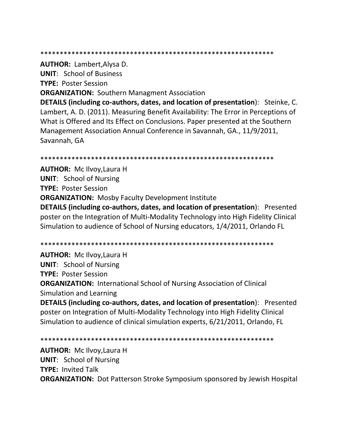**AUTHOR: Lambert, Alysa D.** 

**UNIT:** School of Business

**TYPE: Poster Session** 

**ORGANIZATION: Southern Managment Association** 

DETAILS (including co-authors, dates, and location of presentation): Steinke, C. Lambert, A. D. (2011). Measuring Benefit Availability: The Error in Perceptions of What is Offered and Its Effect on Conclusions. Paper presented at the Southern Management Association Annual Conference in Savannah, GA., 11/9/2011, Savannah, GA

**AUTHOR: Mc Ilvoy, Laura H UNIT: School of Nursing TYPE: Poster Session ORGANIZATION:** Mosby Faculty Development Institute DETAILS (including co-authors, dates, and location of presentation): Presented poster on the Integration of Multi-Modality Technology into High Fidelity Clinical Simulation to audience of School of Nursing educators, 1/4/2011, Orlando FL

**AUTHOR: Mc Ilvoy, Laura H UNIT: School of Nursing TYPE: Poster Session ORGANIZATION: International School of Nursing Association of Clinical** Simulation and Learning

DETAILS (including co-authors, dates, and location of presentation): Presented poster on Integration of Multi-Modality Technology into High Fidelity Clinical Simulation to audience of clinical simulation experts, 6/21/2011, Orlando, FL

**AUTHOR:** Mc Ilvoy, Laura H **UNIT:** School of Nursing **TYPE: Invited Talk ORGANIZATION:** Dot Patterson Stroke Symposium sponsored by Jewish Hospital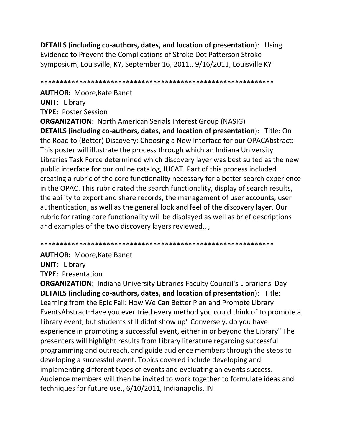**DETAILS (including co-authors, dates, and location of presentation**): Using Evidence to Prevent the Complications of Stroke Dot Patterson Stroke Symposium, Louisville, KY, September 16, 2011., 9/16/2011, Louisville KY

\*\*\*\*\*\*\*\*\*\*\*\*\*\*\*\*\*\*\*\*\*\*\*\*\*\*\*\*\*\*\*\*\*\*\*\*\*\*\*\*\*\*\*\*\*\*\*\*\*\*\*\*\*\*\*\*\*\*\*\*

**AUTHOR:** Moore,Kate Banet **UNIT**: Library **TYPE:** Poster Session

**ORGANIZATION:** North American Serials Interest Group (NASIG) **DETAILS (including co-authors, dates, and location of presentation**): Title: On the Road to (Better) Discovery: Choosing a New Interface for our OPACAbstract: This poster will illustrate the process through which an Indiana University Libraries Task Force determined which discovery layer was best suited as the new public interface for our online catalog, IUCAT. Part of this process included creating a rubric of the core functionality necessary for a better search experience in the OPAC. This rubric rated the search functionality, display of search results, the ability to export and share records, the management of user accounts, user authentication, as well as the general look and feel of the discovery layer. Our rubric for rating core functionality will be displayed as well as brief descriptions and examples of the two discovery layers reviewed,, ,

\*\*\*\*\*\*\*\*\*\*\*\*\*\*\*\*\*\*\*\*\*\*\*\*\*\*\*\*\*\*\*\*\*\*\*\*\*\*\*\*\*\*\*\*\*\*\*\*\*\*\*\*\*\*\*\*\*\*\*\*

**AUTHOR:** Moore,Kate Banet

**UNIT**: Library

**TYPE:** Presentation

**ORGANIZATION:** Indiana University Libraries Faculty Council's Librarians' Day **DETAILS (including co-authors, dates, and location of presentation**): Title: Learning from the Epic Fail: How We Can Better Plan and Promote Library EventsAbstract:Have you ever tried every method you could think of to promote a Library event, but students still didnt show up" Conversely, do you have experience in promoting a successful event, either in or beyond the Library" The presenters will highlight results from Library literature regarding successful programming and outreach, and guide audience members through the steps to developing a successful event. Topics covered include developing and implementing different types of events and evaluating an events success. Audience members will then be invited to work together to formulate ideas and techniques for future use., 6/10/2011, Indianapolis, IN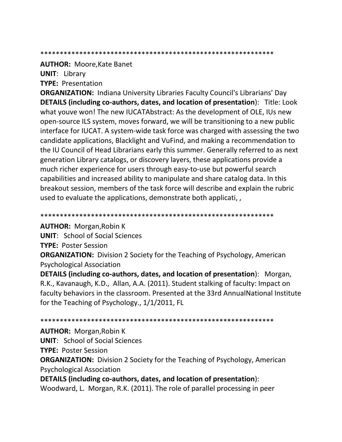#### 

**AUTHOR: Moore, Kate Banet** 

**UNIT: Library** 

**TYPE: Presentation** 

**ORGANIZATION:** Indiana University Libraries Faculty Council's Librarians' Day **DETAILS (including co-authors, dates, and location of presentation):** Title: Look what youve won! The new IUCATAbstract: As the development of OLE, IUs new open-source ILS system, moves forward, we will be transitioning to a new public interface for IUCAT. A system-wide task force was charged with assessing the two candidate applications, Blacklight and VuFind, and making a recommendation to the IU Council of Head Librarians early this summer. Generally referred to as next generation Library catalogs, or discovery layers, these applications provide a much richer experience for users through easy-to-use but powerful search capabilities and increased ability to manipulate and share catalog data. In this breakout session, members of the task force will describe and explain the rubric used to evaluate the applications, demonstrate both applicati,

## 

**AUTHOR:** Morgan, Robin K

**UNIT:** School of Social Sciences

**TYPE: Poster Session** 

**ORGANIZATION:** Division 2 Society for the Teaching of Psychology, American **Psychological Association** 

DETAILS (including co-authors, dates, and location of presentation): Morgan, R.K., Kavanaugh, K.D., Allan, A.A. (2011). Student stalking of faculty: Impact on faculty behaviors in the classroom. Presented at the 33rd AnnualNational Institute for the Teaching of Psychology., 1/1/2011, FL

#### 

# **AUTHOR: Morgan, Robin K**

**UNIT:** School of Social Sciences

**TYPE: Poster Session** 

**ORGANIZATION:** Division 2 Society for the Teaching of Psychology, American **Psychological Association** 

DETAILS (including co-authors, dates, and location of presentation): Woodward, L. Morgan, R.K. (2011). The role of parallel processing in peer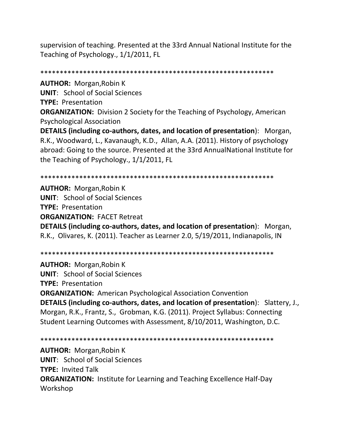supervision of teaching. Presented at the 33rd Annual National Institute for the Teaching of Psychology., 1/1/2011, FL

\*\*\*\*\*\*\*\*\*\*\*\*\*\*\*\*\*\*\*\*\*\*\*\*\*\*\*\*\*\*\*\*\*\*\*\*\*\*\*\*\*\*\*\*\*\*\*\*\*\*\*\*\*\*\*\*\*\*\*\* **AUTHOR:** Morgan,Robin K **UNIT**: School of Social Sciences **TYPE:** Presentation **ORGANIZATION:** Division 2 Society for the Teaching of Psychology, American Psychological Association **DETAILS (including co-authors, dates, and location of presentation**): Morgan, R.K., Woodward, L., Kavanaugh, K.D., Allan, A.A. (2011). History of psychology abroad: Going to the source. Presented at the 33rd AnnualNational Institute for the Teaching of Psychology., 1/1/2011, FL

\*\*\*\*\*\*\*\*\*\*\*\*\*\*\*\*\*\*\*\*\*\*\*\*\*\*\*\*\*\*\*\*\*\*\*\*\*\*\*\*\*\*\*\*\*\*\*\*\*\*\*\*\*\*\*\*\*\*\*\*

**AUTHOR:** Morgan,Robin K **UNIT**: School of Social Sciences **TYPE:** Presentation **ORGANIZATION:** FACET Retreat **DETAILS (including co-authors, dates, and location of presentation**): Morgan, R.K., Olivares, K. (2011). Teacher as Learner 2.0, 5/19/2011, Indianapolis, IN

\*\*\*\*\*\*\*\*\*\*\*\*\*\*\*\*\*\*\*\*\*\*\*\*\*\*\*\*\*\*\*\*\*\*\*\*\*\*\*\*\*\*\*\*\*\*\*\*\*\*\*\*\*\*\*\*\*\*\*\*

**AUTHOR:** Morgan,Robin K **UNIT**: School of Social Sciences **TYPE:** Presentation **ORGANIZATION:** American Psychological Association Convention **DETAILS (including co-authors, dates, and location of presentation**): Slattery, J., Morgan, R.K., Frantz, S., Grobman, K.G. (2011). Project Syllabus: Connecting Student Learning Outcomes with Assessment, 8/10/2011, Washington, D.C.

\*\*\*\*\*\*\*\*\*\*\*\*\*\*\*\*\*\*\*\*\*\*\*\*\*\*\*\*\*\*\*\*\*\*\*\*\*\*\*\*\*\*\*\*\*\*\*\*\*\*\*\*\*\*\*\*\*\*\*\* **AUTHOR:** Morgan,Robin K **UNIT**: School of Social Sciences **TYPE:** Invited Talk **ORGANIZATION:** Institute for Learning and Teaching Excellence Half-Day Workshop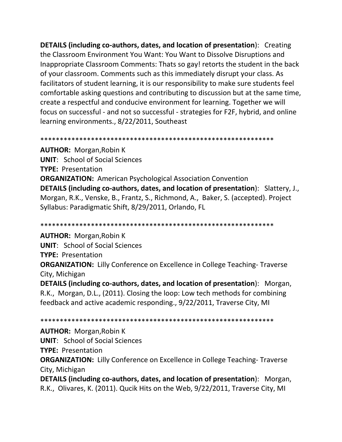**DETAILS (including co-authors, dates, and location of presentation**): Creating the Classroom Environment You Want: You Want to Dissolve Disruptions and Inappropriate Classroom Comments: Thats so gay! retorts the student in the back of your classroom. Comments such as this immediately disrupt your class. As facilitators of student learning, it is our responsibility to make sure students feel comfortable asking questions and contributing to discussion but at the same time, create a respectful and conducive environment for learning. Together we will focus on successful - and not so successful - strategies for F2F, hybrid, and online learning environments., 8/22/2011, Southeast

\*\*\*\*\*\*\*\*\*\*\*\*\*\*\*\*\*\*\*\*\*\*\*\*\*\*\*\*\*\*\*\*\*\*\*\*\*\*\*\*\*\*\*\*\*\*\*\*\*\*\*\*\*\*\*\*\*\*\*\*

**AUTHOR:** Morgan,Robin K **UNIT**: School of Social Sciences **TYPE:** Presentation **ORGANIZATION:** American Psychological Association Convention **DETAILS (including co-authors, dates, and location of presentation**): Slattery, J., Morgan, R.K., Venske, B., Frantz, S., Richmond, A., Baker, S. (accepted). Project Syllabus: Paradigmatic Shift, 8/29/2011, Orlando, FL

\*\*\*\*\*\*\*\*\*\*\*\*\*\*\*\*\*\*\*\*\*\*\*\*\*\*\*\*\*\*\*\*\*\*\*\*\*\*\*\*\*\*\*\*\*\*\*\*\*\*\*\*\*\*\*\*\*\*\*\*

**AUTHOR:** Morgan,Robin K **UNIT**: School of Social Sciences **TYPE:** Presentation **ORGANIZATION:** Lilly Conference on Excellence in College Teaching-Traverse City, Michigan

**DETAILS (including co-authors, dates, and location of presentation**): Morgan, R.K., Morgan, D.L., (2011). Closing the loop: Low tech methods for combining feedback and active academic responding., 9/22/2011, Traverse City, MI

\*\*\*\*\*\*\*\*\*\*\*\*\*\*\*\*\*\*\*\*\*\*\*\*\*\*\*\*\*\*\*\*\*\*\*\*\*\*\*\*\*\*\*\*\*\*\*\*\*\*\*\*\*\*\*\*\*\*\*\*

# **AUTHOR:** Morgan,Robin K

**UNIT**: School of Social Sciences

**TYPE:** Presentation

**ORGANIZATION:** Lilly Conference on Excellence in College Teaching-Traverse City, Michigan

**DETAILS (including co-authors, dates, and location of presentation**): Morgan, R.K., Olivares, K. (2011). Qucik Hits on the Web, 9/22/2011, Traverse City, MI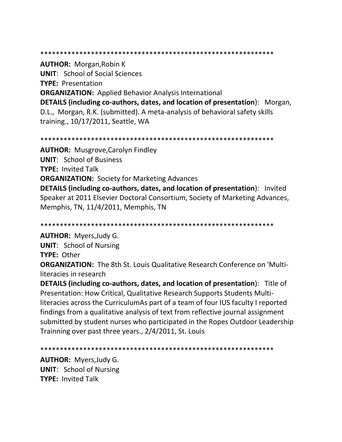#### \*\*\*\*\*\*\*\*\*\*\*\*\*\*\*\*\*\*\*\*\*\*\*\*\*\*\*\*\*\*\*\*\*\*\*\*\*\*\*\*\*\*\*\*\*\*\*\*\*\*\*\*\*\*\*\*\*\*\*\*

**AUTHOR:** Morgan,Robin K **UNIT**: School of Social Sciences **TYPE:** Presentation **ORGANIZATION:** Applied Behavior Analysis International **DETAILS (including co-authors, dates, and location of presentation**): Morgan, D.L., Morgan, R.K. (submitted). A meta-analysis of behavioral safety skills training., 10/17/2011, Seattle, WA

\*\*\*\*\*\*\*\*\*\*\*\*\*\*\*\*\*\*\*\*\*\*\*\*\*\*\*\*\*\*\*\*\*\*\*\*\*\*\*\*\*\*\*\*\*\*\*\*\*\*\*\*\*\*\*\*\*\*\*\*

**AUTHOR:** Musgrove,Carolyn Findley **UNIT**: School of Business **TYPE:** Invited Talk **ORGANIZATION:** Society for Marketing Advances **DETAILS (including co-authors, dates, and location of presentation**): Invited Speaker at 2011 Elsevier Doctoral Consortium, Society of Marketing Advances, Memphis, TN, 11/4/2011, Memphis, TN

\*\*\*\*\*\*\*\*\*\*\*\*\*\*\*\*\*\*\*\*\*\*\*\*\*\*\*\*\*\*\*\*\*\*\*\*\*\*\*\*\*\*\*\*\*\*\*\*\*\*\*\*\*\*\*\*\*\*\*\*

**AUTHOR:** Myers,Judy G.

**UNIT**: School of Nursing

**TYPE:** Other

**ORGANIZATION:** The 8th St. Louis Qualitative Research Conference on 'Multiliteracies in research

**DETAILS (including co-authors, dates, and location of presentation**): Title of Presentation: How Critical, Qualitative Research Supports Students Multiliteracies across the CurriculumAs part of a team of four IUS faculty I reported findings from a qualitative analysis of text from reflective journal assignment submitted by student nurses who participated in the Ropes Outdoor Leadership Trainning over past three years., 2/4/2011, St. Louis

\*\*\*\*\*\*\*\*\*\*\*\*\*\*\*\*\*\*\*\*\*\*\*\*\*\*\*\*\*\*\*\*\*\*\*\*\*\*\*\*\*\*\*\*\*\*\*\*\*\*\*\*\*\*\*\*\*\*\*\*

**AUTHOR:** Myers,Judy G. **UNIT**: School of Nursing **TYPE:** Invited Talk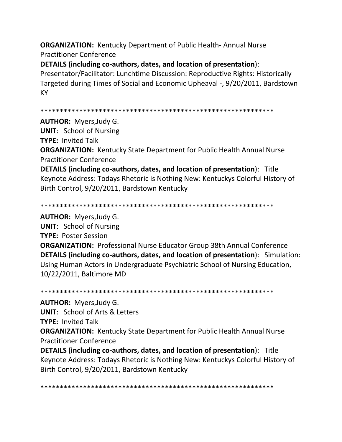**ORGANIZATION:** Kentucky Department of Public Health- Annual Nurse Practitioner Conference

**DETAILS (including co-authors, dates, and location of presentation**):

Presentator/Facilitator: Lunchtime Discussion: Reproductive Rights: Historically Targeted during Times of Social and Economic Upheaval -, 9/20/2011, Bardstown KY

```
************************************************************
```
**AUTHOR:** Myers,Judy G.

**UNIT**: School of Nursing

**TYPE:** Invited Talk

**ORGANIZATION:** Kentucky State Department for Public Health Annual Nurse Practitioner Conference

**DETAILS (including co-authors, dates, and location of presentation**): Title Keynote Address: Todays Rhetoric is Nothing New: Kentuckys Colorful History of Birth Control, 9/20/2011, Bardstown Kentucky

\*\*\*\*\*\*\*\*\*\*\*\*\*\*\*\*\*\*\*\*\*\*\*\*\*\*\*\*\*\*\*\*\*\*\*\*\*\*\*\*\*\*\*\*\*\*\*\*\*\*\*\*\*\*\*\*\*\*\*\*

**AUTHOR:** Myers,Judy G.

**UNIT**: School of Nursing **TYPE:** Poster Session **ORGANIZATION:** Professional Nurse Educator Group 38th Annual Conference **DETAILS (including co-authors, dates, and location of presentation**): Simulation: Using Human Actors in Undergraduate Psychiatric School of Nursing Education, 10/22/2011, Baltimore MD

\*\*\*\*\*\*\*\*\*\*\*\*\*\*\*\*\*\*\*\*\*\*\*\*\*\*\*\*\*\*\*\*\*\*\*\*\*\*\*\*\*\*\*\*\*\*\*\*\*\*\*\*\*\*\*\*\*\*\*\*

**AUTHOR:** Myers,Judy G. **UNIT**: School of Arts & Letters **TYPE:** Invited Talk **ORGANIZATION:** Kentucky State Department for Public Health Annual Nurse Practitioner Conference **DETAILS (including co-authors, dates, and location of presentation**): Title Keynote Address: Todays Rhetoric is Nothing New: Kentuckys Colorful History of

Birth Control, 9/20/2011, Bardstown Kentucky

\*\*\*\*\*\*\*\*\*\*\*\*\*\*\*\*\*\*\*\*\*\*\*\*\*\*\*\*\*\*\*\*\*\*\*\*\*\*\*\*\*\*\*\*\*\*\*\*\*\*\*\*\*\*\*\*\*\*\*\*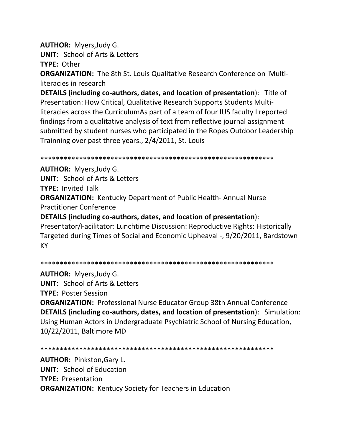**AUTHOR:** Myers, Judy G.

**UNIT: School of Arts & Letters** 

TYPE: Other

**ORGANIZATION:** The 8th St. Louis Qualitative Research Conference on 'Multiliteracies in research

**DETAILS (including co-authors, dates, and location of presentation):** Title of Presentation: How Critical, Qualitative Research Supports Students Multiliteracies across the CurriculumAs part of a team of four IUS faculty I reported findings from a qualitative analysis of text from reflective journal assignment submitted by student nurses who participated in the Ropes Outdoor Leadership Trainning over past three years., 2/4/2011, St. Louis

**AUTHOR: Myers, Judy G.** 

**UNIT:** School of Arts & Letters

**TYPE: Invited Talk** 

**ORGANIZATION: Kentucky Department of Public Health-Annual Nurse Practitioner Conference** 

DETAILS (including co-authors, dates, and location of presentation): Presentator/Facilitator: Lunchtime Discussion: Reproductive Rights: Historically Targeted during Times of Social and Economic Upheaval -, 9/20/2011, Bardstown **KY** 

**AUTHOR: Myers, Judy G. UNIT:** School of Arts & Letters **TYPE: Poster Session ORGANIZATION: Professional Nurse Educator Group 38th Annual Conference** DETAILS (including co-authors, dates, and location of presentation): Simulation: Using Human Actors in Undergraduate Psychiatric School of Nursing Education, 10/22/2011, Baltimore MD

**AUTHOR: Pinkston, Gary L. UNIT:** School of Education **TYPE: Presentation ORGANIZATION: Kentucy Society for Teachers in Education**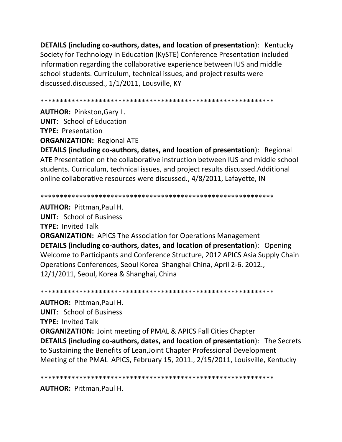**DETAILS (including co-authors, dates, and location of presentation**): Kentucky Society for Technology In Education (KySTE) Conference Presentation included information regarding the collaborative experience between IUS and middle school students. Curriculum, technical issues, and project results were discussed.discussed., 1/1/2011, Lousville, KY

\*\*\*\*\*\*\*\*\*\*\*\*\*\*\*\*\*\*\*\*\*\*\*\*\*\*\*\*\*\*\*\*\*\*\*\*\*\*\*\*\*\*\*\*\*\*\*\*\*\*\*\*\*\*\*\*\*\*\*\*

**AUTHOR:** Pinkston,Gary L.

**UNIT**: School of Education

**TYPE:** Presentation

**ORGANIZATION:** Regional ATE

**DETAILS (including co-authors, dates, and location of presentation**): Regional ATE Presentation on the collaborative instruction between IUS and middle school students. Curriculum, technical issues, and project results discussed.Additional online collaborative resources were discussed., 4/8/2011, Lafayette, IN

\*\*\*\*\*\*\*\*\*\*\*\*\*\*\*\*\*\*\*\*\*\*\*\*\*\*\*\*\*\*\*\*\*\*\*\*\*\*\*\*\*\*\*\*\*\*\*\*\*\*\*\*\*\*\*\*\*\*\*\*

**AUTHOR:** Pittman,Paul H. **UNIT**: School of Business **TYPE:** Invited Talk **ORGANIZATION:** APICS The Association for Operations Management **DETAILS (including co-authors, dates, and location of presentation**): Opening Welcome to Participants and Conference Structure, 2012 APICS Asia Supply Chain Operations Conferences, Seoul Korea Shanghai China, April 2-6. 2012., 12/1/2011, Seoul, Korea & Shanghai, China

\*\*\*\*\*\*\*\*\*\*\*\*\*\*\*\*\*\*\*\*\*\*\*\*\*\*\*\*\*\*\*\*\*\*\*\*\*\*\*\*\*\*\*\*\*\*\*\*\*\*\*\*\*\*\*\*\*\*\*\* **AUTHOR:** Pittman,Paul H. **UNIT**: School of Business **TYPE:** Invited Talk **ORGANIZATION:** Joint meeting of PMAL & APICS Fall Cities Chapter **DETAILS (including co-authors, dates, and location of presentation**): The Secrets to Sustaining the Benefits of Lean,Joint Chapter Professional Development Meeting of the PMAL APICS, February 15, 2011., 2/15/2011, Louisville, Kentucky

\*\*\*\*\*\*\*\*\*\*\*\*\*\*\*\*\*\*\*\*\*\*\*\*\*\*\*\*\*\*\*\*\*\*\*\*\*\*\*\*\*\*\*\*\*\*\*\*\*\*\*\*\*\*\*\*\*\*\*\*

**AUTHOR:** Pittman,Paul H.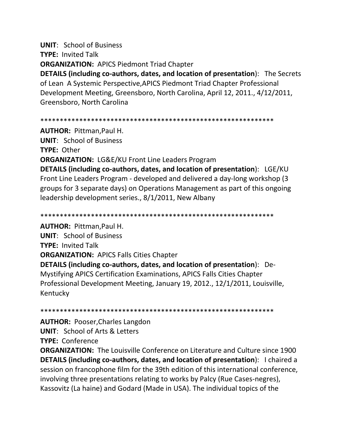**UNIT**: School of Business **TYPE:** Invited Talk **ORGANIZATION:** APICS Piedmont Triad Chapter

**DETAILS (including co-authors, dates, and location of presentation**): The Secrets of Lean A Systemic Perspective,APICS Piedmont Triad Chapter Professional Development Meeting, Greensboro, North Carolina, April 12, 2011., 4/12/2011, Greensboro, North Carolina

\*\*\*\*\*\*\*\*\*\*\*\*\*\*\*\*\*\*\*\*\*\*\*\*\*\*\*\*\*\*\*\*\*\*\*\*\*\*\*\*\*\*\*\*\*\*\*\*\*\*\*\*\*\*\*\*\*\*\*\*

**AUTHOR:** Pittman,Paul H. **UNIT**: School of Business **TYPE:** Other **ORGANIZATION:** LG&E/KU Front Line Leaders Program **DETAILS (including co-authors, dates, and location of presentation**): LGE/KU Front Line Leaders Program - developed and delivered a day-long workshop (3 groups for 3 separate days) on Operations Management as part of this ongoing leadership development series., 8/1/2011, New Albany

**AUTHOR:** Pittman,Paul H. **UNIT**: School of Business **TYPE:** Invited Talk **ORGANIZATION:** APICS Falls Cities Chapter **DETAILS (including co-authors, dates, and location of presentation**): De-Mystifying APICS Certification Examinations, APICS Falls Cities Chapter Professional Development Meeting, January 19, 2012., 12/1/2011, Louisville, Kentucky

\*\*\*\*\*\*\*\*\*\*\*\*\*\*\*\*\*\*\*\*\*\*\*\*\*\*\*\*\*\*\*\*\*\*\*\*\*\*\*\*\*\*\*\*\*\*\*\*\*\*\*\*\*\*\*\*\*\*\*\*

\*\*\*\*\*\*\*\*\*\*\*\*\*\*\*\*\*\*\*\*\*\*\*\*\*\*\*\*\*\*\*\*\*\*\*\*\*\*\*\*\*\*\*\*\*\*\*\*\*\*\*\*\*\*\*\*\*\*\*\*

**AUTHOR:** Pooser,Charles Langdon **UNIT**: School of Arts & Letters **TYPE:** Conference

**ORGANIZATION:** The Louisville Conference on Literature and Culture since 1900 **DETAILS (including co-authors, dates, and location of presentation**): I chaired a session on francophone film for the 39th edition of this international conference, involving three presentations relating to works by Palcy (Rue Cases-negres), Kassovitz (La haine) and Godard (Made in USA). The individual topics of the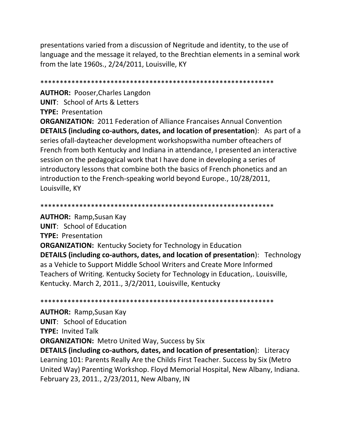presentations varied from a discussion of Negritude and identity, to the use of language and the message it relayed, to the Brechtian elements in a seminal work from the late 1960s., 2/24/2011, Louisville, KY

**AUTHOR: Pooser, Charles Langdon UNIT: School of Arts & Letters TYPE: Presentation** 

**ORGANIZATION: 2011 Federation of Alliance Francaises Annual Convention** DETAILS (including co-authors, dates, and location of presentation): As part of a series of all-day teacher development workshops with a number of teachers of French from both Kentucky and Indiana in attendance, I presented an interactive session on the pedagogical work that I have done in developing a series of introductory lessons that combine both the basics of French phonetics and an introduction to the French-speaking world beyond Europe., 10/28/2011, Louisville, KY

**AUTHOR: Ramp, Susan Kay UNIT:** School of Education **TYPE: Presentation ORGANIZATION:** Kentucky Society for Technology in Education **DETAILS (including co-authors, dates, and location of presentation):** Technology as a Vehicle to Support Middle School Writers and Create More Informed Teachers of Writing. Kentucky Society for Technology in Education,. Louisville, Kentucky. March 2, 2011., 3/2/2011, Louisville, Kentucky

**AUTHOR: Ramp, Susan Kay UNIT:** School of Education **TYPE: Invited Talk ORGANIZATION:** Metro United Way, Success by Six **DETAILS (including co-authors, dates, and location of presentation):** Literacy Learning 101: Parents Really Are the Childs First Teacher. Success by Six (Metro United Way) Parenting Workshop. Floyd Memorial Hospital, New Albany, Indiana. February 23, 2011., 2/23/2011, New Albany, IN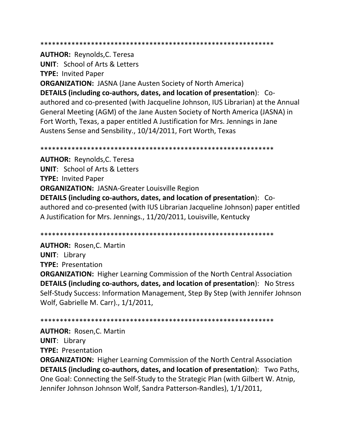\*\*\*\*\*\*\*\*\*\*\*\*\*\*\*\*\*\*\*\*\*\*\*\*\*\*\*\*\*\*\*\*\*\*\*\*\*\*\*\*\*\*\*\*\*\*\*\*\*\*\*\*\*\*\*\*\*\*\*\*

**AUTHOR:** Reynolds,C. Teresa **UNIT**: School of Arts & Letters **TYPE:** Invited Paper **ORGANIZATION:** JASNA (Jane Austen Society of North America) **DETAILS (including co-authors, dates, and location of presentation**): Coauthored and co-presented (with Jacqueline Johnson, IUS Librarian) at the Annual General Meeting (AGM) of the Jane Austen Society of North America (JASNA) in Fort Worth, Texas, a paper entitled A Justification for Mrs. Jennings in Jane Austens Sense and Sensbility., 10/14/2011, Fort Worth, Texas

\*\*\*\*\*\*\*\*\*\*\*\*\*\*\*\*\*\*\*\*\*\*\*\*\*\*\*\*\*\*\*\*\*\*\*\*\*\*\*\*\*\*\*\*\*\*\*\*\*\*\*\*\*\*\*\*\*\*\*\* **AUTHOR:** Reynolds,C. Teresa **UNIT**: School of Arts & Letters **TYPE:** Invited Paper **ORGANIZATION:** JASNA-Greater Louisville Region **DETAILS (including co-authors, dates, and location of presentation**): Coauthored and co-presented (with IUS Librarian Jacqueline Johnson) paper entitled A Justification for Mrs. Jennings., 11/20/2011, Louisville, Kentucky

\*\*\*\*\*\*\*\*\*\*\*\*\*\*\*\*\*\*\*\*\*\*\*\*\*\*\*\*\*\*\*\*\*\*\*\*\*\*\*\*\*\*\*\*\*\*\*\*\*\*\*\*\*\*\*\*\*\*\*\*

**AUTHOR:** Rosen,C. Martin **UNIT**: Library **TYPE:** Presentation **ORGANIZATION:** Higher Learning Commission of the North Central Association **DETAILS (including co-authors, dates, and location of presentation**): No Stress Self-Study Success: Information Management, Step By Step (with Jennifer Johnson Wolf, Gabrielle M. Carr)., 1/1/2011,

\*\*\*\*\*\*\*\*\*\*\*\*\*\*\*\*\*\*\*\*\*\*\*\*\*\*\*\*\*\*\*\*\*\*\*\*\*\*\*\*\*\*\*\*\*\*\*\*\*\*\*\*\*\*\*\*\*\*\*\*

**AUTHOR:** Rosen,C. Martin **UNIT**: Library **TYPE:** Presentation

**ORGANIZATION:** Higher Learning Commission of the North Central Association **DETAILS (including co-authors, dates, and location of presentation**): Two Paths, One Goal: Connecting the Self-Study to the Strategic Plan (with Gilbert W. Atnip, Jennifer Johnson Johnson Wolf, Sandra Patterson-Randles), 1/1/2011,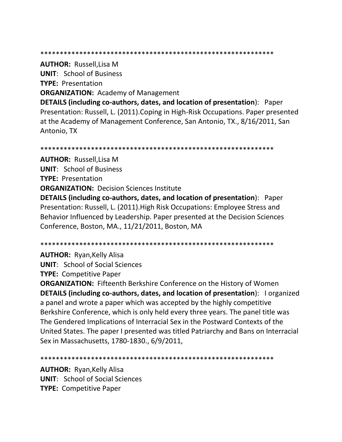\*\*\*\*\*\*\*\*\*\*\*\*\*\*\*\*\*\*\*\*\*\*\*\*\*\*\*\*\*\*\*\*\*\*\*\*\*\*\*\*\*\*\*\*\*\*\*\*\*\*\*\*\*\*\*\*\*\*\*\*

**AUTHOR:** Russell,Lisa M **UNIT**: School of Business **TYPE:** Presentation **ORGANIZATION:** Academy of Management **DETAILS (including co-authors, dates, and location of presentation**): Paper

Presentation: Russell, L. (2011).Coping in High-Risk Occupations. Paper presented at the Academy of Management Conference, San Antonio, TX., 8/16/2011, San Antonio, TX

\*\*\*\*\*\*\*\*\*\*\*\*\*\*\*\*\*\*\*\*\*\*\*\*\*\*\*\*\*\*\*\*\*\*\*\*\*\*\*\*\*\*\*\*\*\*\*\*\*\*\*\*\*\*\*\*\*\*\*\*

**AUTHOR:** Russell,Lisa M **UNIT**: School of Business **TYPE:** Presentation **ORGANIZATION: Decision Sciences Institute DETAILS (including co-authors, dates, and location of presentation**): Paper Presentation: Russell, L. (2011).High Risk Occupations: Employee Stress and Behavior Influenced by Leadership. Paper presented at the Decision Sciences Conference, Boston, MA., 11/21/2011, Boston, MA

\*\*\*\*\*\*\*\*\*\*\*\*\*\*\*\*\*\*\*\*\*\*\*\*\*\*\*\*\*\*\*\*\*\*\*\*\*\*\*\*\*\*\*\*\*\*\*\*\*\*\*\*\*\*\*\*\*\*\*\*

**AUTHOR:** Ryan,Kelly Alisa **UNIT**: School of Social Sciences **TYPE:** Competitive Paper

**ORGANIZATION:** Fifteenth Berkshire Conference on the History of Women **DETAILS (including co-authors, dates, and location of presentation**): I organized a panel and wrote a paper which was accepted by the highly competitive Berkshire Conference, which is only held every three years. The panel title was The Gendered Implications of Interracial Sex in the Postward Contexts of the United States. The paper I presented was titled Patriarchy and Bans on Interracial Sex in Massachusetts, 1780-1830., 6/9/2011,

\*\*\*\*\*\*\*\*\*\*\*\*\*\*\*\*\*\*\*\*\*\*\*\*\*\*\*\*\*\*\*\*\*\*\*\*\*\*\*\*\*\*\*\*\*\*\*\*\*\*\*\*\*\*\*\*\*\*\*\*

**AUTHOR:** Ryan,Kelly Alisa **UNIT**: School of Social Sciences **TYPE:** Competitive Paper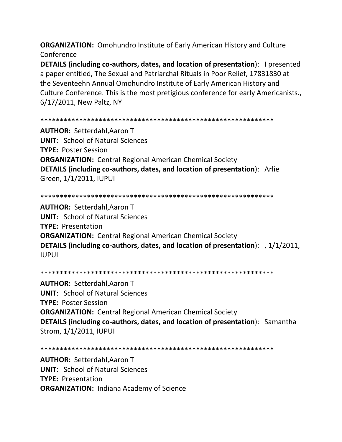**ORGANIZATION:** Omohundro Institute of Early American History and Culture Conference

DETAILS (including co-authors, dates, and location of presentation): I presented a paper entitled, The Sexual and Patriarchal Rituals in Poor Relief, 17831830 at the Seventeehn Annual Omohundro Institute of Early American History and Culture Conference. This is the most pretigious conference for early Americanists., 6/17/2011, New Paltz, NY

**AUTHOR: Setterdahl, Aaron T UNIT: School of Natural Sciences TYPE: Poster Session ORGANIZATION: Central Regional American Chemical Society DETAILS (including co-authors, dates, and location of presentation):** Arlie Green, 1/1/2011, IUPUI

**AUTHOR: Setterdahl.Aaron T UNIT: School of Natural Sciences TYPE: Presentation ORGANIZATION:** Central Regional American Chemical Society DETAILS (including co-authors, dates, and location of presentation): , 1/1/2011, **IUPUI** 

**AUTHOR: Setterdahl, Aaron T UNIT:** School of Natural Sciences **TYPE: Poster Session ORGANIZATION:** Central Regional American Chemical Society **DETAILS (including co-authors, dates, and location of presentation):** Samantha Strom, 1/1/2011, IUPUI

**AUTHOR: Setterdahl.Aaron T UNIT: School of Natural Sciences TYPE: Presentation ORGANIZATION: Indiana Academy of Science**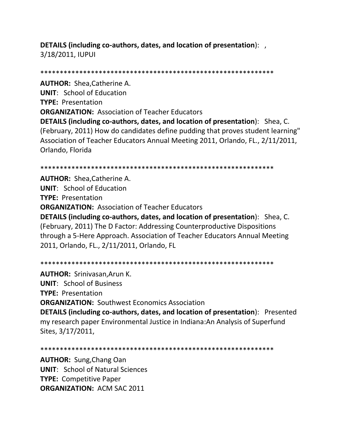**DETAILS (including co-authors, dates, and location of presentation**): , 3/18/2011, IUPUI

\*\*\*\*\*\*\*\*\*\*\*\*\*\*\*\*\*\*\*\*\*\*\*\*\*\*\*\*\*\*\*\*\*\*\*\*\*\*\*\*\*\*\*\*\*\*\*\*\*\*\*\*\*\*\*\*\*\*\*\* **AUTHOR:** Shea,Catherine A. **UNIT**: School of Education **TYPE:** Presentation **ORGANIZATION:** Association of Teacher Educators **DETAILS (including co-authors, dates, and location of presentation**): Shea, C. (February, 2011) How do candidates define pudding that proves student learning" Association of Teacher Educators Annual Meeting 2011, Orlando, FL., 2/11/2011, Orlando, Florida

\*\*\*\*\*\*\*\*\*\*\*\*\*\*\*\*\*\*\*\*\*\*\*\*\*\*\*\*\*\*\*\*\*\*\*\*\*\*\*\*\*\*\*\*\*\*\*\*\*\*\*\*\*\*\*\*\*\*\*\*

**AUTHOR:** Shea,Catherine A. **UNIT**: School of Education **TYPE:** Presentation **ORGANIZATION:** Association of Teacher Educators **DETAILS (including co-authors, dates, and location of presentation**): Shea, C. (February, 2011) The D Factor: Addressing Counterproductive Dispositions through a 5-Here Approach. Association of Teacher Educators Annual Meeting 2011, Orlando, FL., 2/11/2011, Orlando, FL

\*\*\*\*\*\*\*\*\*\*\*\*\*\*\*\*\*\*\*\*\*\*\*\*\*\*\*\*\*\*\*\*\*\*\*\*\*\*\*\*\*\*\*\*\*\*\*\*\*\*\*\*\*\*\*\*\*\*\*\* **AUTHOR:** Srinivasan,Arun K. **UNIT**: School of Business **TYPE:** Presentation **ORGANIZATION:** Southwest Economics Association **DETAILS (including co-authors, dates, and location of presentation**): Presented my research paper Environmental Justice in Indiana:An Analysis of Superfund Sites, 3/17/2011,

\*\*\*\*\*\*\*\*\*\*\*\*\*\*\*\*\*\*\*\*\*\*\*\*\*\*\*\*\*\*\*\*\*\*\*\*\*\*\*\*\*\*\*\*\*\*\*\*\*\*\*\*\*\*\*\*\*\*\*\*

**AUTHOR:** Sung,Chang Oan **UNIT**: School of Natural Sciences **TYPE:** Competitive Paper **ORGANIZATION:** ACM SAC 2011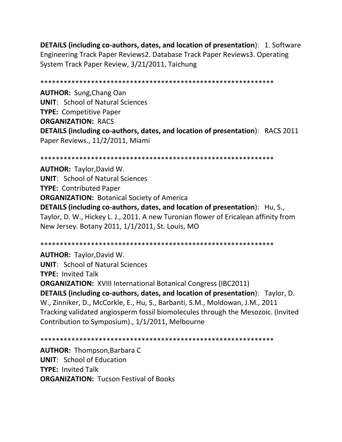**DETAILS (including co-authors, dates, and location of presentation): 1. Software** Engineering Track Paper Reviews2. Database Track Paper Reviews3. Operating System Track Paper Review, 3/21/2011, Taichung

\*\*\*\*\*\*\*\*\*\*\*\*\*\*\*\*\*\*\*\*\*\*\*\*\*\*\*\*\*\*\*\*\*\*\*\*\*\*\*\*\*\*\*\*\*\*\*\*\*\*\*\*\*\*\*\*\*\*\*\*

**AUTHOR:** Sung,Chang Oan **UNIT**: School of Natural Sciences **TYPE:** Competitive Paper **ORGANIZATION:** RACS **DETAILS (including co-authors, dates, and location of presentation**): RACS 2011 Paper Reviews., 11/2/2011, Miami

\*\*\*\*\*\*\*\*\*\*\*\*\*\*\*\*\*\*\*\*\*\*\*\*\*\*\*\*\*\*\*\*\*\*\*\*\*\*\*\*\*\*\*\*\*\*\*\*\*\*\*\*\*\*\*\*\*\*\*\*

**AUTHOR:** Taylor,David W. **UNIT**: School of Natural Sciences **TYPE:** Contributed Paper **ORGANIZATION:** Botanical Society of America **DETAILS (including co-authors, dates, and location of presentation**): Hu, S., Taylor, D. W., Hickey L. J., 2011. A new Turonian flower of Ericalean affinity from New Jersey. Botany 2011, 1/1/2011, St. Louis, MO

\*\*\*\*\*\*\*\*\*\*\*\*\*\*\*\*\*\*\*\*\*\*\*\*\*\*\*\*\*\*\*\*\*\*\*\*\*\*\*\*\*\*\*\*\*\*\*\*\*\*\*\*\*\*\*\*\*\*\*\*

**AUTHOR:** Taylor,David W. **UNIT**: School of Natural Sciences **TYPE:** Invited Talk **ORGANIZATION:** XVIII International Botanical Congress (IBC2011) **DETAILS (including co-authors, dates, and location of presentation**): Taylor, D. W., Zinniker, D., McCorkle, E., Hu, S., Barbanti, S.M., Moldowan, J.M., 2011 Tracking validated angiosperm fossil biomolecules through the Mesozoic. (Invited Contribution to Symposium)., 1/1/2011, Melbourne

\*\*\*\*\*\*\*\*\*\*\*\*\*\*\*\*\*\*\*\*\*\*\*\*\*\*\*\*\*\*\*\*\*\*\*\*\*\*\*\*\*\*\*\*\*\*\*\*\*\*\*\*\*\*\*\*\*\*\*\*

**AUTHOR:** Thompson,Barbara C **UNIT**: School of Education **TYPE:** Invited Talk **ORGANIZATION:** Tucson Festival of Books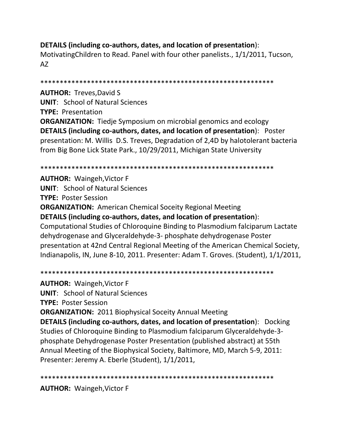# DETAILS (including co-authors, dates, and location of presentation):

Motivating Children to Read. Panel with four other panelists., 1/1/2011, Tucson,  $AZ$ 

**AUTHOR: Treves, David S UNIT: School of Natural Sciences TYPE: Presentation ORGANIZATION:** Tiedje Symposium on microbial genomics and ecology **DETAILS (including co-authors, dates, and location of presentation): Poster** presentation: M. Willis D.S. Treves, Degradation of 2,4D by halotolerant bacteria from Big Bone Lick State Park., 10/29/2011, Michigan State University

## 

**AUTHOR: Waingeh, Victor F UNIT: School of Natural Sciences TYPE: Poster Session ORGANIZATION:** American Chemical Soceity Regional Meeting DETAILS (including co-authors, dates, and location of presentation): Computational Studies of Chloroquine Binding to Plasmodium falciparum Lactate dehydrogenase and Glyceraldehyde-3- phosphate dehydrogenase Poster presentation at 42nd Central Regional Meeting of the American Chemical Society, Indianapolis, IN, June 8-10, 2011. Presenter: Adam T. Groves. (Student), 1/1/2011,

**AUTHOR: Waingeh, Victor F UNIT:** School of Natural Sciences **TYPE: Poster Session ORGANIZATION: 2011 Biophysical Soceity Annual Meeting** 

**DETAILS (including co-authors, dates, and location of presentation):** Docking Studies of Chloroquine Binding to Plasmodium falciparum Glyceraldehyde-3phosphate Dehydrogenase Poster Presentation (published abstract) at 55th Annual Meeting of the Biophysical Society, Baltimore, MD, March 5-9, 2011: Presenter: Jeremy A. Eberle (Student), 1/1/2011,

**AUTHOR: Waingeh, Victor F**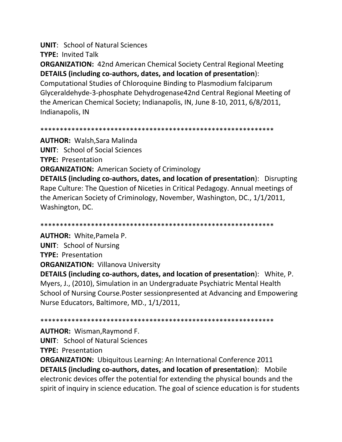**UNIT**: School of Natural Sciences

**TYPE:** Invited Talk

**ORGANIZATION:** 42nd American Chemical Society Central Regional Meeting **DETAILS (including co-authors, dates, and location of presentation**):

Computational Studies of Chloroquine Binding to Plasmodium falciparum Glyceraldehyde-3-phosphate Dehydrogenase42nd Central Regional Meeting of the American Chemical Society; Indianapolis, IN, June 8-10, 2011, 6/8/2011, Indianapolis, IN

\*\*\*\*\*\*\*\*\*\*\*\*\*\*\*\*\*\*\*\*\*\*\*\*\*\*\*\*\*\*\*\*\*\*\*\*\*\*\*\*\*\*\*\*\*\*\*\*\*\*\*\*\*\*\*\*\*\*\*\*

**AUTHOR:** Walsh,Sara Malinda **UNIT**: School of Social Sciences **TYPE:** Presentation **ORGANIZATION:** American Society of Criminology **DETAILS (including co-authors, dates, and location of presentation**): Disrupting Rape Culture: The Question of Niceties in Critical Pedagogy. Annual meetings of the American Society of Criminology, November, Washington, DC., 1/1/2011, Washington, DC.

\*\*\*\*\*\*\*\*\*\*\*\*\*\*\*\*\*\*\*\*\*\*\*\*\*\*\*\*\*\*\*\*\*\*\*\*\*\*\*\*\*\*\*\*\*\*\*\*\*\*\*\*\*\*\*\*\*\*\*\* **AUTHOR:** White,Pamela P. **UNIT**: School of Nursing

**TYPE:** Presentation

**ORGANIZATION:** Villanova University

**DETAILS (including co-authors, dates, and location of presentation**): White, P. Myers, J., (2010), Simulation in an Undergraduate Psychiatric Mental Health School of Nursing Course.Poster sessionpresented at Advancing and Empowering Nurse Educators, Baltimore, MD., 1/1/2011,

\*\*\*\*\*\*\*\*\*\*\*\*\*\*\*\*\*\*\*\*\*\*\*\*\*\*\*\*\*\*\*\*\*\*\*\*\*\*\*\*\*\*\*\*\*\*\*\*\*\*\*\*\*\*\*\*\*\*\*\*

**AUTHOR:** Wisman,Raymond F.

**UNIT**: School of Natural Sciences

**TYPE:** Presentation

**ORGANIZATION:** Ubiquitous Learning: An International Conference 2011 **DETAILS (including co-authors, dates, and location of presentation**): Mobile electronic devices offer the potential for extending the physical bounds and the spirit of inquiry in science education. The goal of science education is for students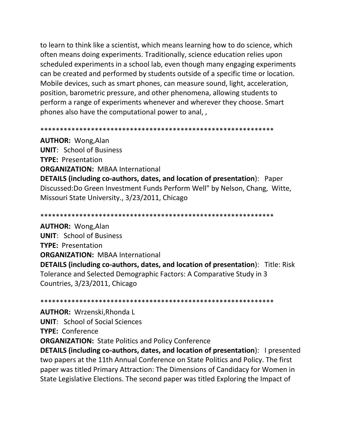to learn to think like a scientist, which means learning how to do science, which often means doing experiments. Traditionally, science education relies upon scheduled experiments in a school lab, even though many engaging experiments can be created and performed by students outside of a specific time or location. Mobile devices, such as smart phones, can measure sound, light, acceleration, position, barometric pressure, and other phenomena, allowing students to perform a range of experiments whenever and wherever they choose. Smart phones also have the computational power to anal,

**AUTHOR: Wong, Alan UNIT: School of Business TYPE: Presentation ORGANIZATION: MBAA International DETAILS (including co-authors, dates, and location of presentation):** Paper Discussed: Do Green Investment Funds Perform Well" by Nelson, Chang, Witte, Missouri State University., 3/23/2011, Chicago

**AUTHOR: Wong, Alan UNIT:** School of Business **TYPE: Presentation ORGANIZATION: MBAA International DETAILS (including co-authors, dates, and location of presentation):** Title: Risk Tolerance and Selected Demographic Factors: A Comparative Study in 3 Countries, 3/23/2011, Chicago

**AUTHOR: Wrzenski, Rhonda L UNIT:** School of Social Sciences **TYPE: Conference ORGANIZATION: State Politics and Policy Conference DETAILS (including co-authors, dates, and location of presentation):** I presented two papers at the 11th Annual Conference on State Politics and Policy. The first paper was titled Primary Attraction: The Dimensions of Candidacy for Women in State Legislative Elections. The second paper was titled Exploring the Impact of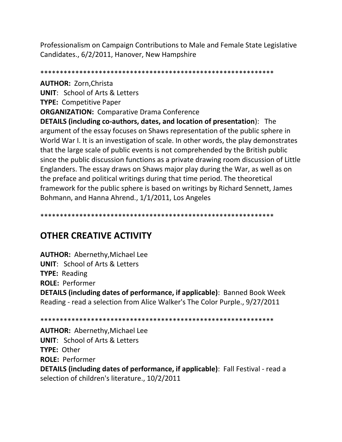Professionalism on Campaign Contributions to Male and Female State Legislative Candidates., 6/2/2011, Hanover, New Hampshire

**AUTHOR: Zorn, Christa UNIT:** School of Arts & Letters **TYPE: Competitive Paper ORGANIZATION: Comparative Drama Conference DETAILS (including co-authors, dates, and location of presentation):** The

argument of the essay focuses on Shaws representation of the public sphere in World War I. It is an investigation of scale. In other words, the play demonstrates that the large scale of public events is not comprehended by the British public since the public discussion functions as a private drawing room discussion of Little Englanders. The essay draws on Shaws major play during the War, as well as on the preface and political writings during that time period. The theoretical framework for the public sphere is based on writings by Richard Sennett, James Bohmann, and Hanna Ahrend., 1/1/2011, Los Angeles

# **OTHER CREATIVE ACTIVITY**

**AUTHOR: Abernethy, Michael Lee UNIT: School of Arts & Letters TYPE: Reading ROLE: Performer DETAILS (including dates of performance, if applicable)**: Banned Book Week Reading - read a selection from Alice Walker's The Color Purple., 9/27/2011

**AUTHOR: Abernethy, Michael Lee UNIT:** School of Arts & Letters **TYPE: Other ROLE: Performer DETAILS (including dates of performance, if applicable)**: Fall Festival - read a selection of children's literature., 10/2/2011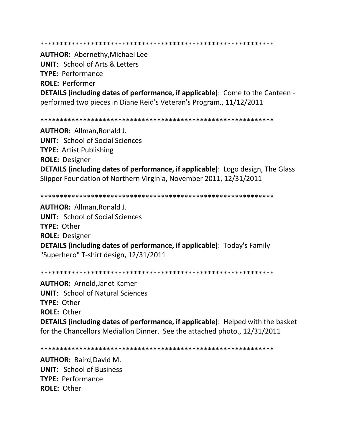\*\*\*\*\*\*\*\*\*\*\*\*\*\*\*\*\*\*\*\*\*\*\*\*\*\*\*\*\*\*\*\*\*\*\*\*\*\*\*\*\*\*\*\*\*\*\*\*\*\*\*\*\*\*\*\*\*\*\*\*

**AUTHOR:** Abernethy,Michael Lee **UNIT**: School of Arts & Letters **TYPE:** Performance **ROLE:** Performer **DETAILS (including dates of performance, if applicable)**: Come to the Canteen performed two pieces in Diane Reid's Veteran's Program., 11/12/2011

\*\*\*\*\*\*\*\*\*\*\*\*\*\*\*\*\*\*\*\*\*\*\*\*\*\*\*\*\*\*\*\*\*\*\*\*\*\*\*\*\*\*\*\*\*\*\*\*\*\*\*\*\*\*\*\*\*\*\*\*

**AUTHOR:** Allman,Ronald J. **UNIT**: School of Social Sciences **TYPE:** Artist Publishing **ROLE:** Designer **DETAILS (including dates of performance, if applicable)**: Logo design, The Glass Slipper Foundation of Northern Virginia, November 2011, 12/31/2011

\*\*\*\*\*\*\*\*\*\*\*\*\*\*\*\*\*\*\*\*\*\*\*\*\*\*\*\*\*\*\*\*\*\*\*\*\*\*\*\*\*\*\*\*\*\*\*\*\*\*\*\*\*\*\*\*\*\*\*\*

**AUTHOR:** Allman,Ronald J. **UNIT**: School of Social Sciences **TYPE:** Other **ROLE:** Designer **DETAILS (including dates of performance, if applicable)**: Today's Family "Superhero" T-shirt design, 12/31/2011

\*\*\*\*\*\*\*\*\*\*\*\*\*\*\*\*\*\*\*\*\*\*\*\*\*\*\*\*\*\*\*\*\*\*\*\*\*\*\*\*\*\*\*\*\*\*\*\*\*\*\*\*\*\*\*\*\*\*\*\*

**AUTHOR:** Arnold,Janet Kamer **UNIT**: School of Natural Sciences **TYPE:** Other **ROLE:** Other **DETAILS (including dates of performance, if applicable)**: Helped with the basket for the Chancellors Mediallon Dinner. See the attached photo., 12/31/2011

\*\*\*\*\*\*\*\*\*\*\*\*\*\*\*\*\*\*\*\*\*\*\*\*\*\*\*\*\*\*\*\*\*\*\*\*\*\*\*\*\*\*\*\*\*\*\*\*\*\*\*\*\*\*\*\*\*\*\*\*

**AUTHOR:** Baird,David M. **UNIT**: School of Business **TYPE:** Performance **ROLE:** Other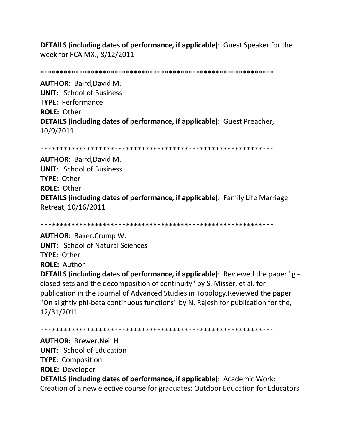**DETAILS (including dates of performance, if applicable)**: Guest Speaker for the week for FCA MX., 8/12/2011

\*\*\*\*\*\*\*\*\*\*\*\*\*\*\*\*\*\*\*\*\*\*\*\*\*\*\*\*\*\*\*\*\*\*\*\*\*\*\*\*\*\*\*\*\*\*\*\*\*\*\*\*\*\*\*\*\*\*\*\*

**AUTHOR:** Baird,David M. **UNIT**: School of Business **TYPE:** Performance **ROLE:** Other **DETAILS (including dates of performance, if applicable)**: Guest Preacher, 10/9/2011

```
************************************************************
```
**AUTHOR:** Baird,David M. **UNIT**: School of Business **TYPE:** Other **ROLE:** Other **DETAILS (including dates of performance, if applicable)**: Family Life Marriage Retreat, 10/16/2011

\*\*\*\*\*\*\*\*\*\*\*\*\*\*\*\*\*\*\*\*\*\*\*\*\*\*\*\*\*\*\*\*\*\*\*\*\*\*\*\*\*\*\*\*\*\*\*\*\*\*\*\*\*\*\*\*\*\*\*\* **AUTHOR:** Baker,Crump W. **UNIT**: School of Natural Sciences **TYPE:** Other **ROLE:** Author **DETAILS (including dates of performance, if applicable)**: Reviewed the paper "g closed sets and the decomposition of continuity" by S. Misser, et al. for publication in the Journal of Advanced Studies in Topology.Reviewed the paper "On slightly phi-beta continuous functions" by N. Rajesh for publication for the, 12/31/2011

```
************************************************************
```
**AUTHOR:** Brewer,Neil H **UNIT**: School of Education **TYPE:** Composition **ROLE:** Developer **DETAILS (including dates of performance, if applicable)**: Academic Work: Creation of a new elective course for graduates: Outdoor Education for Educators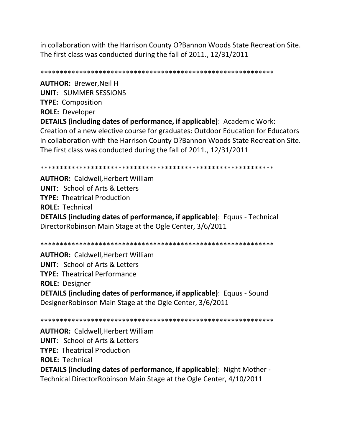in collaboration with the Harrison County O?Bannon Woods State Recreation Site. The first class was conducted during the fall of 2011., 12/31/2011

\*\*\*\*\*\*\*\*\*\*\*\*\*\*\*\*\*\*\*\*\*\*\*\*\*\*\*\*\*\*\*\*\*\*\*\*\*\*\*\*\*\*\*\*\*\*\*\*\*\*\*\*\*\*\*\*\*\*\*\* **AUTHOR:** Brewer,Neil H **UNIT**: SUMMER SESSIONS **TYPE:** Composition **ROLE:** Developer **DETAILS (including dates of performance, if applicable)**: Academic Work: Creation of a new elective course for graduates: Outdoor Education for Educators in collaboration with the Harrison County O?Bannon Woods State Recreation Site. The first class was conducted during the fall of 2011., 12/31/2011

**AUTHOR:** Caldwell,Herbert William **UNIT**: School of Arts & Letters **TYPE:** Theatrical Production **ROLE:** Technical **DETAILS (including dates of performance, if applicable)**: Equus - Technical DirectorRobinson Main Stage at the Ogle Center, 3/6/2011

\*\*\*\*\*\*\*\*\*\*\*\*\*\*\*\*\*\*\*\*\*\*\*\*\*\*\*\*\*\*\*\*\*\*\*\*\*\*\*\*\*\*\*\*\*\*\*\*\*\*\*\*\*\*\*\*\*\*\*\*

\*\*\*\*\*\*\*\*\*\*\*\*\*\*\*\*\*\*\*\*\*\*\*\*\*\*\*\*\*\*\*\*\*\*\*\*\*\*\*\*\*\*\*\*\*\*\*\*\*\*\*\*\*\*\*\*\*\*\*\* **AUTHOR:** Caldwell,Herbert William **UNIT**: School of Arts & Letters **TYPE:** Theatrical Performance **ROLE:** Designer **DETAILS (including dates of performance, if applicable)**: Equus - Sound DesignerRobinson Main Stage at the Ogle Center, 3/6/2011

\*\*\*\*\*\*\*\*\*\*\*\*\*\*\*\*\*\*\*\*\*\*\*\*\*\*\*\*\*\*\*\*\*\*\*\*\*\*\*\*\*\*\*\*\*\*\*\*\*\*\*\*\*\*\*\*\*\*\*\* **AUTHOR:** Caldwell,Herbert William **UNIT**: School of Arts & Letters **TYPE:** Theatrical Production **ROLE:** Technical **DETAILS (including dates of performance, if applicable)**: Night Mother - Technical DirectorRobinson Main Stage at the Ogle Center, 4/10/2011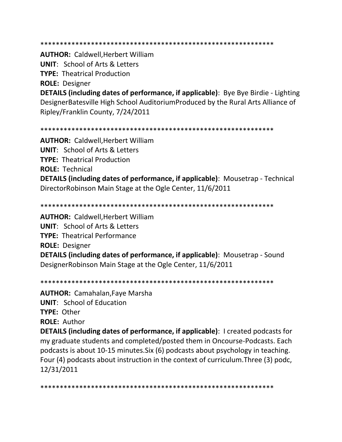#### \*\*\*\*\*\*\*\*\*\*\*\*\*\*\*\*\*\*\*\*\*\*\*\*\*\*\*\*\*\*\*\*\*\*\*\*\*\*\*\*\*\*\*\*\*\*\*\*\*\*\*\*\*\*\*\*\*\*\*\*

#### **AUTHOR:** Caldwell,Herbert William

**UNIT**: School of Arts & Letters

**TYPE:** Theatrical Production

**ROLE:** Designer

**DETAILS (including dates of performance, if applicable)**: Bye Bye Birdie - Lighting DesignerBatesville High School AuditoriumProduced by the Rural Arts Alliance of Ripley/Franklin County, 7/24/2011

```
************************************************************
```
**AUTHOR:** Caldwell,Herbert William **UNIT**: School of Arts & Letters **TYPE:** Theatrical Production **ROLE:** Technical

**DETAILS (including dates of performance, if applicable)**: Mousetrap - Technical DirectorRobinson Main Stage at the Ogle Center, 11/6/2011

\*\*\*\*\*\*\*\*\*\*\*\*\*\*\*\*\*\*\*\*\*\*\*\*\*\*\*\*\*\*\*\*\*\*\*\*\*\*\*\*\*\*\*\*\*\*\*\*\*\*\*\*\*\*\*\*\*\*\*\*

**AUTHOR:** Caldwell,Herbert William **UNIT**: School of Arts & Letters **TYPE:** Theatrical Performance **ROLE:** Designer **DETAILS (including dates of performance, if applicable)**: Mousetrap - Sound DesignerRobinson Main Stage at the Ogle Center, 11/6/2011

\*\*\*\*\*\*\*\*\*\*\*\*\*\*\*\*\*\*\*\*\*\*\*\*\*\*\*\*\*\*\*\*\*\*\*\*\*\*\*\*\*\*\*\*\*\*\*\*\*\*\*\*\*\*\*\*\*\*\*\*

**AUTHOR:** Camahalan,Faye Marsha **UNIT**: School of Education **TYPE:** Other

**ROLE:** Author

**DETAILS (including dates of performance, if applicable)**: I created podcasts for my graduate students and completed/posted them in Oncourse-Podcasts. Each podcasts is about 10-15 minutes.Six (6) podcasts about psychology in teaching. Four (4) podcasts about instruction in the context of curriculum.Three (3) podc, 12/31/2011

\*\*\*\*\*\*\*\*\*\*\*\*\*\*\*\*\*\*\*\*\*\*\*\*\*\*\*\*\*\*\*\*\*\*\*\*\*\*\*\*\*\*\*\*\*\*\*\*\*\*\*\*\*\*\*\*\*\*\*\*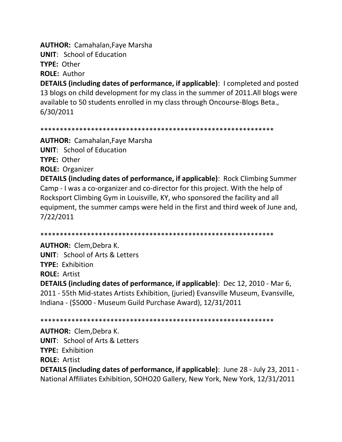**AUTHOR:** Camahalan,Faye Marsha

**UNIT**: School of Education

**TYPE:** Other

**ROLE:** Author

**DETAILS (including dates of performance, if applicable)**: I completed and posted 13 blogs on child development for my class in the summer of 2011.All blogs were available to 50 students enrolled in my class through Oncourse-Blogs Beta., 6/30/2011

\*\*\*\*\*\*\*\*\*\*\*\*\*\*\*\*\*\*\*\*\*\*\*\*\*\*\*\*\*\*\*\*\*\*\*\*\*\*\*\*\*\*\*\*\*\*\*\*\*\*\*\*\*\*\*\*\*\*\*\*

**AUTHOR:** Camahalan,Faye Marsha **UNIT**: School of Education **TYPE:** Other **ROLE:** Organizer

**DETAILS (including dates of performance, if applicable)**: Rock Climbing Summer Camp - I was a co-organizer and co-director for this project. With the help of Rocksport Climbing Gym in Louisville, KY, who sponsored the facility and all equipment, the summer camps were held in the first and third week of June and, 7/22/2011

\*\*\*\*\*\*\*\*\*\*\*\*\*\*\*\*\*\*\*\*\*\*\*\*\*\*\*\*\*\*\*\*\*\*\*\*\*\*\*\*\*\*\*\*\*\*\*\*\*\*\*\*\*\*\*\*\*\*\*\*

**AUTHOR:** Clem,Debra K. **UNIT**: School of Arts & Letters **TYPE:** Exhibition **ROLE:** Artist **DETAILS (including dates of performance, if applicable)**: Dec 12, 2010 - Mar 6, 2011 - 55th Mid-states Artists Exhibition, (juried) Evansville Museum, Evansville, Indiana - (\$5000 - Museum Guild Purchase Award), 12/31/2011

\*\*\*\*\*\*\*\*\*\*\*\*\*\*\*\*\*\*\*\*\*\*\*\*\*\*\*\*\*\*\*\*\*\*\*\*\*\*\*\*\*\*\*\*\*\*\*\*\*\*\*\*\*\*\*\*\*\*\*\*

**AUTHOR:** Clem,Debra K. **UNIT**: School of Arts & Letters **TYPE:** Exhibition **ROLE:** Artist **DETAILS (including dates of performance, if applicable)**: June 28 - July 23, 2011 - National Affiliates Exhibition, SOHO20 Gallery, New York, New York, 12/31/2011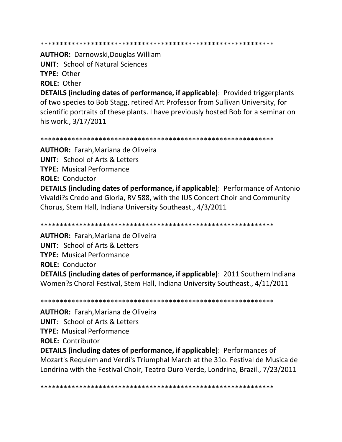**AUTHOR: Darnowski, Douglas William UNIT: School of Natural Sciences** TYPE: Other **ROLE: Other** 

**DETAILS (including dates of performance, if applicable)**: Provided triggerplants of two species to Bob Stagg, retired Art Professor from Sullivan University, for scientific portraits of these plants. I have previously hosted Bob for a seminar on his work., 3/17/2011

**AUTHOR:** Farah, Mariana de Oliveira **UNIT:** School of Arts & Letters **TYPE:** Musical Performance **ROLE: Conductor DETAILS (including dates of performance, if applicable)**: Performance of Antonio Vivaldi?s Credo and Gloria, RV 588, with the IUS Concert Choir and Community Chorus, Stem Hall, Indiana University Southeast., 4/3/2011

**AUTHOR:** Farah, Mariana de Oliveira **UNIT:** School of Arts & Letters **TYPE:** Musical Performance **ROLE: Conductor DETAILS (including dates of performance, if applicable)**: 2011 Southern Indiana Women?s Choral Festival, Stem Hall, Indiana University Southeast., 4/11/2011

**AUTHOR:** Farah.Mariana de Oliveira **UNIT: School of Arts & Letters TYPE: Musical Performance ROLE: Contributor DETAILS (including dates of performance, if applicable)**: Performances of Mozart's Requiem and Verdi's Triumphal March at the 310. Festival de Musica de Londrina with the Festival Choir, Teatro Ouro Verde, Londrina, Brazil., 7/23/2011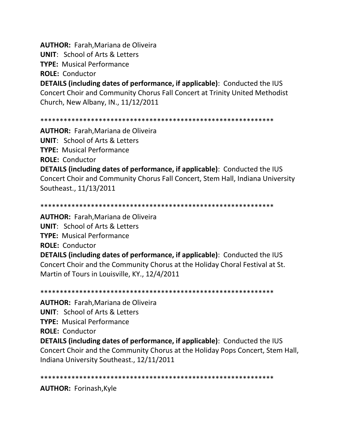**AUTHOR:** Farah,Mariana de Oliveira

**UNIT**: School of Arts & Letters

**TYPE:** Musical Performance

**ROLE:** Conductor

**DETAILS (including dates of performance, if applicable)**: Conducted the IUS Concert Choir and Community Chorus Fall Concert at Trinity United Methodist Church, New Albany, IN., 11/12/2011

## \*\*\*\*\*\*\*\*\*\*\*\*\*\*\*\*\*\*\*\*\*\*\*\*\*\*\*\*\*\*\*\*\*\*\*\*\*\*\*\*\*\*\*\*\*\*\*\*\*\*\*\*\*\*\*\*\*\*\*\*

**AUTHOR:** Farah,Mariana de Oliveira **UNIT**: School of Arts & Letters **TYPE:** Musical Performance **ROLE:** Conductor

**DETAILS (including dates of performance, if applicable)**: Conducted the IUS Concert Choir and Community Chorus Fall Concert, Stem Hall, Indiana University Southeast., 11/13/2011

## \*\*\*\*\*\*\*\*\*\*\*\*\*\*\*\*\*\*\*\*\*\*\*\*\*\*\*\*\*\*\*\*\*\*\*\*\*\*\*\*\*\*\*\*\*\*\*\*\*\*\*\*\*\*\*\*\*\*\*\*

**AUTHOR:** Farah,Mariana de Oliveira **UNIT**: School of Arts & Letters **TYPE:** Musical Performance **ROLE:** Conductor **DETAILS (including dates of performance, if applicable)**: Conducted the IUS Concert Choir and the Community Chorus at the Holiday Choral Festival at St. Martin of Tours in Louisville, KY., 12/4/2011

\*\*\*\*\*\*\*\*\*\*\*\*\*\*\*\*\*\*\*\*\*\*\*\*\*\*\*\*\*\*\*\*\*\*\*\*\*\*\*\*\*\*\*\*\*\*\*\*\*\*\*\*\*\*\*\*\*\*\*\*

**AUTHOR:** Farah,Mariana de Oliveira

**UNIT**: School of Arts & Letters

**TYPE:** Musical Performance

**ROLE:** Conductor

**DETAILS (including dates of performance, if applicable)**: Conducted the IUS Concert Choir and the Community Chorus at the Holiday Pops Concert, Stem Hall, Indiana University Southeast., 12/11/2011

\*\*\*\*\*\*\*\*\*\*\*\*\*\*\*\*\*\*\*\*\*\*\*\*\*\*\*\*\*\*\*\*\*\*\*\*\*\*\*\*\*\*\*\*\*\*\*\*\*\*\*\*\*\*\*\*\*\*\*\*

**AUTHOR:** Forinash,Kyle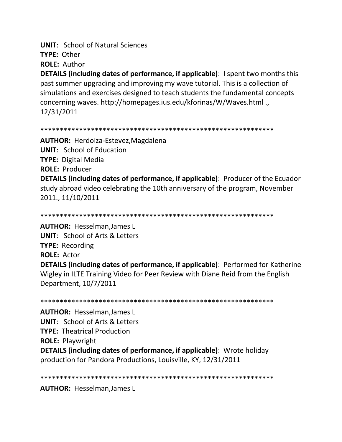**UNIT: School of Natural Sciences** TYPE: Other

**ROLE: Author** 

**DETAILS (including dates of performance, if applicable)**: I spent two months this past summer upgrading and improving my wave tutorial. This is a collection of simulations and exercises designed to teach students the fundamental concepts concerning waves. http://homepages.ius.edu/kforinas/W/Waves.html., 12/31/2011

#### 

**AUTHOR:** Herdoiza-Estevez, Magdalena **UNIT:** School of Education **TYPE:** Digital Media **ROLE: Producer DETAILS (including dates of performance, if applicable)**: Producer of the Ecuador study abroad video celebrating the 10th anniversary of the program, November 2011., 11/10/2011

**AUTHOR: Hesselman, James L UNIT:** School of Arts & Letters **TYPE: Recording ROLE: Actor DETAILS (including dates of performance, if applicable)**: Performed for Katherine Wigley in ILTE Training Video for Peer Review with Diane Reid from the English Department, 10/7/2011

**AUTHOR: Hesselman.James L UNIT: School of Arts & Letters TYPE: Theatrical Production** 

**ROLE: Playwright** 

**DETAILS (including dates of performance, if applicable)**: Wrote holiday production for Pandora Productions, Louisville, KY, 12/31/2011

**AUTHOR: Hesselman, James L**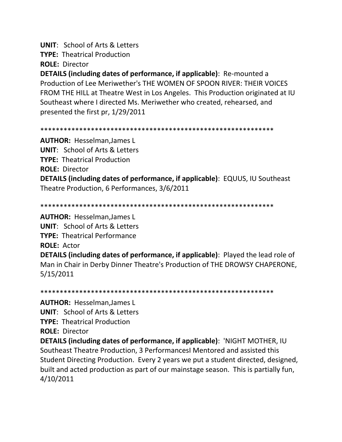**UNIT**: School of Arts & Letters

**TYPE:** Theatrical Production

**ROLE:** Director

**DETAILS (including dates of performance, if applicable)**: Re-mounted a Production of Lee Meriwether's THE WOMEN OF SPOON RIVER: THEIR VOICES FROM THE HILL at Theatre West in Los Angeles. This Production originated at IU Southeast where I directed Ms. Meriwether who created, rehearsed, and presented the first pr, 1/29/2011

\*\*\*\*\*\*\*\*\*\*\*\*\*\*\*\*\*\*\*\*\*\*\*\*\*\*\*\*\*\*\*\*\*\*\*\*\*\*\*\*\*\*\*\*\*\*\*\*\*\*\*\*\*\*\*\*\*\*\*\*

**AUTHOR:** Hesselman,James L **UNIT**: School of Arts & Letters **TYPE:** Theatrical Production **ROLE:** Director

**DETAILS (including dates of performance, if applicable)**: EQUUS, IU Southeast Theatre Production, 6 Performances, 3/6/2011

\*\*\*\*\*\*\*\*\*\*\*\*\*\*\*\*\*\*\*\*\*\*\*\*\*\*\*\*\*\*\*\*\*\*\*\*\*\*\*\*\*\*\*\*\*\*\*\*\*\*\*\*\*\*\*\*\*\*\*\*

**AUTHOR:** Hesselman,James L

**UNIT**: School of Arts & Letters

**TYPE:** Theatrical Performance

**ROLE:** Actor

**DETAILS (including dates of performance, if applicable)**: Played the lead role of Man in Chair in Derby Dinner Theatre's Production of THE DROWSY CHAPERONE, 5/15/2011

\*\*\*\*\*\*\*\*\*\*\*\*\*\*\*\*\*\*\*\*\*\*\*\*\*\*\*\*\*\*\*\*\*\*\*\*\*\*\*\*\*\*\*\*\*\*\*\*\*\*\*\*\*\*\*\*\*\*\*\*

**AUTHOR:** Hesselman,James L **UNIT**: School of Arts & Letters **TYPE:** Theatrical Production **ROLE:** Director

**DETAILS (including dates of performance, if applicable)**: 'NIGHT MOTHER, IU Southeast Theatre Production, 3 PerformancesI Mentored and assisted this Student Directing Production. Every 2 years we put a student directed, designed, built and acted production as part of our mainstage season. This is partially fun, 4/10/2011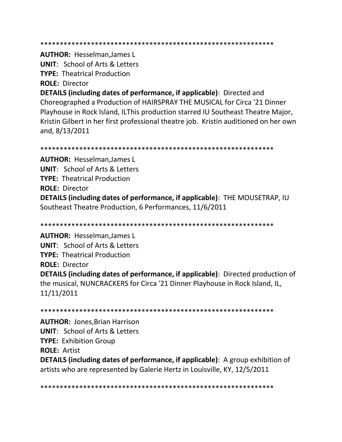\*\*\*\*\*\*\*\*\*\*\*\*\*\*\*\*\*\*\*\*\*\*\*\*\*\*\*\*\*\*\*\*\*\*\*\*\*\*\*\*\*\*\*\*\*\*\*\*\*\*\*\*\*\*\*\*\*\*\*\*

**AUTHOR:** Hesselman,James L

**UNIT**: School of Arts & Letters

**TYPE:** Theatrical Production

**ROLE:** Director

**DETAILS (including dates of performance, if applicable)**: Directed and Choreographed a Production of HAIRSPRAY THE MUSICAL for Circa '21 Dinner Playhouse in Rock Island, ILThis production starred IU Southeast Theatre Major, Kristin Gilbert in her first professional theatre job. Kristin auditioned on her own and, 8/13/2011

\*\*\*\*\*\*\*\*\*\*\*\*\*\*\*\*\*\*\*\*\*\*\*\*\*\*\*\*\*\*\*\*\*\*\*\*\*\*\*\*\*\*\*\*\*\*\*\*\*\*\*\*\*\*\*\*\*\*\*\*

**AUTHOR:** Hesselman,James L **UNIT**: School of Arts & Letters **TYPE:** Theatrical Production **ROLE:** Director **DETAILS (including dates of performance, if applicable)**: THE MOUSETRAP, IU Southeast Theatre Production, 6 Performances, 11/6/2011

\*\*\*\*\*\*\*\*\*\*\*\*\*\*\*\*\*\*\*\*\*\*\*\*\*\*\*\*\*\*\*\*\*\*\*\*\*\*\*\*\*\*\*\*\*\*\*\*\*\*\*\*\*\*\*\*\*\*\*\*

**AUTHOR:** Hesselman,James L **UNIT**: School of Arts & Letters **TYPE:** Theatrical Production **ROLE:** Director **DETAILS (including dates of performance, if applicable)**: Directed production of the musical, NUNCRACKERS for Circa '21 Dinner Playhouse in Rock Island, IL, 11/11/2011

\*\*\*\*\*\*\*\*\*\*\*\*\*\*\*\*\*\*\*\*\*\*\*\*\*\*\*\*\*\*\*\*\*\*\*\*\*\*\*\*\*\*\*\*\*\*\*\*\*\*\*\*\*\*\*\*\*\*\*\*

**AUTHOR:** Jones,Brian Harrison **UNIT**: School of Arts & Letters **TYPE:** Exhibition Group **ROLE:** Artist **DETAILS (including dates of performance, if applicable)**: A group exhibition of artists who are represented by Galerie Hertz in Louisville, KY, 12/5/2011

\*\*\*\*\*\*\*\*\*\*\*\*\*\*\*\*\*\*\*\*\*\*\*\*\*\*\*\*\*\*\*\*\*\*\*\*\*\*\*\*\*\*\*\*\*\*\*\*\*\*\*\*\*\*\*\*\*\*\*\*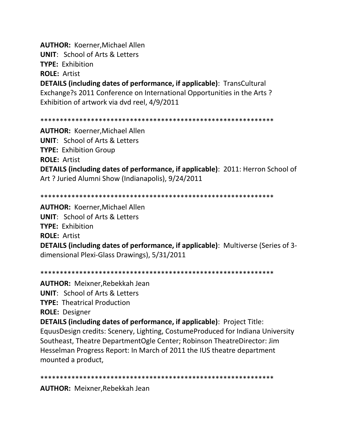**AUTHOR: Koerner, Michael Allen UNIT:** School of Arts & Letters **TYPE: Exhibition ROLE: Artist DETAILS (including dates of performance, if applicable)**: TransCultural

Exchange?s 2011 Conference on International Opportunities in the Arts? Exhibition of artwork via dvd reel, 4/9/2011

**AUTHOR: Koerner, Michael Allen UNIT:** School of Arts & Letters **TYPE: Exhibition Group ROLE: Artist DETAILS (including dates of performance, if applicable): 2011: Herron School of** Art ? Juried Alumni Show (Indianapolis), 9/24/2011

**AUTHOR: Koerner.Michael Allen UNIT: School of Arts & Letters TYPE: Exhibition ROLE: Artist DETAILS (including dates of performance, if applicable):** Multiverse (Series of 3dimensional Plexi-Glass Drawings), 5/31/2011

**AUTHOR: Meixner, Rebekkah Jean** 

**UNIT:** School of Arts & Letters

**TYPE: Theatrical Production** 

**ROLE: Designer** 

**DETAILS (including dates of performance, if applicable)**: Project Title: EquusDesign credits: Scenery, Lighting, CostumeProduced for Indiana University Southeast, Theatre DepartmentOgle Center; Robinson TheatreDirector: Jim Hesselman Progress Report: In March of 2011 the IUS theatre department mounted a product,

**AUTHOR: Meixner, Rebekkah Jean**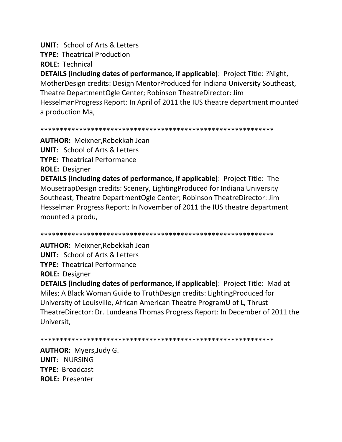**UNIT: School of Arts & Letters** 

**TYPE: Theatrical Production** 

**ROLE: Technical** 

**DETAILS (including dates of performance, if applicable)**: Project Title: ?Night, MotherDesign credits: Design MentorProduced for Indiana University Southeast, Theatre DepartmentOgle Center; Robinson TheatreDirector: Jim HesselmanProgress Report: In April of 2011 the IUS theatre department mounted a production Ma.

**AUTHOR:** Meixner, Rebekkah Jean

**UNIT: School of Arts & Letters** 

**TYPE: Theatrical Performance** 

**ROLE: Designer** 

**DETAILS (including dates of performance, if applicable):** Project Title: The MousetrapDesign credits: Scenery, LightingProduced for Indiana University Southeast, Theatre DepartmentOgle Center; Robinson TheatreDirector: Jim Hesselman Progress Report: In November of 2011 the IUS theatre department mounted a produ,

**AUTHOR: Meixner, Rebekkah Jean UNIT: School of Arts & Letters TYPE: Theatrical Performance ROLE: Designer** 

**DETAILS (including dates of performance, if applicable)**: Project Title: Mad at Miles; A Black Woman Guide to TruthDesign credits: Lighting Produced for University of Louisville, African American Theatre ProgramU of L, Thrust TheatreDirector: Dr. Lundeana Thomas Progress Report: In December of 2011 the Universit,

**AUTHOR: Myers, Judy G. UNIT: NURSING TYPE: Broadcast ROLE: Presenter**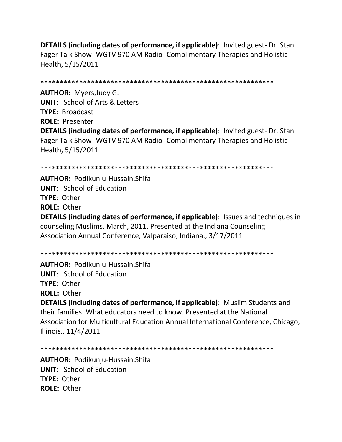**DETAILS (including dates of performance, if applicable)**: Invited guest- Dr. Stan Fager Talk Show- WGTV 970 AM Radio- Complimentary Therapies and Holistic Health, 5/15/2011

\*\*\*\*\*\*\*\*\*\*\*\*\*\*\*\*\*\*\*\*\*\*\*\*\*\*\*\*\*\*\*\*\*\*\*\*\*\*\*\*\*\*\*\*\*\*\*\*\*\*\*\*\*\*\*\*\*\*\*\* **AUTHOR:** Myers,Judy G. **UNIT**: School of Arts & Letters **TYPE:** Broadcast **ROLE:** Presenter

**DETAILS (including dates of performance, if applicable)**: Invited guest- Dr. Stan Fager Talk Show- WGTV 970 AM Radio- Complimentary Therapies and Holistic Health, 5/15/2011

## \*\*\*\*\*\*\*\*\*\*\*\*\*\*\*\*\*\*\*\*\*\*\*\*\*\*\*\*\*\*\*\*\*\*\*\*\*\*\*\*\*\*\*\*\*\*\*\*\*\*\*\*\*\*\*\*\*\*\*\*

**AUTHOR:** Podikunju-Hussain,Shifa **UNIT**: School of Education **TYPE:** Other **ROLE:** Other **DETAILS (including dates of performance, if applicable)**: Issues and techniques in counseling Muslims. March, 2011. Presented at the Indiana Counseling Association Annual Conference, Valparaiso, Indiana., 3/17/2011

## \*\*\*\*\*\*\*\*\*\*\*\*\*\*\*\*\*\*\*\*\*\*\*\*\*\*\*\*\*\*\*\*\*\*\*\*\*\*\*\*\*\*\*\*\*\*\*\*\*\*\*\*\*\*\*\*\*\*\*\*

**AUTHOR:** Podikunju-Hussain,Shifa **UNIT**: School of Education **TYPE:** Other **ROLE:** Other

**DETAILS (including dates of performance, if applicable)**: Muslim Students and their families: What educators need to know. Presented at the National Association for Multicultural Education Annual International Conference, Chicago, Illinois., 11/4/2011

```
************************************************************
```
**AUTHOR:** Podikunju-Hussain,Shifa **UNIT**: School of Education **TYPE:** Other **ROLE:** Other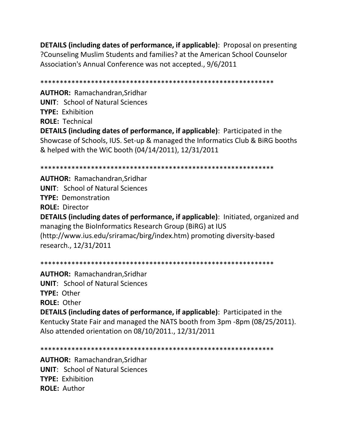**DETAILS (including dates of performance, if applicable)**: Proposal on presenting ?Counseling Muslim Students and families? at the American School Counselor Association's Annual Conference was not accepted., 9/6/2011

\*\*\*\*\*\*\*\*\*\*\*\*\*\*\*\*\*\*\*\*\*\*\*\*\*\*\*\*\*\*\*\*\*\*\*\*\*\*\*\*\*\*\*\*\*\*\*\*\*\*\*\*\*\*\*\*\*\*\*\* **AUTHOR:** Ramachandran,Sridhar **UNIT**: School of Natural Sciences **TYPE:** Exhibition **ROLE:** Technical **DETAILS (including dates of performance, if applicable)**: Participated in the Showcase of Schools, IUS. Set-up & managed the Informatics Club & BiRG booths & helped with the WiC booth (04/14/2011), 12/31/2011

\*\*\*\*\*\*\*\*\*\*\*\*\*\*\*\*\*\*\*\*\*\*\*\*\*\*\*\*\*\*\*\*\*\*\*\*\*\*\*\*\*\*\*\*\*\*\*\*\*\*\*\*\*\*\*\*\*\*\*\*

**AUTHOR:** Ramachandran,Sridhar **UNIT**: School of Natural Sciences **TYPE:** Demonstration **ROLE:** Director **DETAILS (including dates of performance, if applicable)**: Initiated, organized and managing the BioInformatics Research Group (BiRG) at IUS (http://www.ius.edu/sriramac/birg/index.htm) promoting diversity-based research., 12/31/2011

\*\*\*\*\*\*\*\*\*\*\*\*\*\*\*\*\*\*\*\*\*\*\*\*\*\*\*\*\*\*\*\*\*\*\*\*\*\*\*\*\*\*\*\*\*\*\*\*\*\*\*\*\*\*\*\*\*\*\*\*

**AUTHOR:** Ramachandran,Sridhar **UNIT**: School of Natural Sciences **TYPE:** Other **ROLE:** Other

**DETAILS (including dates of performance, if applicable)**: Participated in the Kentucky State Fair and managed the NATS booth from 3pm -8pm (08/25/2011). Also attended orientation on 08/10/2011., 12/31/2011

\*\*\*\*\*\*\*\*\*\*\*\*\*\*\*\*\*\*\*\*\*\*\*\*\*\*\*\*\*\*\*\*\*\*\*\*\*\*\*\*\*\*\*\*\*\*\*\*\*\*\*\*\*\*\*\*\*\*\*\*

**AUTHOR:** Ramachandran,Sridhar **UNIT**: School of Natural Sciences **TYPE:** Exhibition **ROLE:** Author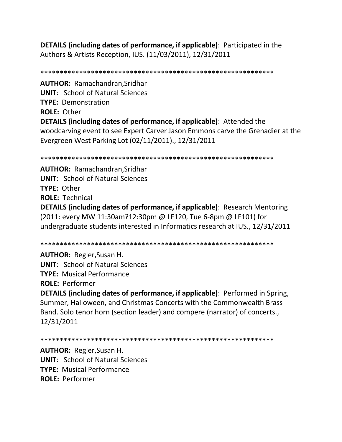**DETAILS (including dates of performance, if applicable)**: Participated in the Authors & Artists Reception, IUS. (11/03/2011), 12/31/2011

\*\*\*\*\*\*\*\*\*\*\*\*\*\*\*\*\*\*\*\*\*\*\*\*\*\*\*\*\*\*\*\*\*\*\*\*\*\*\*\*\*\*\*\*\*\*\*\*\*\*\*\*\*\*\*\*\*\*\*\* **AUTHOR:** Ramachandran,Sridhar **UNIT**: School of Natural Sciences **TYPE:** Demonstration **ROLE:** Other **DETAILS (including dates of performance, if applicable)**: Attended the woodcarving event to see Expert Carver Jason Emmons carve the Grenadier at the Evergreen West Parking Lot (02/11/2011)., 12/31/2011

\*\*\*\*\*\*\*\*\*\*\*\*\*\*\*\*\*\*\*\*\*\*\*\*\*\*\*\*\*\*\*\*\*\*\*\*\*\*\*\*\*\*\*\*\*\*\*\*\*\*\*\*\*\*\*\*\*\*\*\*

**AUTHOR:** Ramachandran,Sridhar **UNIT**: School of Natural Sciences **TYPE:** Other **ROLE:** Technical **DETAILS (including dates of performance, if applicable)**: Research Mentoring

(2011: every MW 11:30am?12:30pm @ LF120, Tue 6-8pm @ LF101) for undergraduate students interested in Informatics research at IUS., 12/31/2011

\*\*\*\*\*\*\*\*\*\*\*\*\*\*\*\*\*\*\*\*\*\*\*\*\*\*\*\*\*\*\*\*\*\*\*\*\*\*\*\*\*\*\*\*\*\*\*\*\*\*\*\*\*\*\*\*\*\*\*\*

**AUTHOR:** Regler,Susan H. **UNIT**: School of Natural Sciences **TYPE:** Musical Performance **ROLE:** Performer **DETAILS (including dates of performance, if applicable)**: Performed in Spring, Summer, Halloween, and Christmas Concerts with the Commonwealth Brass Band. Solo tenor horn (section leader) and compere (narrator) of concerts., 12/31/2011

\*\*\*\*\*\*\*\*\*\*\*\*\*\*\*\*\*\*\*\*\*\*\*\*\*\*\*\*\*\*\*\*\*\*\*\*\*\*\*\*\*\*\*\*\*\*\*\*\*\*\*\*\*\*\*\*\*\*\*\*

**AUTHOR:** Regler,Susan H. **UNIT**: School of Natural Sciences **TYPE:** Musical Performance **ROLE:** Performer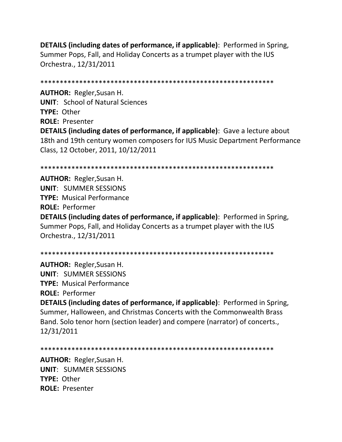**DETAILS (including dates of performance, if applicable)**: Performed in Spring, Summer Pops, Fall, and Holiday Concerts as a trumpet player with the IUS Orchestra., 12/31/2011

\*\*\*\*\*\*\*\*\*\*\*\*\*\*\*\*\*\*\*\*\*\*\*\*\*\*\*\*\*\*\*\*\*\*\*\*\*\*\*\*\*\*\*\*\*\*\*\*\*\*\*\*\*\*\*\*\*\*\*\* **AUTHOR:** Regler,Susan H. **UNIT**: School of Natural Sciences **TYPE:** Other **ROLE:** Presenter **DETAILS (including dates of performance, if applicable)**: Gave a lecture about 18th and 19th century women composers for IUS Music Department Performance Class, 12 October, 2011, 10/12/2011

\*\*\*\*\*\*\*\*\*\*\*\*\*\*\*\*\*\*\*\*\*\*\*\*\*\*\*\*\*\*\*\*\*\*\*\*\*\*\*\*\*\*\*\*\*\*\*\*\*\*\*\*\*\*\*\*\*\*\*\*

**AUTHOR:** Regler,Susan H. **UNIT**: SUMMER SESSIONS **TYPE:** Musical Performance **ROLE:** Performer **DETAILS (including dates of performance, if applicable)**: Performed in Spring, Summer Pops, Fall, and Holiday Concerts as a trumpet player with the IUS Orchestra., 12/31/2011

\*\*\*\*\*\*\*\*\*\*\*\*\*\*\*\*\*\*\*\*\*\*\*\*\*\*\*\*\*\*\*\*\*\*\*\*\*\*\*\*\*\*\*\*\*\*\*\*\*\*\*\*\*\*\*\*\*\*\*\*

**AUTHOR:** Regler,Susan H. **UNIT**: SUMMER SESSIONS **TYPE:** Musical Performance **ROLE:** Performer

**DETAILS (including dates of performance, if applicable)**: Performed in Spring, Summer, Halloween, and Christmas Concerts with the Commonwealth Brass Band. Solo tenor horn (section leader) and compere (narrator) of concerts., 12/31/2011

\*\*\*\*\*\*\*\*\*\*\*\*\*\*\*\*\*\*\*\*\*\*\*\*\*\*\*\*\*\*\*\*\*\*\*\*\*\*\*\*\*\*\*\*\*\*\*\*\*\*\*\*\*\*\*\*\*\*\*\*

**AUTHOR:** Regler,Susan H. **UNIT**: SUMMER SESSIONS **TYPE:** Other **ROLE:** Presenter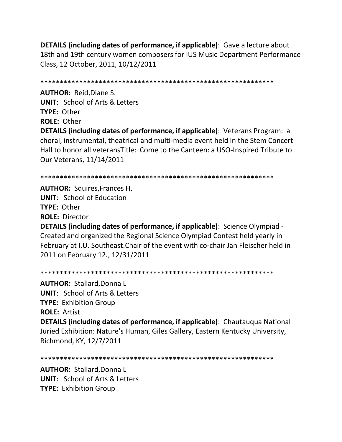**DETAILS (including dates of performance, if applicable)**: Gave a lecture about 18th and 19th century women composers for IUS Music Department Performance Class, 12 October, 2011, 10/12/2011

\*\*\*\*\*\*\*\*\*\*\*\*\*\*\*\*\*\*\*\*\*\*\*\*\*\*\*\*\*\*\*\*\*\*\*\*\*\*\*\*\*\*\*\*\*\*\*\*\*\*\*\*\*\*\*\*\*\*\*\*

**AUTHOR:** Reid,Diane S. **UNIT**: School of Arts & Letters **TYPE:** Other **ROLE:** Other **DETAILS (including dates of performance, if applicable)**: Veterans Program: a choral, instrumental, theatrical and multi-media event held in the Stem Concert Hall to honor all veteransTitle: Come to the Canteen: a USO-Inspired Tribute to Our Veterans, 11/14/2011

\*\*\*\*\*\*\*\*\*\*\*\*\*\*\*\*\*\*\*\*\*\*\*\*\*\*\*\*\*\*\*\*\*\*\*\*\*\*\*\*\*\*\*\*\*\*\*\*\*\*\*\*\*\*\*\*\*\*\*\*

**AUTHOR:** Squires,Frances H. **UNIT**: School of Education **TYPE:** Other **ROLE:** Director

**DETAILS (including dates of performance, if applicable)**: Science Olympiad - Created and organized the Regional Science Olympiad Contest held yearly in February at I.U. Southeast.Chair of the event with co-chair Jan Fleischer held in 2011 on February 12., 12/31/2011

\*\*\*\*\*\*\*\*\*\*\*\*\*\*\*\*\*\*\*\*\*\*\*\*\*\*\*\*\*\*\*\*\*\*\*\*\*\*\*\*\*\*\*\*\*\*\*\*\*\*\*\*\*\*\*\*\*\*\*\*

**AUTHOR:** Stallard,Donna L **UNIT**: School of Arts & Letters **TYPE:** Exhibition Group **ROLE:** Artist

**DETAILS (including dates of performance, if applicable)**: Chautauqua National Juried Exhibition: Nature's Human, Giles Gallery, Eastern Kentucky University, Richmond, KY, 12/7/2011

```
************************************************************
```
**AUTHOR:** Stallard,Donna L **UNIT**: School of Arts & Letters **TYPE:** Exhibition Group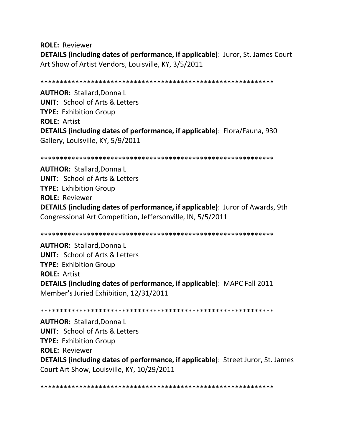**ROLE:** Reviewer **DETAILS (including dates of performance, if applicable)**: Juror, St. James Court Art Show of Artist Vendors, Louisville, KY, 3/5/2011

\*\*\*\*\*\*\*\*\*\*\*\*\*\*\*\*\*\*\*\*\*\*\*\*\*\*\*\*\*\*\*\*\*\*\*\*\*\*\*\*\*\*\*\*\*\*\*\*\*\*\*\*\*\*\*\*\*\*\*\*

**AUTHOR:** Stallard,Donna L **UNIT**: School of Arts & Letters **TYPE:** Exhibition Group **ROLE:** Artist **DETAILS (including dates of performance, if applicable)**: Flora/Fauna, 930 Gallery, Louisville, KY, 5/9/2011

\*\*\*\*\*\*\*\*\*\*\*\*\*\*\*\*\*\*\*\*\*\*\*\*\*\*\*\*\*\*\*\*\*\*\*\*\*\*\*\*\*\*\*\*\*\*\*\*\*\*\*\*\*\*\*\*\*\*\*\*

**AUTHOR:** Stallard,Donna L **UNIT**: School of Arts & Letters **TYPE:** Exhibition Group **ROLE:** Reviewer **DETAILS (including dates of performance, if applicable)**: Juror of Awards, 9th Congressional Art Competition, Jeffersonville, IN, 5/5/2011

\*\*\*\*\*\*\*\*\*\*\*\*\*\*\*\*\*\*\*\*\*\*\*\*\*\*\*\*\*\*\*\*\*\*\*\*\*\*\*\*\*\*\*\*\*\*\*\*\*\*\*\*\*\*\*\*\*\*\*\*

**AUTHOR:** Stallard,Donna L **UNIT**: School of Arts & Letters **TYPE:** Exhibition Group **ROLE:** Artist **DETAILS (including dates of performance, if applicable)**: MAPC Fall 2011 Member's Juried Exhibition, 12/31/2011

\*\*\*\*\*\*\*\*\*\*\*\*\*\*\*\*\*\*\*\*\*\*\*\*\*\*\*\*\*\*\*\*\*\*\*\*\*\*\*\*\*\*\*\*\*\*\*\*\*\*\*\*\*\*\*\*\*\*\*\* **AUTHOR:** Stallard,Donna L **UNIT**: School of Arts & Letters **TYPE:** Exhibition Group **ROLE:** Reviewer **DETAILS (including dates of performance, if applicable)**: Street Juror, St. James Court Art Show, Louisville, KY, 10/29/2011

\*\*\*\*\*\*\*\*\*\*\*\*\*\*\*\*\*\*\*\*\*\*\*\*\*\*\*\*\*\*\*\*\*\*\*\*\*\*\*\*\*\*\*\*\*\*\*\*\*\*\*\*\*\*\*\*\*\*\*\*